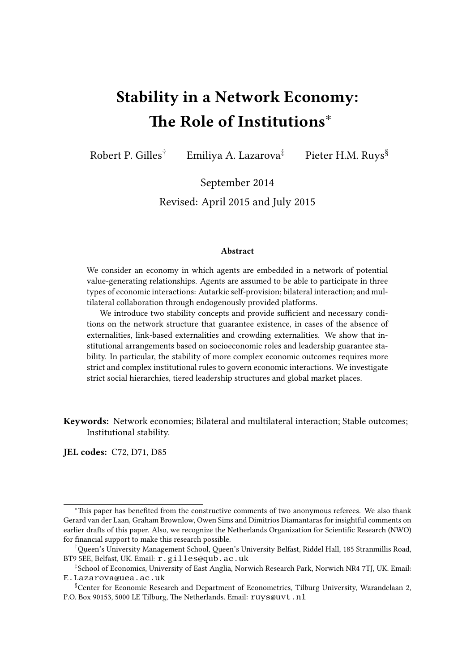# Stability in a Network Economy: The Role of Institutions<sup>\*</sup>

Robert P. Gilles<sup>†</sup> Emiliya A. Lazarova<sup>‡</sup> Pieter H.M. Ruys<sup>§</sup>

September 2014

Revised: April 2015 and July 2015

#### Abstract

We consider an economy in which agents are embedded in a network of potential value-generating relationships. Agents are assumed to be able to participate in three types of economic interactions: Autarkic self-provision; bilateral interaction; and multilateral collaboration through endogenously provided platforms.

We introduce two stability concepts and provide sufficient and necessary conditions on the network structure that guarantee existence, in cases of the absence of externalities, link-based externalities and crowding externalities. We show that institutional arrangements based on socioeconomic roles and leadership guarantee stability. In particular, the stability of more complex economic outcomes requires more strict and complex institutional rules to govern economic interactions. We investigate strict social hierarchies, tiered leadership structures and global market places.

Keywords: Network economies; Bilateral and multilateral interaction; Stable outcomes; Institutional stability.

JEL codes: C72, D71, D85

<sup>\*</sup>This paper has benefited from the constructive comments of two anonymous referees. We also thank Gerard van der Laan, Graham Brownlow, Owen Sims and Dimitrios Diamantaras for insightful comments on earlier drafts of this paper. Also, we recognize the Netherlands Organization for Scientific Research (NWO) for financial support to make this research possible.

 $\dagger$ Queen's University Management School, Queen's University Belfast, Riddel Hall, 185 Stranmillis Road, BT9 5EE, Belfast, UK. Email: r.gilles@qub.ac.uk

<sup>‡</sup>School of Economics, University of East Anglia, Norwich Research Park, Norwich NR4 7TJ, UK. Email: E.Lazarova@uea.ac.uk

<sup>§</sup>Center for Economic Research and Department of Econometrics, Tilburg University, Warandelaan 2, P.O. Box 90153, 5000 LE Tilburg, The Netherlands. Email: ruys@uvt.nl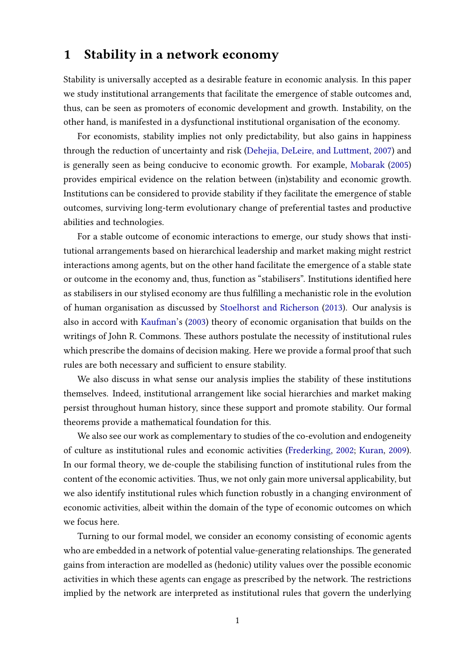## 1 Stability in a network economy

Stability is universally accepted as a desirable feature in economic analysis. In this paper we study institutional arrangements that facilitate the emergence of stable outcomes and, thus, can be seen as promoters of economic development and growth. Instability, on the other hand, is manifested in a dysfunctional institutional organisation of the economy.

For economists, stability implies not only predictability, but also gains in happiness through the reduction of uncertainty and risk [\(Dehejia, DeLeire, and Lument,](#page-27-0) [2007\)](#page-27-0) and is generally seen as being conducive to economic growth. For example, [Mobarak](#page-29-0) [\(2005\)](#page-29-0) provides empirical evidence on the relation between (in)stability and economic growth. Institutions can be considered to provide stability if they facilitate the emergence of stable outcomes, surviving long-term evolutionary change of preferential tastes and productive abilities and technologies.

For a stable outcome of economic interactions to emerge, our study shows that institutional arrangements based on hierarchical leadership and market making might restrict interactions among agents, but on the other hand facilitate the emergence of a stable state or outcome in the economy and, thus, function as "stabilisers". Institutions identified here as stabilisers in our stylised economy are thus fullling a mechanistic role in the evolution of human organisation as discussed by [Stoelhorst and Richerson](#page-30-0) [\(2013\)](#page-30-0). Our analysis is also in accord with [Kaufman'](#page-28-0)s [\(2003\)](#page-28-0) theory of economic organisation that builds on the writings of John R. Commons. These authors postulate the necessity of institutional rules which prescribe the domains of decision making. Here we provide a formal proof that such rules are both necessary and sufficient to ensure stability.

We also discuss in what sense our analysis implies the stability of these institutions themselves. Indeed, institutional arrangement like social hierarchies and market making persist throughout human history, since these support and promote stability. Our formal theorems provide a mathematical foundation for this.

We also see our work as complementary to studies of the co-evolution and endogeneity of culture as institutional rules and economic activities [\(Frederking,](#page-27-1) [2002;](#page-27-1) [Kuran,](#page-29-1) [2009\)](#page-29-1). In our formal theory, we de-couple the stabilising function of institutional rules from the content of the economic activities. Thus, we not only gain more universal applicability, but we also identify institutional rules which function robustly in a changing environment of economic activities, albeit within the domain of the type of economic outcomes on which we focus here.

Turning to our formal model, we consider an economy consisting of economic agents who are embedded in a network of potential value-generating relationships. The generated gains from interaction are modelled as (hedonic) utility values over the possible economic activities in which these agents can engage as prescribed by the network. The restrictions implied by the network are interpreted as institutional rules that govern the underlying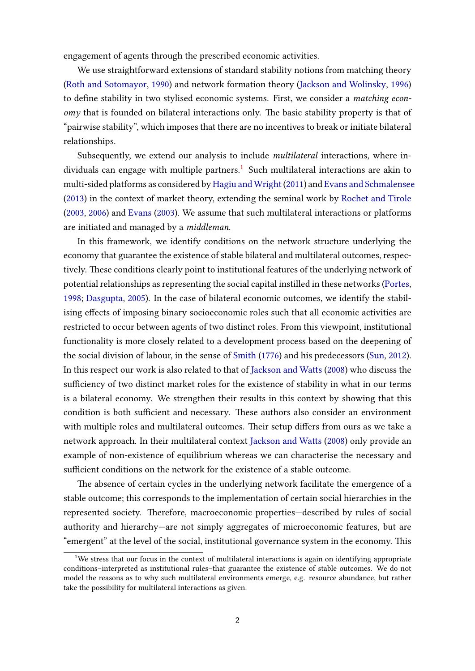engagement of agents through the prescribed economic activities.

We use straightforward extensions of standard stability notions from matching theory [\(Roth and Sotomayor,](#page-29-2) [1990\)](#page-29-2) and network formation theory [\(Jackson and Wolinsky,](#page-28-1) [1996\)](#page-28-1) to define stability in two stylised economic systems. First, we consider a *matching econ* $omy$  that is founded on bilateral interactions only. The basic stability property is that of "pairwise stability", which imposes that there are no incentives to break or initiate bilateral relationships.

Subsequently, we extend our analysis to include multilateral interactions, where in-dividuals can engage with multiple partners.<sup>[1](#page-2-0)</sup> Such multilateral interactions are akin to multi-sided platforms as considered by [Hagiu and Wright](#page-28-2) [\(2011\)](#page-28-2) and [Evans and Schmalensee](#page-27-2) [\(2013\)](#page-27-2) in the context of market theory, extending the seminal work by [Rochet and Tirole](#page-29-3) [\(2003,](#page-29-3) [2006\)](#page-29-4) and [Evans](#page-27-3) [\(2003\)](#page-27-3). We assume that such multilateral interactions or platforms are initiated and managed by a middleman.

In this framework, we identify conditions on the network structure underlying the economy that guarantee the existence of stable bilateral and multilateral outcomes, respectively. These conditions clearly point to institutional features of the underlying network of potential relationships as representing the social capital instilled in these networks [\(Portes,](#page-29-5) [1998;](#page-29-5) [Dasgupta,](#page-27-4) [2005\)](#page-27-4). In the case of bilateral economic outcomes, we identify the stabilising effects of imposing binary socioeconomic roles such that all economic activities are restricted to occur between agents of two distinct roles. From this viewpoint, institutional functionality is more closely related to a development process based on the deepening of the social division of labour, in the sense of [Smith](#page-29-6) [\(1776\)](#page-29-6) and his predecessors [\(Sun,](#page-30-1) [2012\)](#page-30-1). In this respect our work is also related to that of Jackson and Watts [\(2008\)](#page-28-3) who discuss the sufficiency of two distinct market roles for the existence of stability in what in our terms is a bilateral economy. We strengthen their results in this context by showing that this condition is both sufficient and necessary. These authors also consider an environment with multiple roles and multilateral outcomes. Their setup differs from ours as we take a network approach. In their multilateral context Jackson and Watts [\(2008\)](#page-28-3) only provide an example of non-existence of equilibrium whereas we can characterise the necessary and sufficient conditions on the network for the existence of a stable outcome.

The absence of certain cycles in the underlying network facilitate the emergence of a stable outcome; this corresponds to the implementation of certain social hierarchies in the represented society. Therefore, macroeconomic properties—described by rules of social authority and hierarchy—are not simply aggregates of microeconomic features, but are "emergent" at the level of the social, institutional governance system in the economy. This

<span id="page-2-0"></span><sup>&</sup>lt;sup>1</sup>We stress that our focus in the context of multilateral interactions is again on identifying appropriate conditions–interpreted as institutional rules–that guarantee the existence of stable outcomes. We do not model the reasons as to why such multilateral environments emerge, e.g. resource abundance, but rather take the possibility for multilateral interactions as given.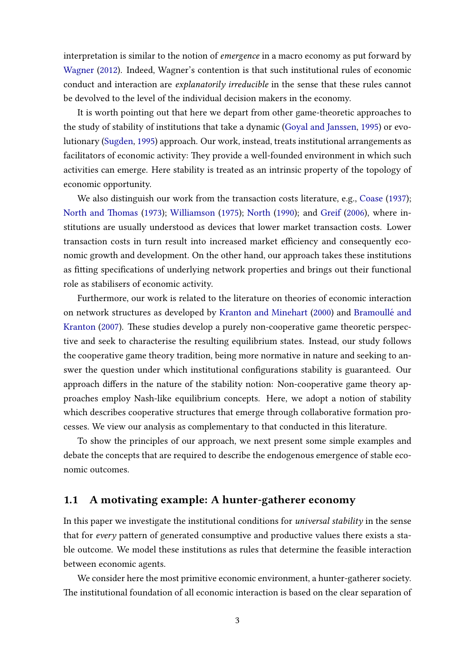interpretation is similar to the notion of *emergence* in a macro economy as put forward by [Wagner](#page-30-2) [\(2012\)](#page-30-2). Indeed, Wagner's contention is that such institutional rules of economic conduct and interaction are explanatorily irreducible in the sense that these rules cannot be devolved to the level of the individual decision makers in the economy.

It is worth pointing out that here we depart from other game-theoretic approaches to the study of stability of institutions that take a dynamic [\(Goyal and Janssen,](#page-28-4) [1995\)](#page-28-4) or evolutionary [\(Sugden,](#page-30-3) [1995\)](#page-30-3) approach. Our work, instead, treats institutional arrangements as facilitators of economic activity: They provide a well-founded environment in which such activities can emerge. Here stability is treated as an intrinsic property of the topology of economic opportunity.

We also distinguish our work from the transaction costs literature, e.g., [Coase](#page-27-5) [\(1937\)](#page-27-5); North and Thomas [\(1973\)](#page-29-7); [Williamson](#page-30-4) [\(1975\)](#page-30-4); [North](#page-29-8) [\(1990\)](#page-29-8); and [Greif](#page-28-5) [\(2006\)](#page-28-5), where institutions are usually understood as devices that lower market transaction costs. Lower transaction costs in turn result into increased market efficiency and consequently economic growth and development. On the other hand, our approach takes these institutions as fitting specifications of underlying network properties and brings out their functional role as stabilisers of economic activity.

Furthermore, our work is related to the literature on theories of economic interaction on network structures as developed by [Kranton and Minehart](#page-28-6) [\(2000\)](#page-28-6) and Bramoullé and [Kranton](#page-27-6) [\(2007\)](#page-27-6). These studies develop a purely non-cooperative game theoretic perspective and seek to characterise the resulting equilibrium states. Instead, our study follows the cooperative game theory tradition, being more normative in nature and seeking to answer the question under which institutional configurations stability is guaranteed. Our approach differs in the nature of the stability notion: Non-cooperative game theory approaches employ Nash-like equilibrium concepts. Here, we adopt a notion of stability which describes cooperative structures that emerge through collaborative formation processes. We view our analysis as complementary to that conducted in this literature.

To show the principles of our approach, we next present some simple examples and debate the concepts that are required to describe the endogenous emergence of stable economic outcomes.

### 1.1 A motivating example: A hunter-gatherer economy

In this paper we investigate the institutional conditions for universal stability in the sense that for every pattern of generated consumptive and productive values there exists a stable outcome. We model these institutions as rules that determine the feasible interaction between economic agents.

We consider here the most primitive economic environment, a hunter-gatherer society. The institutional foundation of all economic interaction is based on the clear separation of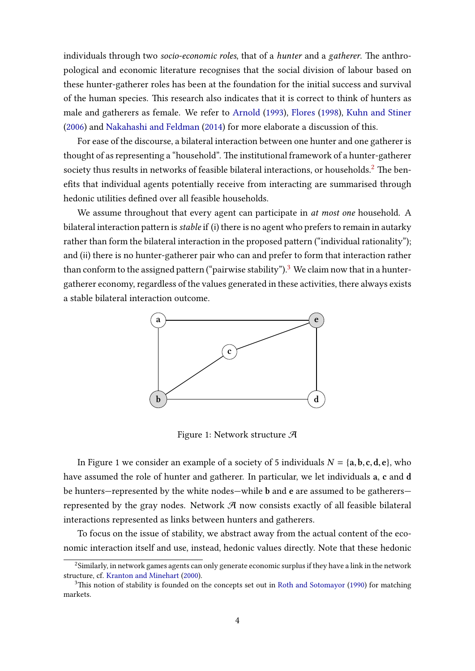individuals through two *socio-economic roles*, that of a *hunter* and a *gatherer*. The anthropological and economic literature recognises that the social division of labour based on these hunter-gatherer roles has been at the foundation for the initial success and survival of the human species. This research also indicates that it is correct to think of hunters as male and gatherers as female. We refer to [Arnold](#page-26-0) [\(1993\)](#page-26-0), [Flores](#page-27-7) [\(1998\)](#page-27-7), [Kuhn and Stiner](#page-28-7) [\(2006\)](#page-28-7) and [Nakahashi and Feldman](#page-29-9) [\(2014\)](#page-29-9) for more elaborate a discussion of this.

For ease of the discourse, a bilateral interaction between one hunter and one gatherer is thought of as representing a "household". The institutional framework of a hunter-gatherer society thus results in networks of feasible bilateral interactions, or households. $2$  The benefits that individual agents potentially receive from interacting are summarised through hedonic utilities defined over all feasible households.

We assume throughout that every agent can participate in *at most one* household. A bilateral interaction pattern is *stable* if (i) there is no agent who prefers to remain in autarky rather than form the bilateral interaction in the proposed pattern ("individual rationality"); and (ii) there is no hunter-gatherer pair who can and prefer to form that interaction rather than conform to the assigned pattern ("pairwise stability").<sup>[3](#page-4-1)</sup> We claim now that in a huntergatherer economy, regardless of the values generated in these activities, there always exists a stable bilateral interaction outcome.



Figure 1: Network structure A

In Figure 1 we consider an example of a society of 5 individuals  $N = \{a, b, c, d, e\}$ , who have assumed the role of hunter and gatherer. In particular, we let individuals a, c and d be hunters—represented by the white nodes—while b and e are assumed to be gatherers represented by the gray nodes. Network  $A$  now consists exactly of all feasible bilateral interactions represented as links between hunters and gatherers.

To focus on the issue of stability, we abstract away from the actual content of the economic interaction itself and use, instead, hedonic values directly. Note that these hedonic

<span id="page-4-0"></span><sup>&</sup>lt;sup>2</sup>Similarly, in network games agents can only generate economic surplus if they have a link in the network structure, cf. [Kranton and Minehart](#page-28-6) [\(2000\)](#page-28-6).

<span id="page-4-1"></span> $3$ This notion of stability is founded on the concepts set out in [Roth and Sotomayor](#page-29-2) [\(1990\)](#page-29-2) for matching markets.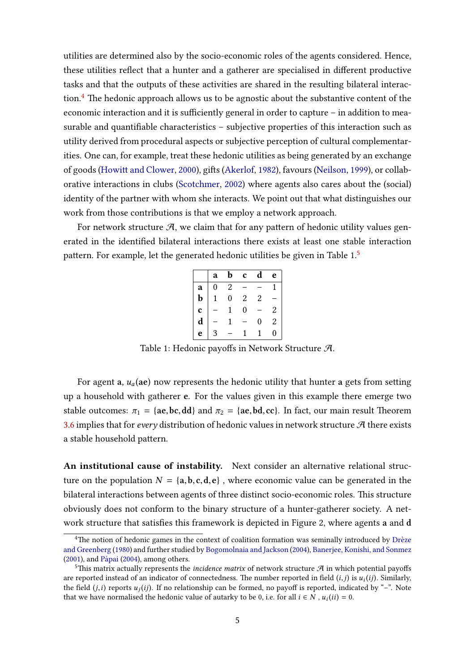utilities are determined also by the socio-economic roles of the agents considered. Hence, these utilities reflect that a hunter and a gatherer are specialised in different productive tasks and that the outputs of these activities are shared in the resulting bilateral interac-tion.<sup>[4](#page-5-0)</sup> The hedonic approach allows us to be agnostic about the substantive content of the economic interaction and it is sufficiently general in order to capture – in addition to measurable and quantifiable characteristics - subjective properties of this interaction such as utility derived from procedural aspects or subjective perception of cultural complementarities. One can, for example, treat these hedonic utilities as being generated by an exchange of goods (Howitt and Clower, [2000\)](#page-28-8), gifts [\(Akerlof,](#page-26-1) [1982\)](#page-26-1), favours [\(Neilson,](#page-29-10) [1999\)](#page-29-10), or collaborative interactions in clubs [\(Scotchmer,](#page-29-11) [2002\)](#page-29-11) where agents also cares about the (social) identity of the partner with whom she interacts. We point out that what distinguishes our work from those contributions is that we employ a network approach.

For network structure  $A$ , we claim that for any pattern of hedonic utility values generated in the identified bilateral interactions there exists at least one stable interaction pattern. For example, let the generated hedonic utilities be given in Table  $1<sup>5</sup>$  $1<sup>5</sup>$  $1<sup>5</sup>$ 

|   | a                | b              | $\mathbf c$    | đ              | e              |
|---|------------------|----------------|----------------|----------------|----------------|
| a | 0                | $\overline{2}$ |                |                |                |
| b |                  | 0              | $\overline{c}$ | $\overline{c}$ |                |
| c |                  |                | 0              |                | $\overline{c}$ |
| d |                  |                |                | 0              | $\overline{2}$ |
| e | $\boldsymbol{2}$ |                |                |                | 0              |

Table 1: Hedonic payoffs in Network Structure  $\mathcal{A}$ .

For agent a,  $u_a$ (ae) now represents the hedonic utility that hunter a gets from setting up a household with gatherer e. For the values given in this example there emerge two stable outcomes:  $\pi_1 = {\text{ae}, \text{bc}, \text{dd}}$  and  $\pi_2 = {\text{ae}, \text{bd}, \text{cc}}$ . In fact, our main result Theorem [3.6](#page-14-0) implies that for every distribution of hedonic values in network structure  $\mathcal{A}$  there exists a stable household pattern.

An institutional cause of instability. Next consider an alternative relational structure on the population  $N = \{a, b, c, d, e\}$ , where economic value can be generated in the bilateral interactions between agents of three distinct socio-economic roles. This structure obviously does not conform to the binary structure of a hunter-gatherer society. A network structure that satisfies this framework is depicted in Figure 2, where agents a and d

<span id="page-5-0"></span><sup>&</sup>lt;sup>4</sup>The notion of hedonic games in the context of coalition formation was seminally introduced by Drèze [and Greenberg](#page-27-8) [\(1980\)](#page-27-8) and further studied by [Bogomolnaia and Jackson](#page-27-9) [\(2004\)](#page-27-9), [Banerjee, Konishi, and Sonmez](#page-27-10)  $(2001)$ , and Pápai  $(2004)$ , among others.

<span id="page-5-1"></span><sup>&</sup>lt;sup>5</sup>This matrix actually represents the *incidence matrix* of network structure  $\mathcal A$  in which potential payoffs are reported instead of an indicator of connectedness. The number reported in field  $(i, j)$  is  $u_i(ij)$ . Similarly, the field  $(i, i)$  reports  $u_i(i)$ . If no relationship can be formed no pavoff is reported indicated by "-". N the field  $(j, i)$  reports  $u_j(i)$ . If no relationship can be formed, no payoff is reported, indicated by "–". Note that we have normalised the hedonic value of autarky to be 0, i.e. for all  $i \in \overline{N}$ ,  $u_i(ii) = 0$ .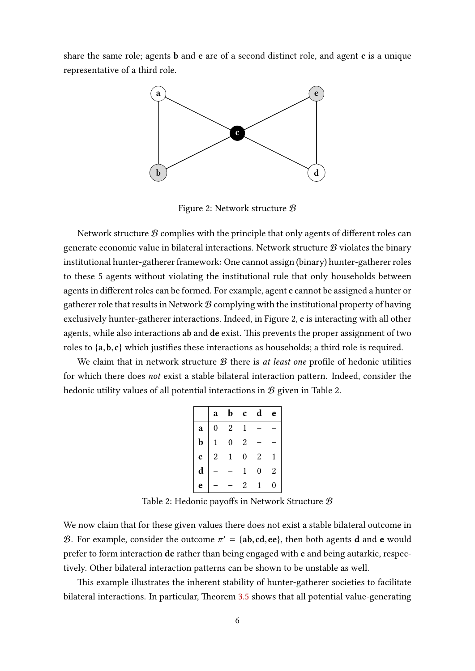share the same role; agents b and e are of a second distinct role, and agent c is a unique representative of a third role.



Figure 2: Network structure B

Network structure  $B$  complies with the principle that only agents of different roles can generate economic value in bilateral interactions. Network structure  $B$  violates the binary institutional hunter-gatherer framework: One cannot assign (binary) hunter-gatherer roles to these 5 agents without violating the institutional rule that only households between agents in different roles can be formed. For example, agent c cannot be assigned a hunter or gatherer role that results in Network  $B$  complying with the institutional property of having exclusively hunter-gatherer interactions. Indeed, in Figure 2, c is interacting with all other agents, while also interactions ab and de exist. This prevents the proper assignment of two roles to  ${a,b,c}$  which justifies these interactions as households; a third role is required.

We claim that in network structure  $B$  there is at least one profile of hedonic utilities for which there does not exist a stable bilateral interaction pattern. Indeed, consider the hedonic utility values of all potential interactions in  $B$  given in Table 2.

|   | a              | $\mathbf{b}$ | $\mathbf{c}$   | d            | e |
|---|----------------|--------------|----------------|--------------|---|
| a | $\mathbf{0}$   | $2 \quad 1$  |                |              |   |
| b |                | $\bf{0}$     | 2              |              |   |
| c | $\overline{2}$ | $\mathbf{1}$ | $\mathbf{0}$   | $\mathbf{2}$ |   |
| d |                |              | $\mathbf{1}$   | 0            | 2 |
| e |                |              | $\overline{c}$ |              | 0 |

Table 2: Hedonic payoffs in Network Structure  $B$ 

We now claim that for these given values there does not exist a stable bilateral outcome in B. For example, consider the outcome  $\pi' = {\bf ab, cd, ee}$ , then both agents **d** and **e** would prefer to form interaction de rather than being engaged with c and being autarkic, respectively. Other bilateral interaction patterns can be shown to be unstable as well.

This example illustrates the inherent stability of hunter-gatherer societies to facilitate bilateral interactions. In particular, Theorem [3.5](#page-14-1) shows that all potential value-generating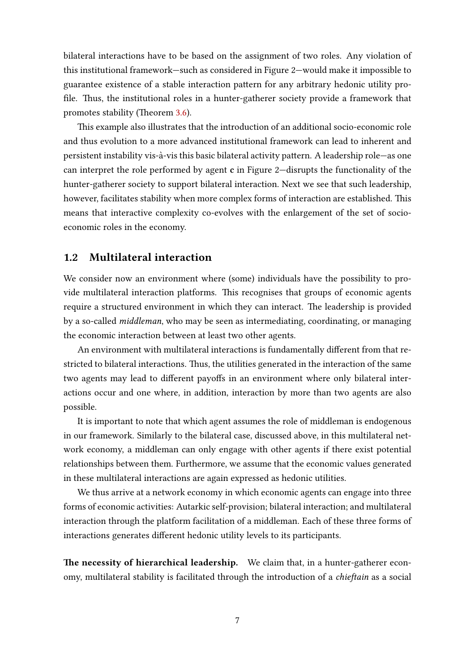bilateral interactions have to be based on the assignment of two roles. Any violation of this institutional framework—such as considered in Figure 2—would make it impossible to guarantee existence of a stable interaction pattern for any arbitrary hedonic utility profile. Thus, the institutional roles in a hunter-gatherer society provide a framework that promotes stability (Theorem [3.6\)](#page-14-0).

This example also illustrates that the introduction of an additional socio-economic role and thus evolution to a more advanced institutional framework can lead to inherent and persistent instability vis-à-vis this basic bilateral activity pattern. A leadership role—as one can interpret the role performed by agent c in Figure 2—disrupts the functionality of the hunter-gatherer society to support bilateral interaction. Next we see that such leadership, however, facilitates stability when more complex forms of interaction are established. This means that interactive complexity co-evolves with the enlargement of the set of socioeconomic roles in the economy.

### 1.2 Multilateral interaction

We consider now an environment where (some) individuals have the possibility to provide multilateral interaction platforms. This recognises that groups of economic agents require a structured environment in which they can interact. The leadership is provided by a so-called middleman, who may be seen as intermediating, coordinating, or managing the economic interaction between at least two other agents.

An environment with multilateral interactions is fundamentally different from that restricted to bilateral interactions. Thus, the utilities generated in the interaction of the same two agents may lead to different payoffs in an environment where only bilateral interactions occur and one where, in addition, interaction by more than two agents are also possible.

It is important to note that which agent assumes the role of middleman is endogenous in our framework. Similarly to the bilateral case, discussed above, in this multilateral network economy, a middleman can only engage with other agents if there exist potential relationships between them. Furthermore, we assume that the economic values generated in these multilateral interactions are again expressed as hedonic utilities.

We thus arrive at a network economy in which economic agents can engage into three forms of economic activities: Autarkic self-provision; bilateral interaction; and multilateral interaction through the platform facilitation of a middleman. Each of these three forms of interactions generates different hedonic utility levels to its participants.

The necessity of hierarchical leadership. We claim that, in a hunter-gatherer economy, multilateral stability is facilitated through the introduction of a *chieftain* as a social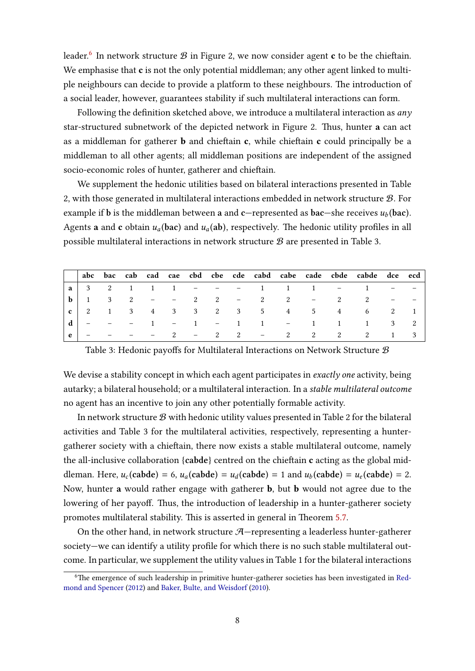leader.<sup>[6](#page-8-0)</sup> In network structure  $\hat{\mathcal{B}}$  in Figure 2, we now consider agent  $\mathbf c$  to be the chieftain. We emphasise that c is not the only potential middleman; any other agent linked to multiple neighbours can decide to provide a platform to these neighbours. The introduction of a social leader, however, guarantees stability if such multilateral interactions can form.

Following the definition sketched above, we introduce a multilateral interaction as  $any$ star-structured subnetwork of the depicted network in Figure 2. Thus, hunter a can act as a middleman for gatherer  **and chieftain**  $**c**$ **, while chieftain**  $**c**$  **could principally be a** middleman to all other agents; all middleman positions are independent of the assigned socio-economic roles of hunter, gatherer and chieftain.

We supplement the hedonic utilities based on bilateral interactions presented in Table 2, with those generated in multilateral interactions embedded in network structure  $B$ . For example if **b** is the middleman between a and **c**—represented as **bac**—she receives  $u_b$  (**bac**). Agents **a** and **c** obtain  $u_a$ (bac) and  $u_a$ (ab), respectively. The hedonic utility profiles in all possible multilateral interactions in network structure  $\mathcal{B}$  are presented in Table 3.

|  |  |  |  |  |  | abc bac cab cad cae cbd cbe cde cabd cabe cade cbde cabde dce ecd  |  |
|--|--|--|--|--|--|--------------------------------------------------------------------|--|
|  |  |  |  |  |  | <b>a</b>   3   2   2   1   1   - - - - - 1   1   1   -   1   - - - |  |
|  |  |  |  |  |  | <b>b</b>   1 3 2 - - 2 2 - 2 2 - 2 2 - -                           |  |
|  |  |  |  |  |  | c 2 1 3 4 3 3 2 3 5 4 5 4 6 2 1                                    |  |
|  |  |  |  |  |  | $-1$ $-1$ $-1$ $1$ $-1$ $1$ $-1$ $1$ $1$ $3$ $2$                   |  |
|  |  |  |  |  |  | $  -$ 2 $-$ 2 2 $-$ 2 2 2 2 1 3                                    |  |

Table 3: Hedonic payoffs for Multilateral Interactions on Network Structure  $B$ 

We devise a stability concept in which each agent participates in exactly one activity, being autarky; a bilateral household; or a multilateral interaction. In a stable multilateral outcome no agent has an incentive to join any other potentially formable activity.

In network structure  $B$  with hedonic utility values presented in Table 2 for the bilateral activities and Table 3 for the multilateral activities, respectively, representing a huntergatherer society with a chieftain, there now exists a stable multilateral outcome, namely the all-inclusive collaboration  $\{cable\}$  centred on the chieftain  $c$  acting as the global middleman. Here,  $u_c$ (cabde) = 6,  $u_a$ (cabde) =  $u_d$ (cabde) = 1 and  $u_b$ (cabde) =  $u_e$ (cabde) = 2. Now, hunter a would rather engage with gatherer **b**, but **b** would not agree due to the lowering of her payoff. Thus, the introduction of leadership in a hunter-gatherer society promotes multilateral stability. This is asserted in general in Theorem [5.7.](#page-26-2)

On the other hand, in network structure  $A$ -representing a leaderless hunter-gatherer society—we can identify a utility profile for which there is no such stable multilateral outcome. In particular, we supplement the utility values in Table 1 for the bilateral interactions

<span id="page-8-0"></span> $6$ The emergence of such leadership in primitive hunter-gatherer societies has been investigated in [Red](#page-29-13)[mond and Spencer](#page-29-13) [\(2012\)](#page-29-13) and [Baker, Bulte, and Weisdorf](#page-27-11) [\(2010\)](#page-27-11).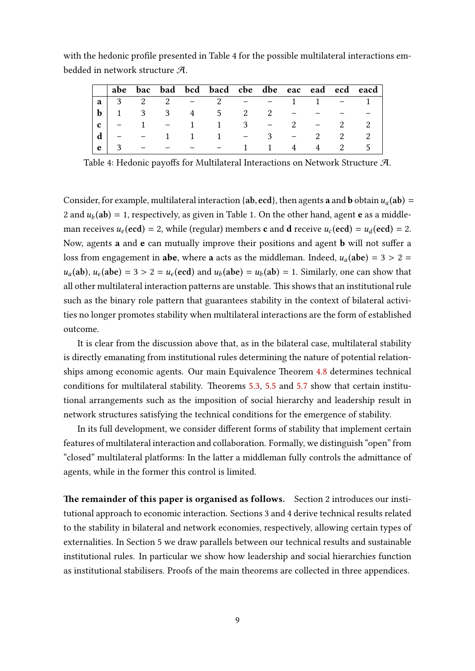|             |  |              | abe bac bad bcd bacd cbe dbe eac ead ecd eacd |               |   |  |             |              |
|-------------|--|--------------|-----------------------------------------------|---------------|---|--|-------------|--------------|
| a           |  |              |                                               |               |   |  |             |              |
| b           |  | $\mathbf{3}$ | 5                                             | 2             |   |  |             |              |
| $\mathbf c$ |  |              | 1.                                            | $\mathcal{R}$ |   |  | $2^{\circ}$ |              |
| d           |  |              | 1.                                            |               | 3 |  | 2           |              |
| e           |  |              |                                               |               |   |  |             | $\mathbf{b}$ |

with the hedonic profile presented in Table 4 for the possible multilateral interactions embedded in network structure A.

Table 4: Hedonic payoffs for Multilateral Interactions on Network Structure  $\mathcal{A}$ .

Consider, for example, multilateral interaction {ab, ecd}, then agents a and b obtain  $u_a$ (ab) = 2 and  $u_b$ (ab) = 1, respectively, as given in Table 1. On the other hand, agent **e** as a middleman receives  $u_e(\text{ecd}) = 2$ , while (regular) members **c** and **d** receive  $u_c(\text{ecd}) = u_d(\text{ecd}) = 2$ . Now, agents a and e can mutually improve their positions and agent **b** will not suffer a loss from engagement in **abe**, where **a** acts as the middleman. Indeed,  $u_a$ (abe) = 3 > 2 =  $u_a$ (ab),  $u_e$ (abe) = 3 > 2 =  $u_e$ (ecd) and  $u_b$ (abe) =  $u_b$ (ab) = 1. Similarly, one can show that all other multilateral interaction patterns are unstable. This shows that an institutional rule such as the binary role pattern that guarantees stability in the context of bilateral activities no longer promotes stability when multilateral interactions are the form of established outcome.

It is clear from the discussion above that, as in the bilateral case, multilateral stability is directly emanating from institutional rules determining the nature of potential relation-ships among economic agents. Our main Equivalence Theorem [4.8](#page-19-0) determines technical conditions for multilateral stability. Theorems  $5.3$ ,  $5.5$  and  $5.7$  show that certain institutional arrangements such as the imposition of social hierarchy and leadership result in network structures satisfying the technical conditions for the emergence of stability.

In its full development, we consider different forms of stability that implement certain features of multilateral interaction and collaboration. Formally, we distinguish "open" from "closed" multilateral platforms: In the latter a middleman fully controls the admittance of agents, while in the former this control is limited.

The remainder of this paper is organised as follows. Section 2 introduces our institutional approach to economic interaction. Sections 3 and 4 derive technical results related to the stability in bilateral and network economies, respectively, allowing certain types of externalities. In Section 5 we draw parallels between our technical results and sustainable institutional rules. In particular we show how leadership and social hierarchies function as institutional stabilisers. Proofs of the main theorems are collected in three appendices.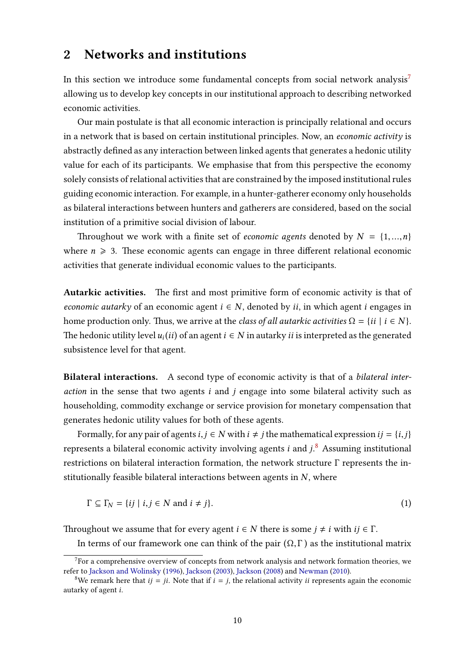## 2 Networks and institutions

In this section we introduce some fundamental concepts from social network analysis<sup>[7](#page-10-0)</sup> allowing us to develop key concepts in our institutional approach to describing networked economic activities.

Our main postulate is that all economic interaction is principally relational and occurs in a network that is based on certain institutional principles. Now, an economic activity is abstractly defined as any interaction between linked agents that generates a hedonic utility value for each of its participants. We emphasise that from this perspective the economy solely consists of relational activities that are constrained by the imposed institutional rules guiding economic interaction. For example, in a hunter-gatherer economy only households as bilateral interactions between hunters and gatherers are considered, based on the social institution of a primitive social division of labour.

Throughout we work with a finite set of *economic agents* denoted by  $N = \{1,...,n\}$ where  $n \geqslant 3$ . These economic agents can engage in three different relational economic activities that generate individual economic values to the participants.

Autarkic activities. The first and most primitive form of economic activity is that of economic autarky of an economic agent  $i \in N$ , denoted by ii, in which agent i engages in home production only. Thus, we arrive at the *class of all autarkic activities*  $\Omega = \{ii \mid i \in N\}$ . The hedonic utility level  $u_i(ii)$  of an agent  $i \in N$  in autarky *ii* is interpreted as the generated subsistence level for that agent.

**Bilateral interactions.** A second type of economic activity is that of a *bilateral interaction* in the sense that two agents  $i$  and  $j$  engage into some bilateral activity such as householding, commodity exchange or service provision for monetary compensation that generates hedonic utility values for both of these agents.

Formally, for any pair of agents  $i, j \in N$  with  $i \neq j$  the mathematical expression  $ij = \{i, j\}$ represents a bilateral economic activity involving agents  $i$  and  $j$ .<sup>[8](#page-10-1)</sup> Assuming institutional restrictions on bilateral interaction formation, the network structure Γ represents the institutionally feasible bilateral interactions between agents in  $N$ , where

$$
\Gamma \subseteq \Gamma_N = \{ij \mid i, j \in N \text{ and } i \neq j\}.
$$
\n<sup>(1)</sup>

Throughout we assume that for every agent  $i \in N$  there is some  $j \neq i$  with  $ij \in \Gamma$ .

<span id="page-10-0"></span>In terms of our framework one can think of the pair  $(\Omega, \Gamma)$  as the institutional matrix

<sup>&</sup>lt;sup>7</sup>For a comprehensive overview of concepts from network analysis and network formation theories, we refer to [Jackson and Wolinsky](#page-28-1) [\(1996\)](#page-28-1), [Jackson](#page-28-9) [\(2003\)](#page-28-9), [Jackson](#page-28-10) [\(2008\)](#page-28-10) and [Newman](#page-29-14) [\(2010\)](#page-29-14).

<span id="page-10-1"></span><sup>&</sup>lt;sup>8</sup>We remark here that  $ij = ji$ . Note that if  $i = j$ , the relational activity ii represents again the economic autarky of agent i.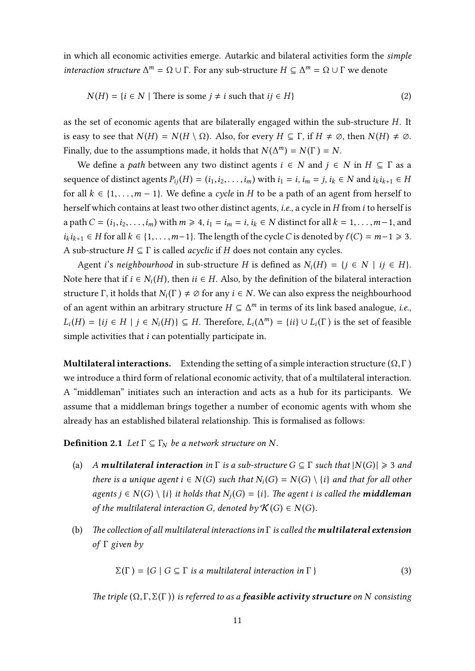in which all economic activities emerge. Autarkic and bilateral activities form the simple *interaction structure*  $\Delta^m = \Omega \cup \Gamma$ . For any sub-structure  $H \subseteq \Delta^m = \Omega \cup \Gamma$  we denote

$$
N(H) = \{i \in N \mid \text{There is some } j \neq i \text{ such that } ij \in H\}
$$
 (2)

as the set of economic agents that are bilaterally engaged within the sub-structure H. It is easy to see that  $N(H) = N(H \setminus \Omega)$ . Also, for every  $H \subseteq \Gamma$ , if  $H \neq \emptyset$ , then  $N(H) \neq \emptyset$ . Finally, due to the assumptions made, it holds that  $N(\Delta^m) = N(\Gamma) = N$ .

We define a path between any two distinct agents  $i \in N$  and  $j \in N$  in  $H \subseteq \Gamma$  as a sequence of distinct agents  $P_{ij}(H) = (i_1, i_2, \dots, i_m)$  with  $i_1 = i$ ,  $i_m = j$ ,  $i_k \in N$  and  $i_k i_{k+1} \in H$ for all  $k$  ∈ {1,...,  $m - 1$ }. We define a *cycle* in *H* to be a path of an agent from herself to herself which contains at least two other distinct agents, *i.e.*, a cycle in *H* from *i* to herself is a path  $C = (i_1, i_2, \ldots, i_m)$  with  $m \ge 4$ ,  $i_1 = i_m = i$ ,  $i_k \in N$  distinct for all  $k = 1, \ldots, m-1$ , and  $i_k i_{k+1}$  ∈ H for all  $k$  ∈ {1, . . . , m−1}. The length of the cycle C is denoted by  $\ell(C) = m-1 \ge 3$ . A sub-structure  $H \subseteq \Gamma$  is called *acyclic* if H does not contain any cycles.

Agent *i*'s *neighbourhood* in sub-structure *H* is defined as  $N_i(H) = \{j \in N \mid ij \in H\}$ . Note here that if  $i \in N_i(H)$ , then  $ii \in H$ . Also, by the definition of the bilateral interaction structure Γ, it holds that  $N_i(\Gamma) \neq \emptyset$  for any  $i \in N$ . We can also express the neighbourhood of an agent within an arbitrary structure  $H \subseteq \Delta^m$  in terms of its link based analogue, *i.e.*,<br> $H(H) = H(H) = H(H) = \int_{\Delta} H(H) \cdot H(H) = H(H)$ simple activities that *i* can potentially participate in.  $(H) = \{ij \in H \mid j \in N_i(H)\} \subseteq H$ . Therefore,  $L_i(\Delta^m) = \{ii\} \cup L_i(\Gamma)$  is the set of feasible

Multilateral interactions. Extending the setting of a simple interaction structure  $(\Omega, \Gamma)$ we introduce a third form of relational economic activity, that of a multilateral interaction. A "middleman" initiates such an interaction and acts as a hub for its participants. We assume that a middleman brings together a number of economic agents with whom she already has an established bilateral relationship. This is formalised as follows:

#### **Definition 2.1** Let  $\Gamma \subseteq \Gamma_N$  be a network structure on N.

- (a) A **multilateral interaction** in  $\Gamma$  is a sub-structure  $G \subseteq \Gamma$  such that  $|N(G)| \geq 3$  and there is a unique agent  $i \in N(G)$  such that  $N_i(G) = N(G) \setminus \{i\}$  and that for all other agents  $j \in N(G) \setminus \{i\}$  it holds that  $N_j(G) = \{i\}$ . The agent i is called the **middleman** of the multilateral interaction G, denoted by  $\mathcal{K}(G) \in N(G)$ .
- (b) The collection of all multilateral interactions in  $\Gamma$  is called the **multilateral extension** of Γ given by

$$
\Sigma(\Gamma) = \{ G \mid G \subseteq \Gamma \text{ is a multilateral interaction in } \Gamma \}
$$
 (3)

The triple  $(\Omega, \Gamma, \Sigma(\Gamma))$  is referred to as a **feasible activity structure** on N consisting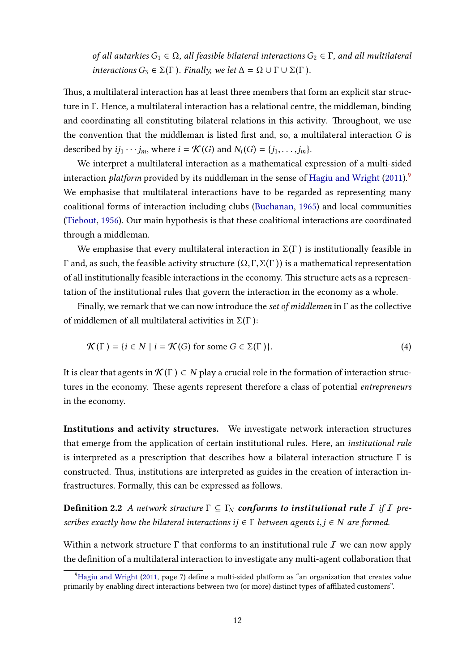of all autarkies  $G_1 \in \Omega$ , all feasible bilateral interactions  $G_2 \in \Gamma$ , and all multilateral interactions  $G_3 \in \Sigma(\Gamma)$ . Finally, we let  $\Delta = \Omega \cup \Gamma \cup \Sigma(\Gamma)$ .

Thus, a multilateral interaction has at least three members that form an explicit star structure in Γ. Hence, a multilateral interaction has a relational centre, the middleman, binding and coordinating all constituting bilateral relations in this activity. Throughout, we use the convention that the middleman is listed first and, so, a multilateral interaction  $G$  is described by  $ij_1 \cdots j_m$ , where  $i = \mathcal{K}(G)$  and  $N_i(G) = \{j_1, \ldots, j_m\}$ .

We interpret a multilateral interaction as a mathematical expression of a multi-sided interaction *platform* provided by its middleman in the sense of [Hagiu and Wright](#page-28-2)  $(2011)$ .<sup>[9](#page-12-0)</sup> We emphasise that multilateral interactions have to be regarded as representing many coalitional forms of interaction including clubs [\(Buchanan,](#page-27-12) [1965\)](#page-27-12) and local communities [\(Tiebout,](#page-30-5) [1956\)](#page-30-5). Our main hypothesis is that these coalitional interactions are coordinated through a middleman.

We emphasise that every multilateral interaction in  $\Sigma(\Gamma)$  is institutionally feasible in Γ and, as such, the feasible activity structure  $(Ω, Γ, Σ(Γ))$  is a mathematical representation of all institutionally feasible interactions in the economy. This structure acts as a representation of the institutional rules that govern the interaction in the economy as a whole.

Finally, we remark that we can now introduce the set of middlemen in  $\Gamma$  as the collective of middlemen of all multilateral activities in  $\Sigma(\Gamma)$ :

$$
\mathcal{K}(\Gamma) = \{ i \in N \mid i = \mathcal{K}(G) \text{ for some } G \in \Sigma(\Gamma) \}. \tag{4}
$$

It is clear that agents in  $\mathcal{K}(\Gamma) \subset N$  play a crucial role in the formation of interaction structures in the economy. These agents represent therefore a class of potential *entrepreneurs* in the economy.

Institutions and activity structures. We investigate network interaction structures that emerge from the application of certain institutional rules. Here, an institutional rule is interpreted as a prescription that describes how a bilateral interaction structure Γ is constructed. Thus, institutions are interpreted as guides in the creation of interaction infrastructures. Formally, this can be expressed as follows.

**Definition 2.2** A network structure  $\Gamma \subseteq \Gamma_N$  conforms to institutional rule *I* if *I* prescribes exactly how the bilateral interactions ij  $\in \Gamma$  between agents i,  $j \in N$  are formed.

Within a network structure  $\Gamma$  that conforms to an institutional rule  $\mathcal I$  we can now apply the definition of a multilateral interaction to investigate any multi-agent collaboration that

<span id="page-12-0"></span> $9$ [Hagiu and Wright](#page-28-2) [\(2011,](#page-28-2) page 7) define a multi-sided platform as "an organization that creates value primarily by enabling direct interactions between two (or more) distinct types of affiliated customers".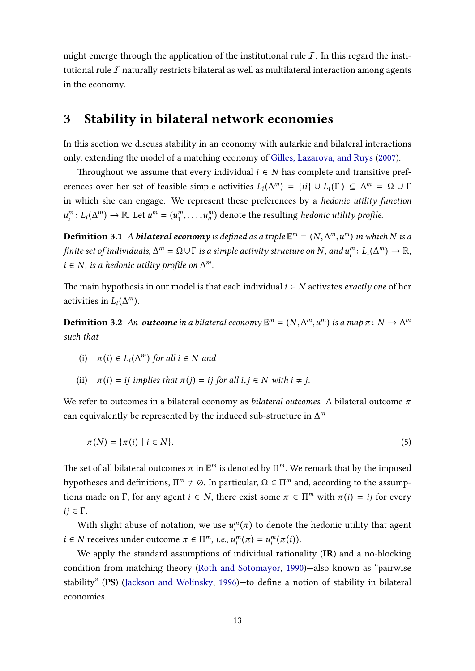might emerge through the application of the institutional rule  $\mathcal{I}$ . In this regard the institutional rule  $I$  naturally restricts bilateral as well as multilateral interaction among agents in the economy.

### 3 Stability in bilateral network economies

In this section we discuss stability in an economy with autarkic and bilateral interactions only, extending the model of a matching economy of [Gilles, Lazarova, and Ruys](#page-28-11) [\(2007\)](#page-28-11).

Throughout we assume that every individual  $i \in N$  has complete and transitive preferences over her set of feasible simple activities  $L_i(\Delta^m) = \{ii\} \cup L_i(\Gamma) \subseteq \Delta^m = \Omega \cup \Gamma$ in which she can engage. We represent these preferences by a *hedonic utility function*  $u_i^m: L_i(\Delta^m) \to \mathbb{R}$ . Let  $u^m = (u_1^m, \dots, u_n^m)$  denote the resulting *hedonic utility profile.* 

**Definition 3.1** A **bilateral economy** is defined as a triple  $\mathbb{E}^m = (N, \Delta^m, u^m)$  in which N is a contract to the latter of the latter of the latter of the latter of the latter of the latter of the latter of the latte finite set of individuals,  $\Delta^m = \Omega \cup \Gamma$  is a simple activity structure on N, and  $u_i^m: L_i(\Delta^m) \to \mathbb{R}$ ,  $i \in N$ , is a hedonic utility profile on  $\Delta^m$ .

The main hypothesis in our model is that each individual  $i \in N$  activates *exactly one* of her activities in  $L_i(\Delta^m)$ .

**Definition 3.2** An **outcome** in a bilateral economy  $\mathbb{E}^m = (N, \Delta^m, u^m)$  is a map  $\pi \colon N \to \Delta^m$ such that

(i) 
$$
\pi(i) \in L_i(\Delta^m)
$$
 for all  $i \in N$  and

(ii)  $\pi(i) = ij$  implies that  $\pi(j) = ij$  for all  $i, j \in N$  with  $i \neq j$ .

We refer to outcomes in a bilateral economy as *bilateral outcomes*. A bilateral outcome  $\pi$ can equivalently be represented by the induced sub-structure in  $\Delta^m$ 

$$
\pi(N) = \{\pi(i) \mid i \in N\}.\tag{5}
$$

The set of all bilateral outcomes  $\pi$  in  $\mathbb{E}^m$  is denoted by  $\Pi^m$ . We remark that by the imposed hypotheses and definitions,  $\Pi^m \neq \emptyset$ . In particular,  $\Omega \in \Pi^m$  and, according to the assumptions made on Γ, for any agent  $i \in N$ , there exist some  $\pi \in \Pi^m$  with  $\pi(i) = ij$  for every  $ij \in \Gamma$ .

With slight abuse of notation, we use  $u_i^m(\pi)$  to denote the hedonic utility that agent  $i \in N$  receives under outcome  $\pi \in \Pi^m$ , *i.e.*,  $u_i^m(\pi) = u_i^m(\pi(i))$ .

<span id="page-13-0"></span>We apply the standard assumptions of individual rationality  $I(R)$  and a no-blocking condition from matching theory [\(Roth and Sotomayor,](#page-29-2) [1990\)](#page-29-2)—also known as "pairwise stability" (PS) [\(Jackson and Wolinsky,](#page-28-1) [1996\)](#page-28-1)—to define a notion of stability in bilateral economies.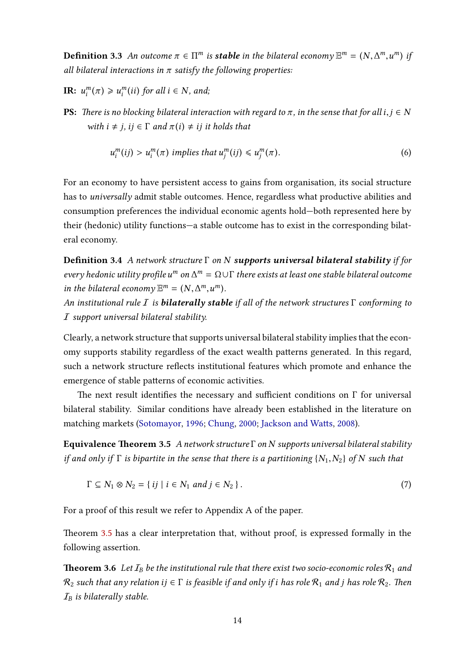**Definition 3.3** An outcome  $\pi \in \Pi^m$  is **stable** in the bilateral economy  $\mathbb{E}^m = (N, \Delta^m, u^m)$  if all bilateral interactions in  $\pi$  satisfy the following properties:

**IR**:  $u_i^m(\pi) \geq u_i^m(i)$  for all  $i \in N$ , and;

**PS:** There is no blocking bilateral interaction with regard to  $\pi$ , in the sense that for all  $i, j \in N$ with  $i \neq j$ ,  $ij \in \Gamma$  and  $\pi(i) \neq ij$  it holds that

$$
u_i^m(ij) > u_i^m(\pi) \text{ implies that } u_j^m(ij) \leq u_j^m(\pi). \tag{6}
$$

For an economy to have persistent access to gains from organisation, its social structure has to universally admit stable outcomes. Hence, regardless what productive abilities and consumption preferences the individual economic agents hold—both represented here by their (hedonic) utility functions—a stable outcome has to exist in the corresponding bilateral economy.

**Definition 3.4** A network structure  $\Gamma$  on N supports universal bilateral stability if for every hedonic utility profile  $u^m$  on  $\Delta^m = \Omega \cup \Gamma$  there exists at least one stable bilateral outcome in the bilateral economy  $\mathbb{E}^m = (N, \Delta^m, u^m)$ .

An institutional rule  $I$  is **bilaterally stable** if all of the network structures  $\Gamma$  conforming to  $I$  support universal bilateral stability.

Clearly, a network structure that supports universal bilateral stability implies that the economy supports stability regardless of the exact wealth patterns generated. In this regard, such a network structure reflects institutional features which promote and enhance the emergence of stable patterns of economic activities.

The next result identifies the necessary and sufficient conditions on  $\Gamma$  for universal bilateral stability. Similar conditions have already been established in the literature on matching markets [\(Sotomayor,](#page-29-15) [1996;](#page-29-15) [Chung,](#page-27-13) [2000;](#page-27-13) Jackson and Watts, [2008\)](#page-28-3).

**Equivalence Theorem 3.5** A network structure  $\Gamma$  on N supports universal bilateral stability if and only if  $\Gamma$  is bipartite in the sense that there is a partitioning  $\{N_1, N_2\}$  of N such that

<span id="page-14-1"></span>
$$
\Gamma \subseteq N_1 \otimes N_2 = \{ ij \mid i \in N_1 \ and \ j \in N_2 \} \, . \tag{7}
$$

For a proof of this result we refer to Appendix A of the paper.

<span id="page-14-0"></span>Theorem [3.5](#page-14-1) has a clear interpretation that, without proof, is expressed formally in the following assertion.

**Theorem 3.6** Let  $I_B$  be the institutional rule that there exist two socio-economic roles  $\mathcal{R}_1$  and  $\mathcal{R}_2$  such that any relation ij  $\in \Gamma$  is feasible if and only if i has role  $\mathcal{R}_1$  and j has role  $\mathcal{R}_2$ . Then  $I_B$  is bilaterally stable.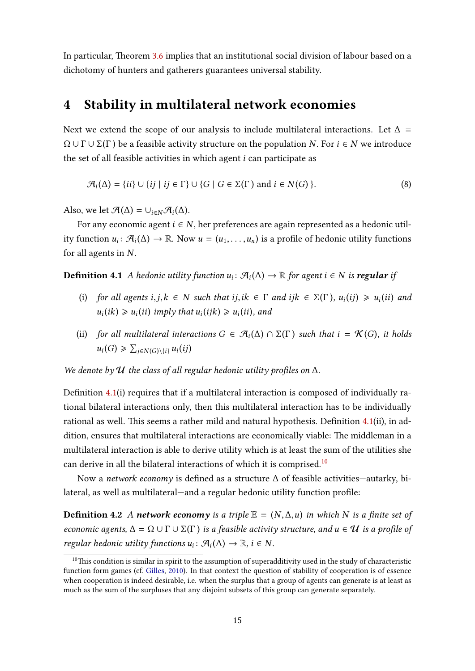In particular, Theorem [3.6](#page-14-0) implies that an institutional social division of labour based on a dichotomy of hunters and gatherers guarantees universal stability.

# 4 Stability in multilateral network economies

Next we extend the scope of our analysis to include multilateral interactions. Let  $\Delta =$  $\Omega \cup \Gamma \cup \Sigma(\Gamma)$  be a feasible activity structure on the population N. For  $i \in N$  we introduce the set of all feasible activities in which agent  $i$  can participate as

$$
\mathcal{A}_i(\Delta) = \{ii\} \cup \{ij \mid ij \in \Gamma\} \cup \{G \mid G \in \Sigma(\Gamma) \text{ and } i \in N(G)\}.
$$
 (8)

Also, we let  $\mathcal{A}(\Delta) = \cup_{i \in N} \mathcal{A}_i(\Delta)$ .

<span id="page-15-0"></span>For any economic agent  $i \in N$ , her preferences are again represented as a hedonic utility function  $u_i: \mathcal{A}_i(\Delta) \to \mathbb{R}$ . Now  $u = (u_1, \ldots, u_n)$  is a profile of hedonic utility functions for all agents in N.

**Definition 4.1** A hedonic utility function  $u_i \colon \mathcal{A}_i(\Delta) \to \mathbb{R}$  for agent  $i \in N$  is **regular** if

- (i) for all agents  $i, j, k \in N$  such that  $ij, ik \in \Gamma$  and  $ijk \in \Sigma(\Gamma)$ ,  $u_i(ij) \geq u_i(ii)$  and  $u_i(ik) \geq u_i(ii)$  imply that  $u_i(ijk) \geq u_i(ii)$ , and
- (ii) for all multilateral interactions  $G \in \mathcal{A}_i(\Delta) \cap \Sigma(\Gamma)$  such that  $i = \mathcal{K}(G)$ , it holds  $u_i(G) \geqslant \sum_{j \in N(G) \setminus \{i\}} u_i(ij)$

We denote by  $U$  the class of all regular hedonic utility profiles on  $\Delta$ .

Definition  $4.1(i)$  $4.1(i)$  requires that if a multilateral interaction is composed of individually rational bilateral interactions only, then this multilateral interaction has to be individually rational as well. This seems a rather mild and natural hypothesis. Definition [4.1\(](#page-15-0)ii), in addition, ensures that multilateral interactions are economically viable: The middleman in a multilateral interaction is able to derive utility which is at least the sum of the utilities she can derive in all the bilateral interactions of which it is comprised.[10](#page-15-1)

Now a *network economy* is defined as a structure  $\Delta$  of feasible activities—autarky, bilateral, as well as multilateral—and a regular hedonic utility function profile:

**Definition 4.2** A network economy is a triple  $\mathbb{E} = (N, \Delta, u)$  in which N is a finite set of economic agents,  $\Delta = \Omega \cup \Gamma \cup \Sigma(\Gamma)$  is a feasible activity structure, and  $u \in \mathcal{U}$  is a profile of regular hedonic utility functions  $u_i: \mathcal{A}_i(\Delta) \to \mathbb{R}, i \in \mathbb{N}$ .

<span id="page-15-1"></span> $10$ This condition is similar in spirit to the assumption of superadditivity used in the study of characteristic function form games (cf. [Gilles,](#page-28-12) [2010\)](#page-28-12). In that context the question of stability of cooperation is of essence when cooperation is indeed desirable, i.e. when the surplus that a group of agents can generate is at least as much as the sum of the surpluses that any disjoint subsets of this group can generate separately.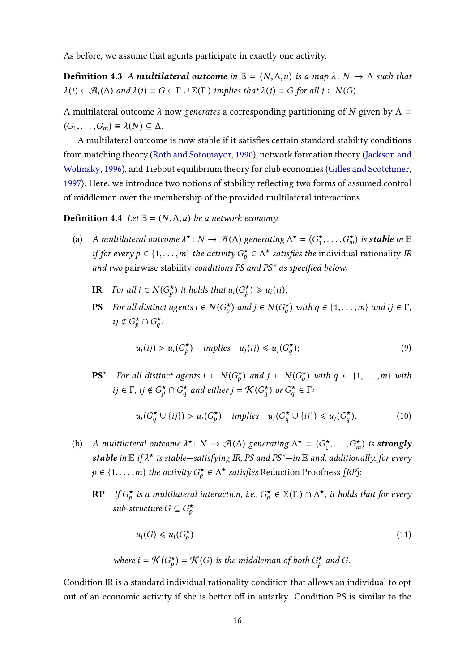As before, we assume that agents participate in exactly one activity.

**Definition 4.3** A **multilateral outcome** in  $\mathbb{E} = (N, \Delta, u)$  is a map  $\lambda: N \to \Delta$  such that  $\lambda(i) \in \mathcal{A}_i(\Delta)$  and  $\lambda(i) = G \in \Gamma \cup \Sigma(\Gamma)$  implies that  $\lambda(j) = G$  for all  $j \in N(G)$ .

A multilateral outcome  $\lambda$  now generates a corresponding partitioning of N given by  $\Lambda$  =  $(G_1,\ldots,G_m)\equiv \lambda(N)\subseteq \Delta.$ 

A multilateral outcome is now stable if it satisfies certain standard stability conditions from matching theory [\(Roth and Sotomayor,](#page-29-2) [1990\)](#page-29-2), network formation theory [\(Jackson and](#page-28-1) [Wolinsky,](#page-28-1) [1996\)](#page-28-1), and Tiebout equilibrium theory for club economies [\(Gilles and Scotchmer,](#page-28-13) [1997\)](#page-28-13). Here, we introduce two notions of stability reflecting two forms of assumed control of middlemen over the membership of the provided multilateral interactions.

#### **Definition 4.4** Let  $\mathbb{E} = (N, \Delta, u)$  be a network economy.

- (a) A multilateral outcome  $\lambda^* : N \to \mathcal{A}(\Delta)$  generating  $\Lambda^* = (G_1^*, \ldots, G_m^*)$  is **stable** in  $\mathbb{E}$ <br>is  $G$  is stable in  $\mathbb{E}$ if for every  $p \in \{1, \ldots, m\}$  the activity  $G_p^{\star} \in \Lambda^{\star}$  satisfies the individual rationality IR and two pairwise stability conditions PS and PS $*$  as specified below:
	- **IR** For all  $i \in N(G_p^{\star})$  it holds that  $u_i(G_p^{\star}) \geq u_i(ii)$ ;  $\mathbf{r}$  $\mathbf{r}$
	- **PS** For all distinct agents  $i \in N(G_p^{\star})$  and  $j \in N(G_q^{\star})$  with  $q \in \{1, ..., m\}$  and  $ij \in \Gamma$ ,  $\mathbf{r}$  $\overline{a}$  $ij \notin G_p^{\star} \cap G_q^{\star}$ :  $\overline{a}$

$$
u_i(ij) > u_i(G_p^{\star}) \quad implies \quad u_j(ij) \leq u_j(G_q^{\star}); \tag{9}
$$

**PS**<sup>\*</sup> For all distinct agents  $i \in N(G_p^{\star})$  and  $j \in N(G_q^{\star})$  with  $q \in \{1, ..., m\}$  with<br> $\vdots$   $\vdots$   $\vdots$   $\vdots$   $\vdots$   $\vdots$   $\vdots$   $\vdots$   $\vdots$   $\vdots$   $\vdots$   $\vdots$   $\vdots$   $\vdots$   $\vdots$   $\vdots$   $\vdots$   $\vdots$   $\vdots$   $\vdots$   $\vdots$   $\vdots$   $\vd$ ij ∈ Γ, ij ∉  $G_p^{\star} \cap G_q^{\star}$  and either  $j = \mathcal{K}(G_q^{\star})$  or  $G_q^{\star} \in \Gamma$ :

$$
u_i(G_q^{\star} \cup \{ij\}) > u_i(G_p^{\star}) \quad implies \quad u_j(G_q^{\star} \cup \{ij\}) \leq u_j(G_q^{\star}). \tag{10}
$$

- (b) A multilateral outcome  $\lambda^* \colon N \to \mathcal{A}(\Delta)$  generating  $\Lambda^* = (G_1^*, \ldots, G_m^*)$  is **strongly** stable in  $\mathbb E$  if  $\lambda^*$  is stable—satisfying IR, PS and PS<sup>\*</sup>—in  $\mathbb E$  and, additionally, for every  $p \in \{1, \ldots, m\}$  the activity  $G_p^{\star} \in \Lambda^{\star}$  satisfies Reduction Proofness [RP]:
	- **RP** If  $G_p^{\star}$  is a multilateral interaction, i.e.,  $G_p^{\star} \in \Sigma(\Gamma) \cap \Lambda^{\star}$ , it holds that for every  $\mathsf{sub-structure} \ G \subseteq G_p^{\star}$  $\overline{f}$

$$
u_i(G) \leq u_i(G_p^{\star})
$$
\n<sup>(11)</sup>

where  $i = \mathcal{K}(G_p^{\star}) = \mathcal{K}(G)$  is the middleman of both  $G_p^{\star}$  and G.

Condition IR is a standard individual rationality condition that allows an individual to opt out of an economic activity if she is better off in autarky. Condition PS is similar to the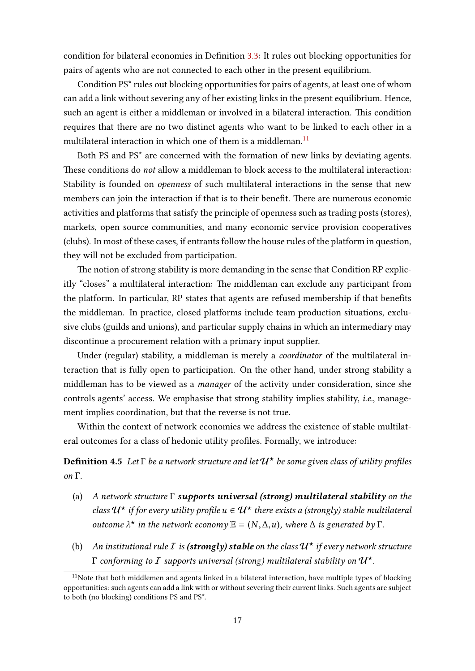condition for bilateral economies in Definition [3.3:](#page-13-0) It rules out blocking opportunities for pairs of agents who are not connected to each other in the present equilibrium.

Condition PS\* rules out blocking opportunities for pairs of agents, at least one of whom can add a link without severing any of her existing links in the present equilibrium. Hence, such an agent is either a middleman or involved in a bilateral interaction. This condition requires that there are no two distinct agents who want to be linked to each other in a multilateral interaction in which one of them is a middleman.<sup>[11](#page-17-0)</sup>

Both PS and PS\* are concerned with the formation of new links by deviating agents. These conditions do *not* allow a middleman to block access to the multilateral interaction: Stability is founded on openness of such multilateral interactions in the sense that new members can join the interaction if that is to their benefit. There are numerous economic activities and platforms that satisfy the principle of openness such as trading posts (stores), markets, open source communities, and many economic service provision cooperatives (clubs). In most of these cases, if entrants follow the house rules of the platform in question, they will not be excluded from participation.

The notion of strong stability is more demanding in the sense that Condition RP explicitly "closes" a multilateral interaction: The middleman can exclude any participant from the platform. In particular, RP states that agents are refused membership if that benefits the middleman. In practice, closed platforms include team production situations, exclusive clubs (guilds and unions), and particular supply chains in which an intermediary may discontinue a procurement relation with a primary input supplier.

Under (regular) stability, a middleman is merely a coordinator of the multilateral interaction that is fully open to participation. On the other hand, under strong stability a middleman has to be viewed as a manager of the activity under consideration, since she controls agents' access. We emphasise that strong stability implies stability, i.e., management implies coordination, but that the reverse is not true.

Within the context of network economies we address the existence of stable multilateral outcomes for a class of hedonic utility profiles. Formally, we introduce:

**Definition 4.5** Let  $\Gamma$  be a network structure and let  $\mathcal{U}^{\star}$  be some given class of utility profiles on Γ.

- (a) A network structure  $\Gamma$  supports universal (strong) multilateral stability on the class  $\mathcal{U}^{\star}$  if for every utility profile  $u \in \mathcal{U}^{\star}$  there exists a (strongly) stable multilateral outcome  $\lambda^*$  in the network economy  $\mathbb{E} = (N, \Delta, u)$ , where  $\Delta$  is generated by  $\Gamma$ .
- (b) An institutional rule  $I$  is (strongly) stable on the class  $U^*$  if every network structure  $\Gamma$  conforming to  $\overline{I}$  supports universal (strong) multilateral stability on  $\mathcal{U}^{\star}$ .

<span id="page-17-0"></span> $11$ Note that both middlemen and agents linked in a bilateral interaction, have multiple types of blocking opportunities: such agents can add a link with or without severing their current links. Such agents are subject to both (no blocking) conditions PS and PS\*.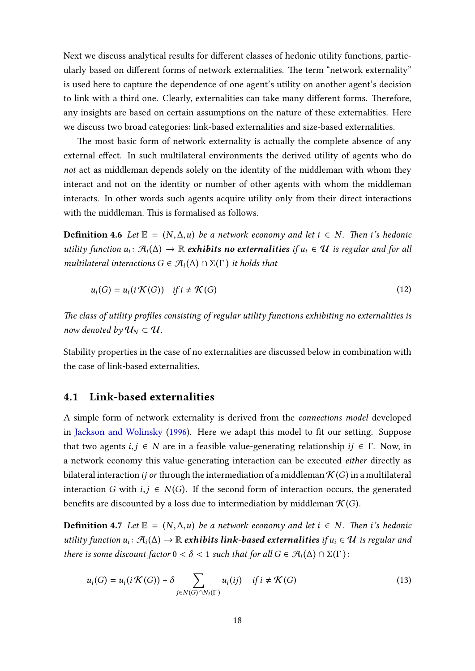Next we discuss analytical results for different classes of hedonic utility functions, particularly based on different forms of network externalities. The term "network externality" is used here to capture the dependence of one agent's utility on another agent's decision to link with a third one. Clearly, externalities can take many different forms. Therefore, any insights are based on certain assumptions on the nature of these externalities. Here we discuss two broad categories: link-based externalities and size-based externalities.

The most basic form of network externality is actually the complete absence of any external effect. In such multilateral environments the derived utility of agents who do not act as middleman depends solely on the identity of the middleman with whom they interact and not on the identity or number of other agents with whom the middleman interacts. In other words such agents acquire utility only from their direct interactions with the middleman. This is formalised as follows.

**Definition 4.6** Let  $\mathbb{E} = (N, \Delta, u)$  be a network economy and let  $i \in N$ . Then i's hedonic utility function  $u_i \colon \mathcal{A}_i(\Delta) \to \mathbb{R}$  exhibits no externalities if  $u_i \in \mathcal{U}$  is regular and for all  $u_i \in \mathcal{U}$  is  $\mathcal{A}_i(\Delta) \circ \mathcal{A}_i(\Delta) \circ \mathcal{A}_i(\Delta)$ multilateral interactions  $G \in \mathcal{A}_i(\Delta) \cap \Sigma(\Gamma)$  it holds that

<span id="page-18-1"></span>
$$
u_i(G) = u_i(i \mathcal{K}(G)) \quad \text{if } i \neq \mathcal{K}(G)
$$
\n
$$
(12)
$$

The class of utility profiles consisting of regular utility functions exhibiting no externalities is now denoted by  $\mathcal{U}_N \subset \mathcal{U}$ .

Stability properties in the case of no externalities are discussed below in combination with the case of link-based externalities.

### 4.1 Link-based externalities

A simple form of network externality is derived from the connections model developed in [Jackson and Wolinsky](#page-28-1) [\(1996\)](#page-28-1). Here we adapt this model to fit our setting. Suppose that two agents  $i, j \in N$  are in a feasible value-generating relationship  $ij \in \Gamma$ . Now, in a network economy this value-generating interaction can be executed either directly as bilateral interaction *ij or* through the intermediation of a middleman  $\mathcal{K}(G)$  in a multilateral interaction G with  $i, j \in N(G)$ . If the second form of interaction occurs, the generated benefits are discounted by a loss due to intermediation by middleman  $\mathcal{K}(G)$ .

**Definition 4.7** Let  $\mathbb{E} = (N, \Delta, u)$  be a network economy and let  $i \in N$ . Then i's hedonic utility function  $u_i: \mathcal{A}_i(\Delta) \to \mathbb{R}$  exhibits link-based externalities if  $u_i \in \mathcal{U}$  is regular and there is some discount factor  $0 < \delta < 1$  such that for all  $G \in \mathcal{A}_i(\Delta) \cap \Sigma(\Gamma)$ :

<span id="page-18-0"></span>
$$
u_i(G) = u_i(i\mathcal{K}(G)) + \delta \sum_{j \in N(G) \cap N_i(\Gamma)} u_i(ij) \quad \text{if } i \neq \mathcal{K}(G)
$$
 (13)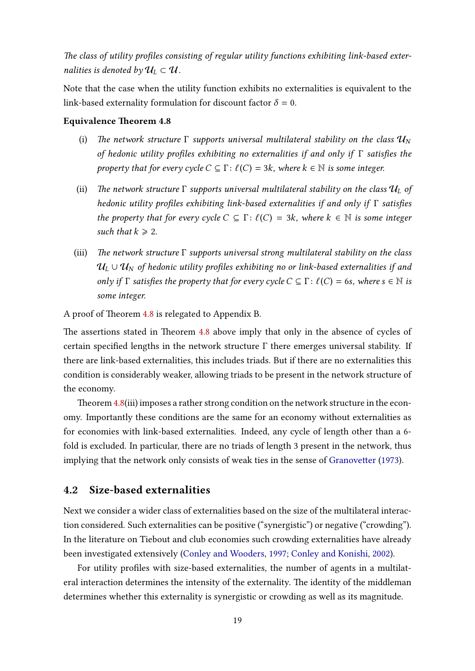The class of utility profiles consisting of regular utility functions exhibiting link-based externalities is denoted by  $\mathcal{U}_L \subset \mathcal{U}$ .

Note that the case when the utility function exhibits no externalities is equivalent to the link-based externality formulation for discount factor  $\delta = 0$ .

#### Equivalence Theorem 4.8

- <span id="page-19-0"></span>(i) The network structure  $\Gamma$  supports universal multilateral stability on the class  $\mathcal{U}_N$ of hedonic utility profiles exhibiting no externalities if and only if  $\Gamma$  satisfies the property that for every cycle  $C \subseteq \Gamma : \ell(C) = 3k$ , where  $k \in \mathbb{N}$  is some integer.
- (ii) The network structure  $\Gamma$  supports universal multilateral stability on the class  $\mathcal{U}_L$  of hedonic utility profiles exhibiting link-based externalities if and only if  $\Gamma$  satisfies the property that for every cycle  $C \subseteq \Gamma : \ell(C) = 3k$ , where  $k \in \mathbb{N}$  is some integer such that  $k \ge 2$ .
- (iii) The network structure  $\Gamma$  supports universal strong multilateral stability on the class  $\mathcal{U}_L \cup \mathcal{U}_N$  of hedonic utility profiles exhibiting no or link-based externalities if and only if  $\Gamma$  satisfies the property that for every cycle  $C \subseteq \Gamma : \ell(C) = 6s$ , where  $s \in \mathbb{N}$  is some integer.

A proof of Theorem [4.8](#page-19-0) is relegated to Appendix B.

The assertions stated in Theorem [4.8](#page-19-0) above imply that only in the absence of cycles of certain specified lengths in the network structure  $\Gamma$  there emerges universal stability. If there are link-based externalities, this includes triads. But if there are no externalities this condition is considerably weaker, allowing triads to be present in the network structure of the economy.

Theorem  $4.8$ (iii) imposes a rather strong condition on the network structure in the economy. Importantly these conditions are the same for an economy without externalities as for economies with link-based externalities. Indeed, any cycle of length other than a 6 fold is excluded. In particular, there are no triads of length 3 present in the network, thus implying that the network only consists of weak ties in the sense of Granovetter [\(1973\)](#page-28-14).

### 4.2 Size-based externalities

Next we consider a wider class of externalities based on the size of the multilateral interaction considered. Such externalities can be positive ("synergistic") or negative ("crowding"). In the literature on Tiebout and club economies such crowding externalities have already been investigated extensively [\(Conley and Wooders,](#page-27-14) [1997;](#page-27-14) [Conley and Konishi,](#page-27-15) [2002\)](#page-27-15).

For utility profiles with size-based externalities, the number of agents in a multilateral interaction determines the intensity of the externality. The identity of the middleman determines whether this externality is synergistic or crowding as well as its magnitude.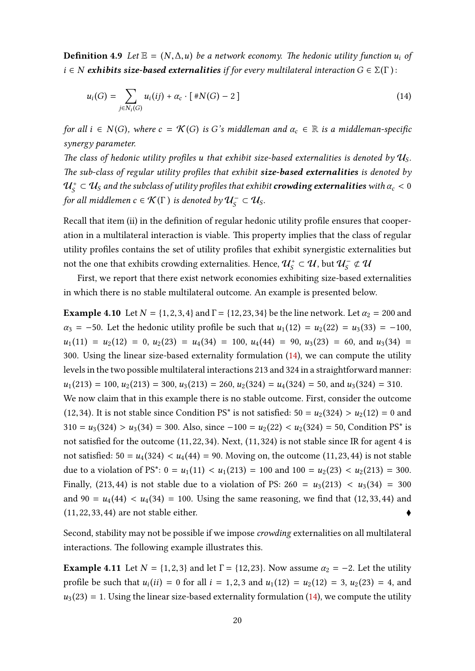**Definition 4.9** Let  $\mathbb{E} = (N, \Delta, u)$  be a network economy. The hedonic utility function  $u_i$  of  $i \in N$  exhibits size-based externalities if for every multilateral interaction  $G \in \Sigma(\Gamma)$ :

<span id="page-20-0"></span>
$$
u_i(G) = \sum_{j \in N_i(G)} u_i(ij) + \alpha_c \cdot [H N(G) - 2]
$$
\n(14)

for all  $i \in N(G)$ , where  $c = \mathcal{K}(G)$  is G's middleman and  $\alpha_c \in \mathbb{R}$  is a middleman-specific synergy parameter.

The class of hedonic utility profiles u that exhibit size-based externalities is denoted by  $u_s$ . The sub-class of regular utility profiles that exhibit size-based externalities is denoted by  $u_s^+ \subset u_s$  and the subclass of utility profiles that exhibit **crowding externalities** with  $\alpha_c < 0$ for all middlemen  $c \in \mathcal{K}(\Gamma)$  is denoted by  $\mathcal{U}_S^- \subset \mathcal{U}_S$ .

Recall that item (ii) in the definition of regular hedonic utility profile ensures that cooperation in a multilateral interaction is viable. This property implies that the class of regular utility profiles contains the set of utility profiles that exhibit synergistic externalities but not the one that exhibits crowding externalities. Hence,  $\mathcal{U}_\varsigma^+ \subset \mathcal{U}$ , but  $\mathcal{U}_\varsigma^- \not\subset \mathcal{U}$ 

S S First, we report that there exist network economies exhibiting size-based externalities in which there is no stable multilateral outcome. An example is presented below.

**Example 4.10** Let  $N = \{1, 2, 3, 4\}$  and  $\Gamma = \{12, 23, 34\}$  be the line network. Let  $\alpha_2 = 200$  and  $\alpha_3 = -50$ . Let the hedonic utility profile be such that  $u_1(12) = u_2(22) = u_3(33) = -100$ ,  $u_1(11) = u_2(12) = 0$ ,  $u_2(23) = u_4(34) = 100$ ,  $u_4(44) = 90$ ,  $u_3(23) = 60$ , and  $u_3(34) =$ 300. Using the linear size-based externality formulation [\(14\)](#page-20-0), we can compute the utility levels in the two possible multilateral interactions 213 and 324 in a straightforward manner:  $u_1(213) = 100$ ,  $u_2(213) = 300$ ,  $u_3(213) = 260$ ,  $u_2(324) = u_4(324) = 50$ , and  $u_3(324) = 310$ . We now claim that in this example there is no stable outcome. First, consider the outcome (12,34). It is not stable since Condition PS<sup>\*</sup> is not satisfied:  $50 = u_2(324) > u_2(12) = 0$  and  $310 = u_3(324) > u_3(34) = 300$ . Also, since  $-100 = u_2(22) < u_2(324) = 50$ , Condition PS<sup>\*</sup> is not satisfied for the outcome  $(11, 22, 34)$ . Next,  $(11, 324)$  is not stable since IR for agent 4 is not satisfied:  $50 = u_4(324) < u_4(44) = 90$ . Moving on, the outcome (11, 23, 44) is not stable due to a violation of PS<sup>\*</sup>:  $0 = u_1(11) < u_1(213) = 100$  and  $100 = u_2(23) < u_2(213) = 300$ . Finally, (213, 44) is not stable due to a violation of PS: 260 =  $u_3(213)$  <  $u_3(34)$  = 300 and 90 =  $u_4(44)$  <  $u_4(34)$  = 100. Using the same reasoning, we find that (12,33,44) and (11,22,33,44) are not stable either.

Second, stability may not be possible if we impose crowding externalities on all multilateral interactions. The following example illustrates this.

**Example 4.11** Let  $N = \{1,2,3\}$  and let  $\Gamma = \{12,23\}$ . Now assume  $\alpha_2 = -2$ . Let the utility profile be such that  $u_i(ii) = 0$  for all  $i = 1, 2, 3$  and  $u_1(12) = u_2(12) = 3$ ,  $u_2(23) = 4$ , and  $u_3(23) = 1$ . Using the linear size-based externality formulation [\(14\)](#page-20-0), we compute the utility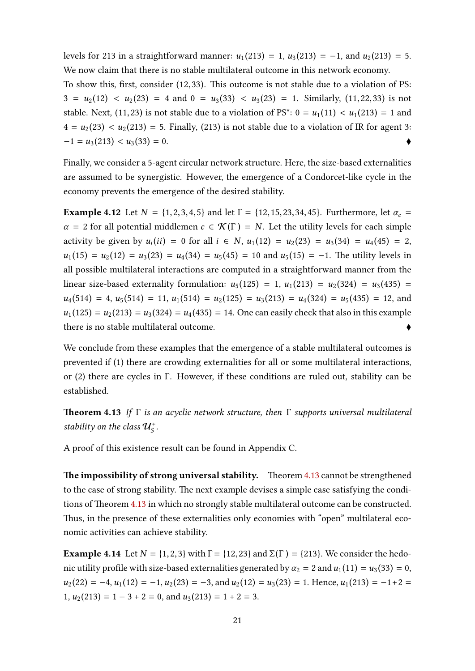levels for 213 in a straightforward manner:  $u_1(213) = 1$ ,  $u_3(213) = -1$ , and  $u_2(213) = 5$ . We now claim that there is no stable multilateral outcome in this network economy.

To show this, first, consider  $(12,33)$ . This outcome is not stable due to a violation of PS:  $3 = u_2(12) < u_2(23) = 4$  and  $0 = u_3(33) < u_3(23) = 1$ . Similarly, (11, 22, 33) is not stable. Next, (11,23) is not stable due to a violation of PS<sup>\*</sup>:  $0 = u_1(11) < u_1(213) = 1$  and  $4 = u_2(23) < u_2(213) = 5$ . Finally, (213) is not stable due to a violation of IR for agent 3:<br>-1 =  $u_3(213) < u_3(33) = 0$ .  $-1 = u_3(213) < u_3(33) = 0.$ 

Finally, we consider a 5-agent circular network structure. Here, the size-based externalities are assumed to be synergistic. However, the emergence of a Condorcet-like cycle in the economy prevents the emergence of the desired stability.

**Example 4.12** Let  $N = \{1, 2, 3, 4, 5\}$  and let  $\Gamma = \{12, 15, 23, 34, 45\}$ . Furthermore, let  $\alpha_c =$  $\alpha = 2$  for all potential middlemen  $c \in \mathcal{K}(\Gamma) = N$ . Let the utility levels for each simple activity be given by  $u_i(ii) = 0$  for all  $i \in N$ ,  $u_1(12) = u_2(23) = u_3(34) = u_4(45) = 2$ ,  $u_1(15) = u_2(12) = u_3(23) = u_4(34) = u_5(45) = 10$  and  $u_5(15) = -1$ . The utility levels in all possible multilateral interactions are computed in a straightforward manner from the linear size-based externality formulation:  $u_5(125) = 1$ ,  $u_1(213) = u_2(324) = u_3(435) = 1$  $u_4(514) = 4$ ,  $u_5(514) = 11$ ,  $u_1(514) = u_2(125) = u_3(213) = u_4(324) = u_5(435) = 12$ , and  $u_1(125) = u_2(213) = u_3(324) = u_4(435) = 14$ . One can easily check that also in this example there is no stable multilateral outcome. there is no stable multilateral outcome.

We conclude from these examples that the emergence of a stable multilateral outcomes is prevented if (1) there are crowding externalities for all or some multilateral interactions, or (2) there are cycles in Γ. However, if these conditions are ruled out, stability can be established.

<span id="page-21-0"></span>**Theorem 4.13** If  $\Gamma$  is an acyclic network structure, then  $\Gamma$  supports universal multilateral stability on the class  $\mathcal{U}_s^+$ .

A proof of this existence result can be found in Appendix C.

The impossibility of strong universal stability. Theorem  $4.13$  cannot be strengthened to the case of strong stability. The next example devises a simple case satisfying the condi-tions of Theorem [4.13](#page-21-0) in which no strongly stable multilateral outcome can be constructed. Thus, in the presence of these externalities only economies with "open" multilateral economic activities can achieve stability.

**Example 4.14** Let  $N = \{1,2,3\}$  with  $\Gamma = \{12,23\}$  and  $\Sigma(\Gamma) = \{213\}$ . We consider the hedonic utility profile with size-based externalities generated by  $\alpha_2 = 2$  and  $u_1(11) = u_3(33) = 0$ ,  $u_2(22) = -4$ ,  $u_1(12) = -1$ ,  $u_2(23) = -3$ , and  $u_2(12) = u_3(23) = 1$ . Hence,  $u_1(213) = -1+2=$  $1, u_2(213) = 1 - 3 + 2 = 0$ , and  $u_3(213) = 1 + 2 = 3$ .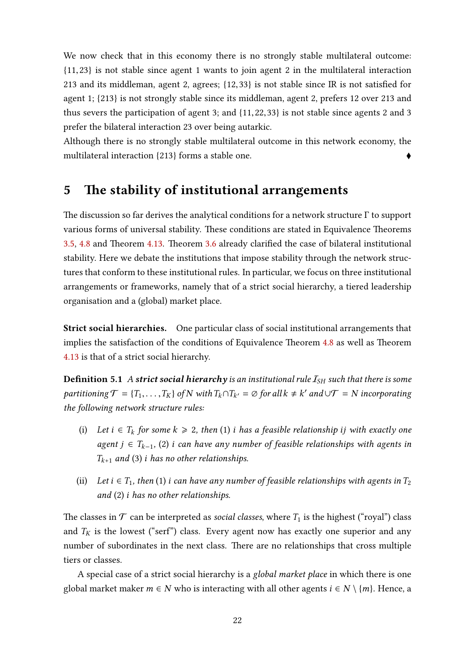We now check that in this economy there is no strongly stable multilateral outcome: {11,23} is not stable since agent 1 wants to join agent 2 in the multilateral interaction 213 and its middleman, agent 2, agrees;  $\{12,33\}$  is not stable since IR is not satisfied for agent 1; {213} is not strongly stable since its middleman, agent 2, prefers 12 over 213 and thus severs the participation of agent 3; and {11,22,33} is not stable since agents 2 and 3 prefer the bilateral interaction 23 over being autarkic.

Although there is no strongly stable multilateral outcome in this network economy, the multilateral interaction {213} forms a stable one.

## 5 The stability of institutional arrangements

The discussion so far derives the analytical conditions for a network structure  $\Gamma$  to support various forms of universal stability. These conditions are stated in Equivalence Theorems [3.5,](#page-14-1) [4.8](#page-19-0) and Theorem [4.13.](#page-21-0) Theorem [3.6](#page-14-0) already clarified the case of bilateral institutional stability. Here we debate the institutions that impose stability through the network structures that conform to these institutional rules. In particular, we focus on three institutional arrangements or frameworks, namely that of a strict social hierarchy, a tiered leadership organisation and a (global) market place.

Strict social hierarchies. One particular class of social institutional arrangements that implies the satisfaction of the conditions of Equivalence Theorem  $4.8$  as well as Theorem [4.13](#page-21-0) is that of a strict social hierarchy.

**Definition 5.1** A strict social hierarchy is an institutional rule  $I_{SH}$  such that there is some partitioning  $\mathcal{T} = \{T_1, \ldots, T_K\}$  of N with  $T_k \cap T_{k'} = \emptyset$  for all  $k \neq k'$  and  $\cup \mathcal{T} = N$  incorporating the following network structure rules:

- (i) Let  $i \in T_k$  for some  $k \ge 2$ , then (1) i has a feasible relationship ij with exactly one agent  $j$  ∈  $T_{k-1}$ , (2) i can have any number of feasible relationships with agents in  $T_{k+1}$  and (3) i has no other relationships.
- (ii) Let  $i \in T_1$ , then (1) i can have any number of feasible relationships with agents in  $T_2$ and (2) i has no other relationships.

The classes in  $\mathcal T$  can be interpreted as social classes, where  $T_1$  is the highest ("royal") class and  $T_K$  is the lowest ("serf") class. Every agent now has exactly one superior and any number of subordinates in the next class. There are no relationships that cross multiple tiers or classes.

A special case of a strict social hierarchy is a global market place in which there is one global market maker  $m \in N$  who is interacting with all other agents  $i \in N \setminus \{m\}$ . Hence, a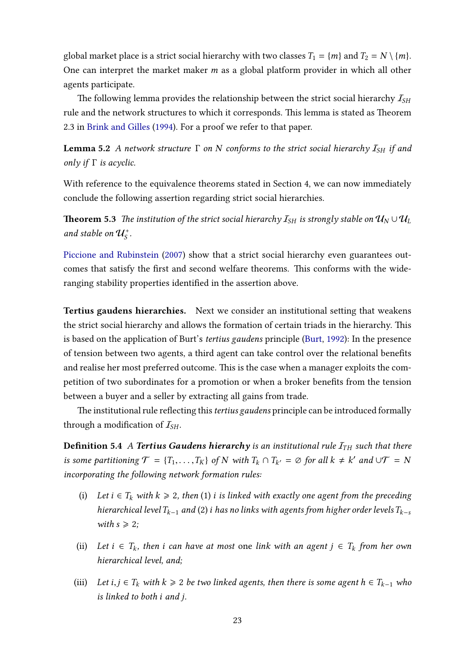global market place is a strict social hierarchy with two classes  $T_1 = \{m\}$  and  $T_2 = N \setminus \{m\}$ . One can interpret the market maker  $m$  as a global platform provider in which all other agents participate.

The following lemma provides the relationship between the strict social hierarchy  $I_{SH}$ rule and the network structures to which it corresponds. This lemma is stated as Theorem 2.3 in [Brink and Gilles](#page-27-16) [\(1994\)](#page-27-16). For a proof we refer to that paper.

**Lemma 5.2** A network structure  $\Gamma$  on N conforms to the strict social hierarchy  $I_{SH}$  if and only if  $Γ$  is acyclic.

<span id="page-23-0"></span>With reference to the equivalence theorems stated in Section 4, we can now immediately conclude the following assertion regarding strict social hierarchies.

**Theorem 5.3** The institution of the strict social hierarchy  $I_{SH}$  is strongly stable on  $\mathcal{U}_N \cup \mathcal{U}_L$ and stable on  $\mathcal{U}_S^+$ .

[Piccione and Rubinstein](#page-29-16) [\(2007\)](#page-29-16) show that a strict social hierarchy even guarantees outcomes that satisfy the first and second welfare theorems. This conforms with the wideranging stability properties identified in the assertion above.

Tertius gaudens hierarchies. Next we consider an institutional setting that weakens the strict social hierarchy and allows the formation of certain triads in the hierarchy. This is based on the application of Burt's tertius gaudens principle [\(Burt,](#page-27-17) [1992\)](#page-27-17): In the presence of tension between two agents, a third agent can take control over the relational benefits and realise her most preferred outcome. This is the case when a manager exploits the competition of two subordinates for a promotion or when a broker benefits from the tension between a buyer and a seller by extracting all gains from trade.

The institutional rule reflecting this tertius gaudens principle can be introduced formally through a modification of  $I_{SH}$ .

**Definition 5.4** A Tertius Gaudens hierarchy is an institutional rule  $I_{TH}$  such that there is some partitioning  $\mathcal{T} = \{T_1, \ldots, T_K\}$  of  $N$  with  $T_k \cap T_{k'} = \emptyset$  for all  $k \neq k'$  and  $\cup \mathcal{T} = N$ incorporating the following network formation rules:

- (i) Let  $i \in T_k$  with  $k \geq 2$ , then (1) i is linked with exactly one agent from the preceding hierarchical level  $T_{k-1}$  and (2) i has no links with agents from higher order levels  $T_{k-s}$ with  $s \geq 2$ ;
- (ii) Let  $i \in T_k$ , then i can have at most one link with an agent  $j \in T_k$  from her own hierarchical level, and;
- (iii) Let i,  $j \in T_k$  with  $k \geq 2$  be two linked agents, then there is some agent  $h \in T_{k-1}$  who is linked to both i and j.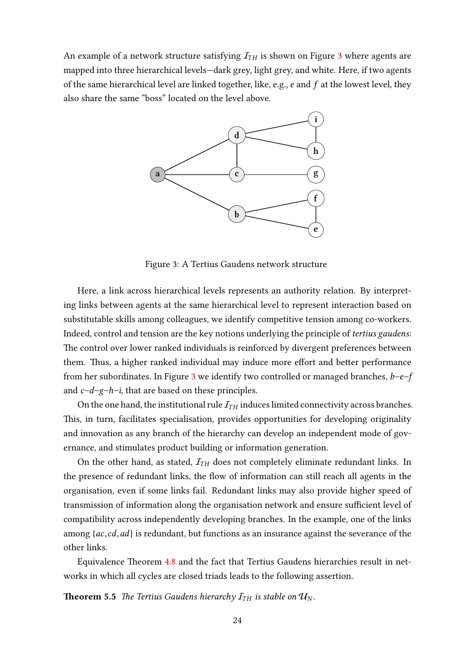An example of a network structure satisfying  $\mathcal{I}_{TH}$  is shown on Figure [3](#page-24-1) where agents are mapped into three hierarchical levels—dark grey, light grey, and white. Here, if two agents of the same hierarchical level are linked together, like, e.g.,  $e$  and  $f$  at the lowest level, they also share the same "boss" located on the level above.



<span id="page-24-1"></span>Figure 3: A Tertius Gaudens network structure

Here, a link across hierarchical levels represents an authority relation. By interpreting links between agents at the same hierarchical level to represent interaction based on substitutable skills among colleagues, we identify competitive tension among co-workers. Indeed, control and tension are the key notions underlying the principle of tertius gaudens: The control over lower ranked individuals is reinforced by divergent preferences between them. Thus, a higher ranked individual may induce more effort and better performance from her subordinates. In Figure [3](#page-24-1) we identify two controlled or managed branches,  $b-e-f$ and  $c-d-g-h-i$ , that are based on these principles.

On the one hand, the institutional rule  $I_{TH}$  induces limited connectivity across branches. This, in turn, facilitates specialisation, provides opportunities for developing originality and innovation as any branch of the hierarchy can develop an independent mode of governance, and stimulates product building or information generation.

On the other hand, as stated,  $I_{TH}$  does not completely eliminate redundant links. In the presence of redundant links, the flow of information can still reach all agents in the organisation, even if some links fail. Redundant links may also provide higher speed of transmission of information along the organisation network and ensure sufficient level of compatibility across independently developing branches. In the example, one of the links among {ac, cd, ad} is redundant, but functions as an insurance against the severance of the other links.

<span id="page-24-0"></span>Equivalence Theorem [4.8](#page-19-0) and the fact that Tertius Gaudens hierarchies result in networks in which all cycles are closed triads leads to the following assertion.

**Theorem 5.5** The Tertius Gaudens hierarchy  $I_{TH}$  is stable on  $\mathcal{U}_N$ .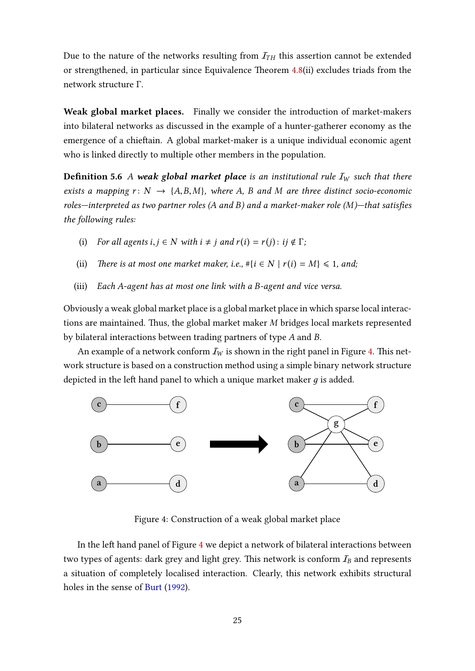Due to the nature of the networks resulting from  $I<sub>TH</sub>$  this assertion cannot be extended or strengthened, in particular since Equivalence Theorem  $4.8(ii)$  $4.8(ii)$  excludes triads from the network structure Γ.

Weak global market places. Finally we consider the introduction of market-makers into bilateral networks as discussed in the example of a hunter-gatherer economy as the emergence of a chieftain. A global market-maker is a unique individual economic agent who is linked directly to multiple other members in the population.

**Definition 5.6** A weak global market place is an institutional rule  $I_W$  such that there exists a mapping  $r: N \rightarrow \{A, B, M\}$ , where A, B and M are three distinct socio-economic roles—interpreted as two partner roles (A and B) and a market-maker role  $(M)$ —that satisfies the following rules:

- (i) For all agents  $i, j \in N$  with  $i \neq j$  and  $r(i) = r(j)$ :  $ij \notin \Gamma$ ;
- (ii) There is at most one market maker, i.e.,  $\#\{i \in N \mid r(i) = M\} \le 1$ , and;
- (iii) Each A-agent has at most one link with a B-agent and vice versa.

Obviously a weak global market place is a global market place in which sparse local interactions are maintained. Thus, the global market maker  $M$  bridges local markets represented by bilateral interactions between trading partners of type A and B.

An example of a network conform  $I_W$  is shown in the right panel in Figure [4.](#page-25-0) This network structure is based on a construction method using a simple binary network structure depicted in the left hand panel to which a unique market maker  $q$  is added.



<span id="page-25-0"></span>Figure 4: Construction of a weak global market place

In the left hand panel of Figure [4](#page-25-0) we depict a network of bilateral interactions between two types of agents: dark grey and light grey. This network is conform  $I_B$  and represents a situation of completely localised interaction. Clearly, this network exhibits structural holes in the sense of [Burt](#page-27-17) [\(1992\)](#page-27-17).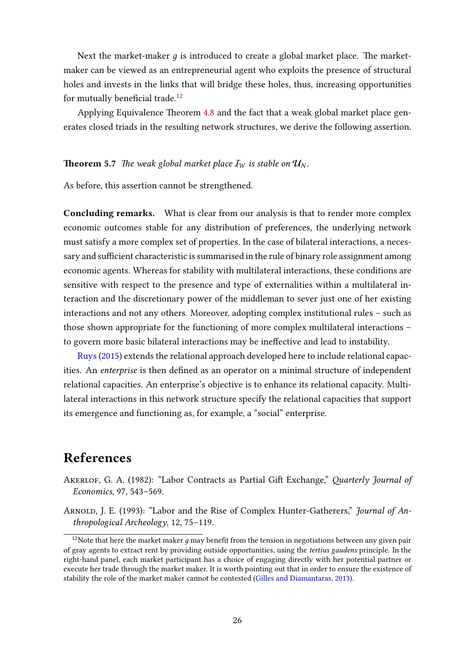Next the market-maker  $q$  is introduced to create a global market place. The marketmaker can be viewed as an entrepreneurial agent who exploits the presence of structural holes and invests in the links that will bridge these holes, thus, increasing opportunities for mutually beneficial trade.<sup>[12](#page-26-3)</sup>

<span id="page-26-2"></span>Applying Equivalence Theorem [4.8](#page-19-0) and the fact that a weak global market place generates closed triads in the resulting network structures, we derive the following assertion.

#### **Theorem 5.7** The weak global market place  $I_W$  is stable on  $\mathcal{U}_N$ .

As before, this assertion cannot be strengthened.

Concluding remarks. What is clear from our analysis is that to render more complex economic outcomes stable for any distribution of preferences, the underlying network must satisfy a more complex set of properties. In the case of bilateral interactions, a necessary and sufficient characteristic is summarised in the rule of binary role assignment among economic agents. Whereas for stability with multilateral interactions, these conditions are sensitive with respect to the presence and type of externalities within a multilateral interaction and the discretionary power of the middleman to sever just one of her existing interactions and not any others. Moreover, adopting complex institutional rules – such as those shown appropriate for the functioning of more complex multilateral interactions – to govern more basic bilateral interactions may be ineffective and lead to instability.

[Ruys](#page-29-17) [\(2015\)](#page-29-17) extends the relational approach developed here to include relational capacities. An *enterprise* is then defined as an operator on a minimal structure of independent relational capacities. An enterprise's objective is to enhance its relational capacity. Multilateral interactions in this network structure specify the relational capacities that support its emergence and functioning as, for example, a "social" enterprise.

## References

<span id="page-26-1"></span>AKERLOF, G. A. (1982): "Labor Contracts as Partial Gift Exchange," Quarterly Journal of Economics, 97, 543–569.

<span id="page-26-0"></span>ARNOLD, J. E. (1993): "Labor and the Rise of Complex Hunter-Gatherers," Journal of Anthropological Archeology, 12, 75–119.

<span id="page-26-3"></span><sup>&</sup>lt;sup>12</sup>Note that here the market maker  $g$  may benefit from the tension in negotiations between any given pair of gray agents to extract rent by providing outside opportunities, using the tertius gaudens principle. In the right-hand panel, each market participant has a choice of engaging directly with her potential partner or execute her trade through the market maker. It is worth pointing out that in order to ensure the existence of stability the role of the market maker cannot be contested [\(Gilles and Diamantaras,](#page-28-15) [2013\)](#page-28-15).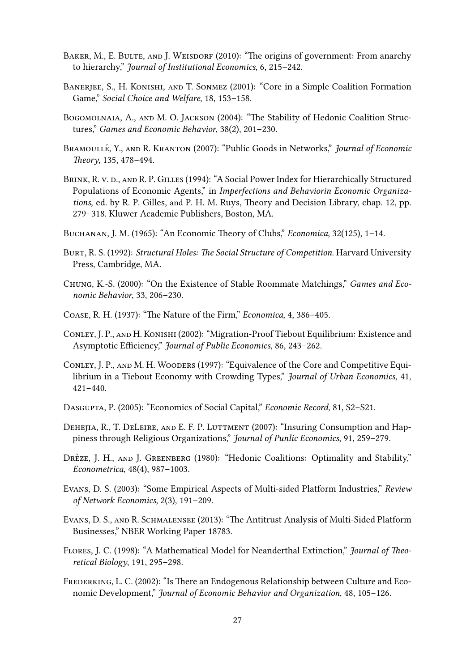- <span id="page-27-11"></span>BAKER, M., E. BULTE, AND J. WEISDORF (2010): "The origins of government: From anarchy to hierarchy," Journal of Institutional Economics, 6, 215-242.
- <span id="page-27-10"></span>BANERJEE, S., H. KONISHI, AND T. SONMEZ (2001): "Core in a Simple Coalition Formation Game," Social Choice and Welfare, 18, 153–158.
- <span id="page-27-9"></span>BOGOMOLNAIA, A., AND M. O. JACKSON (2004): "The Stability of Hedonic Coalition Structures," Games and Economic Behavior, 38(2), 201–230.
- <span id="page-27-6"></span>BRAMOULLÉ, Y., AND R. KRANTON (2007): "Public Goods in Networks," Journal of Economic Theory, 135, 478-494.
- <span id="page-27-16"></span>BRINK, R. V. D., AND R. P. GILLES (1994): "A Social Power Index for Hierarchically Structured Populations of Economic Agents," in Imperfections and Behaviorin Economic Organizations, ed. by R. P. Gilles, and P. H. M. Ruys, Theory and Decision Library, chap. 12, pp. 279–318. Kluwer Academic Publishers, Boston, MA.
- <span id="page-27-12"></span>BUCHANAN, J. M. (1965): "An Economic Theory of Clubs," Economica, 32(125), 1-14.
- <span id="page-27-17"></span>BURT, R. S. (1992): Structural Holes: The Social Structure of Competition. Harvard University Press, Cambridge, MA.
- <span id="page-27-13"></span>Chung, K.-S. (2000): "On the Existence of Stable Roommate Matchings," Games and Economic Behavior, 33, 206–230.
- <span id="page-27-5"></span>COASE, R. H. (1937): "The Nature of the Firm," Economica, 4, 386-405.
- <span id="page-27-15"></span>Conley, J. P., and H. Konishi (2002): "Migration-Proof Tiebout Equilibrium: Existence and Asymptotic Efficiency," Journal of Public Economics, 86, 243-262.
- <span id="page-27-14"></span>Conley, J. P., and M. H. Wooders (1997): "Equivalence of the Core and Competitive Equilibrium in a Tiebout Economy with Crowding Types," Journal of Urban Economics, 41, 421–440.
- <span id="page-27-4"></span>Dasgupta, P. (2005): "Economics of Social Capital," Economic Record, 81, S2–S21.
- <span id="page-27-0"></span>DEHEJIA, R., T. DELEIRE, AND E. F. P. LUTTMENT (2007): "Insuring Consumption and Happiness through Religious Organizations," Journal of Punlic Economics, 91, 259–279.
- <span id="page-27-8"></span>DRÈZE, J. H., AND J. GREENBERG (1980): "Hedonic Coalitions: Optimality and Stability," Econometrica, 48(4), 987–1003.
- <span id="page-27-3"></span>Evans, D. S. (2003): "Some Empirical Aspects of Multi-sided Platform Industries," Review of Network Economics, 2(3), 191–209.
- <span id="page-27-2"></span>EVANS, D. S., AND R. SCHMALENSEE (2013): "The Antitrust Analysis of Multi-Sided Platform Businesses," NBER Working Paper 18783.
- <span id="page-27-7"></span>FLORES, J. C. (1998): "A Mathematical Model for Neanderthal Extinction," Journal of Theoretical Biology, 191, 295–298.
- <span id="page-27-1"></span>FREDERKING, L. C. (2002): "Is There an Endogenous Relationship between Culture and Economic Development," Journal of Economic Behavior and Organization, 48, 105–126.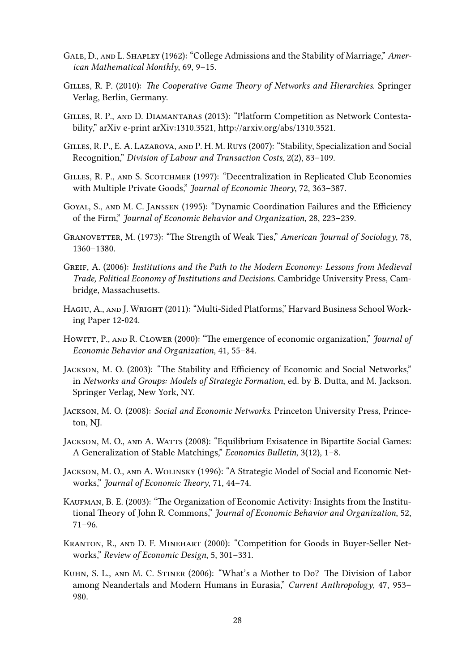- <span id="page-28-16"></span>GALE, D., AND L. SHAPLEY (1962): "College Admissions and the Stability of Marriage," American Mathematical Monthly, 69, 9–15.
- <span id="page-28-12"></span>GILLES, R. P. (2010): The Cooperative Game Theory of Networks and Hierarchies. Springer Verlag, Berlin, Germany.
- <span id="page-28-15"></span>Gilles, R. P., and D. Diamantaras (2013): "Platform Competition as Network Contestability," arXiv e-print arXiv:1310.3521, http://arxiv.org/abs/1310.3521.
- <span id="page-28-11"></span>Gilles, R. P., E. A. Lazarova, and P. H. M. Ruys (2007): "Stability, Specialization and Social Recognition," Division of Labour and Transaction Costs, 2(2), 83–109.
- <span id="page-28-13"></span>GILLES, R. P., AND S. SCOTCHMER (1997): "Decentralization in Replicated Club Economies with Multiple Private Goods," Journal of Economic Theory, 72, 363-387.
- <span id="page-28-4"></span>GOYAL, S., AND M. C. JANSSEN (1995): "Dynamic Coordination Failures and the Efficiency of the Firm," Journal of Economic Behavior and Organization, 28, 223–239.
- <span id="page-28-14"></span>GRANOVETTER, M. (1973): "The Strength of Weak Ties," American Journal of Sociology, 78, 1360–1380.
- <span id="page-28-5"></span>Greif, A. (2006): Institutions and the Path to the Modern Economy: Lessons from Medieval Trade, Political Economy of Institutions and Decisions. Cambridge University Press, Cambridge, Massachusetts.
- <span id="page-28-2"></span>HAGIU, A., AND J. WRIGHT (2011): "Multi-Sided Platforms," Harvard Business School Working Paper 12-024.
- <span id="page-28-8"></span>HOWITT, P., AND R. CLOWER (2000): "The emergence of economic organization," Journal of Economic Behavior and Organization, 41, 55–84.
- <span id="page-28-9"></span>JACKSON, M. O. (2003): "The Stability and Efficiency of Economic and Social Networks," in Networks and Groups: Models of Strategic Formation, ed. by B. Dutta, and M. Jackson. Springer Verlag, New York, NY.
- <span id="page-28-10"></span>JACKSON, M. O. (2008): Social and Economic Networks. Princeton University Press, Princeton, NJ.
- <span id="page-28-3"></span>JACKSON, M. O., AND A. WATTS (2008): "Equilibrium Exisatence in Bipartite Social Games: A Generalization of Stable Matchings," Economics Bulletin, 3(12), 1–8.
- <span id="page-28-1"></span>Jackson, M. O., and A. Wolinsky (1996): "A Strategic Model of Social and Economic Networks," Journal of Economic Theory, 71, 44-74.
- <span id="page-28-0"></span>KAUFMAN, B. E. (2003): "The Organization of Economic Activity: Insights from the Institutional Theory of John R. Commons," Journal of Economic Behavior and Organization, 52, 71–96.
- <span id="page-28-6"></span>Kranton, R., and D. F. Minehart (2000): "Competition for Goods in Buyer-Seller Networks," Review of Economic Design, 5, 301–331.
- <span id="page-28-7"></span>KUHN, S. L., AND M. C. STINER (2006): "What's a Mother to Do? The Division of Labor among Neandertals and Modern Humans in Eurasia," Current Anthropology, 47, 953-980.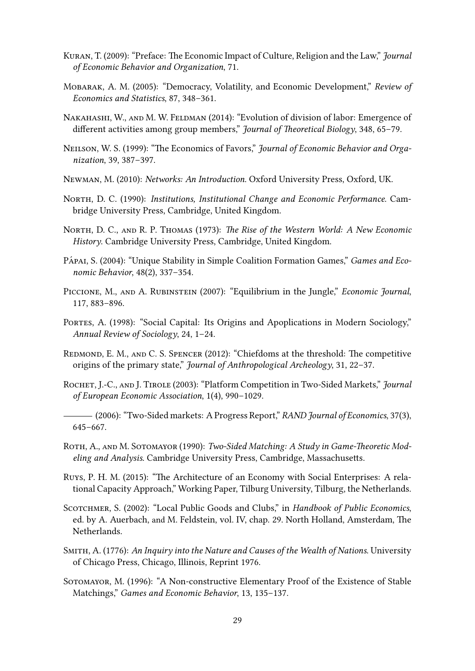- <span id="page-29-1"></span>KURAN, T. (2009): "Preface: The Economic Impact of Culture, Religion and the Law," *Journal* of Economic Behavior and Organization, 71.
- <span id="page-29-0"></span>MOBARAK, A. M. (2005): "Democracy, Volatility, and Economic Development," Review of Economics and Statistics, 87, 348–361.
- <span id="page-29-9"></span>NAKAHASHI, W., AND M. W. FELDMAN (2014): "Evolution of division of labor: Emergence of different activities among group members," Journal of Theoretical Biology, 348, 65-79.
- <span id="page-29-10"></span>NEILSON, W. S. (1999): "The Economics of Favors," Journal of Economic Behavior and Organization, 39, 387–397.
- <span id="page-29-14"></span>Newman, M. (2010): Networks: An Introduction. Oxford University Press, Oxford, UK.
- <span id="page-29-8"></span>NORTH, D. C. (1990): Institutions, Institutional Change and Economic Performance. Cambridge University Press, Cambridge, United Kingdom.
- <span id="page-29-7"></span>NORTH, D. C., AND R. P. THOMAS (1973): The Rise of the Western World: A New Economic History. Cambridge University Press, Cambridge, United Kingdom.
- <span id="page-29-12"></span>PAPAI, S. (2004): "Unique Stability in Simple Coalition Formation Games," Games and Economic Behavior, 48(2), 337–354.
- <span id="page-29-16"></span>PICCIONE, M., AND A. RUBINSTEIN (2007): "Equilibrium in the Jungle," Economic Journal, 117, 883–896.
- <span id="page-29-5"></span>PORTES, A. (1998): "Social Capital: Its Origins and Apoplications in Modern Sociology," Annual Review of Sociology, 24, 1–24.
- <span id="page-29-13"></span>REDMOND, E. M., AND C. S. SPENCER (2012): "Chiefdoms at the threshold: The competitive origins of the primary state," Journal of Anthropological Archeology, 31, 22-37.
- <span id="page-29-3"></span>ROCHET, J.-C., AND J. TIROLE (2003): "Platform Competition in Two-Sided Markets," Journal of European Economic Association, 1(4), 990–1029.
- <span id="page-29-4"></span>(2006): "Two-Sided markets: A Progress Report," RAND Journal of Economics, 37(3), 645–667.
- <span id="page-29-2"></span>ROTH, A., AND M. SOTOMAYOR (1990): Two-Sided Matching: A Study in Game-Theoretic Modeling and Analysis. Cambridge University Press, Cambridge, Massachusetts.
- <span id="page-29-17"></span>Ruys, P. H. M. (2015): "The Architecture of an Economy with Social Enterprises: A relational Capacity Approach," Working Paper, Tilburg University, Tilburg, the Netherlands.
- <span id="page-29-11"></span>SCOTCHMER, S. (2002): "Local Public Goods and Clubs," in Handbook of Public Economics, ed. by A. Auerbach, and M. Feldstein, vol. IV, chap. 29. North Holland, Amsterdam, The Netherlands.
- <span id="page-29-6"></span>SMITH, A. (1776): An Inquiry into the Nature and Causes of the Wealth of Nations. University of Chicago Press, Chicago, Illinois, Reprint 1976.
- <span id="page-29-15"></span>Sotomayor, M. (1996): "A Non-constructive Elementary Proof of the Existence of Stable Matchings," Games and Economic Behavior, 13, 135–137.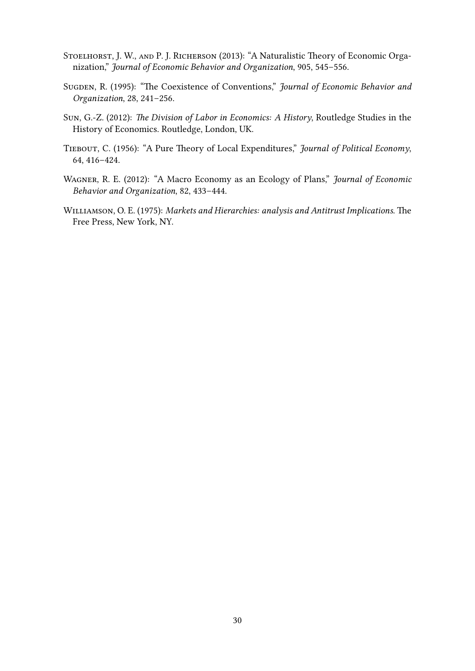- <span id="page-30-0"></span>STOELHORST, J. W., AND P. J. RICHERSON (2013): "A Naturalistic Theory of Economic Organization," Journal of Economic Behavior and Organization, 905, 545–556.
- <span id="page-30-3"></span>SUGDEN, R. (1995): "The Coexistence of Conventions," Journal of Economic Behavior and Organization, 28, 241–256.
- <span id="page-30-1"></span>SUN, G.-Z. (2012): The Division of Labor in Economics: A History, Routledge Studies in the History of Economics. Routledge, London, UK.
- <span id="page-30-5"></span>TIEBOUT, C. (1956): "A Pure Theory of Local Expenditures," Journal of Political Economy, 64, 416–424.
- <span id="page-30-2"></span>Wagner, R. E. (2012): "A Macro Economy as an Ecology of Plans," Journal of Economic Behavior and Organization, 82, 433–444.
- <span id="page-30-4"></span>WILLIAMSON, O. E. (1975): Markets and Hierarchies: analysis and Antitrust Implications. The Free Press, New York, NY.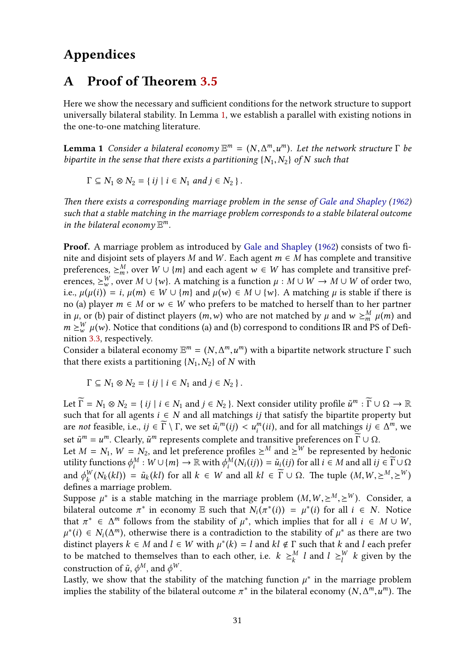# Appendices

# A Proof of Theorem [3.5](#page-14-1)

Here we show the necessary and sufficient conditions for the network structure to support universally bilateral stability. In Lemma [1,](#page-31-0) we establish a parallel with existing notions in the one-to-one matching literature.

<span id="page-31-0"></span>**Lemma 1** Consider a bilateral economy  $\mathbb{E}^m = (N, \Delta^m, u^m)$ . Let the network structure  $\Gamma$  be hipartite in the sense that there exists a partitioning  $\{N_k, N_0\}$  of N such that  $\begin{array}{c} n, u \\ v \end{array}$ bipartite in the sense that there exists a partitioning  $\{N_1,N_2\}$  of N such that

$$
\Gamma \subseteq N_1 \otimes N_2 = \{ ij \mid i \in N_1 \text{ and } j \in N_2 \}.
$$

Then there exists a corresponding marriage problem in the sense of [Gale and Shapley](#page-28-16) [\(1962\)](#page-28-16) such that a stable matching in the marriage problem corresponds to a stable bilateral outcome in the bilateral economy  $\mathbb{E}^m$ .

**Proof.** A marriage problem as introduced by [Gale and Shapley](#page-28-16) [\(1962\)](#page-28-16) consists of two finite and disjoint sets of players M and W. Each agent  $m \in M$  has complete and transitive preferences,  $\geq_m^M$ , over  $W \cup \{m\}$  and each agent  $w \in W$  has complete and transitive preferences  $\geq^W$  over  $M \cup \{w\}$ . A matching is a function  $u : M \cup W \to M \cup W$  of order two erences,  $\geq_w^W$ , over  $M \cup \{w\}$ . A matching is a function  $\mu : M \cup W \to M \cup W$  of order two,<br>i.e.  $\mu(\mu(i)) = i$ ,  $\mu(m) \in W \cup \{m\}$  and  $\mu(w) \in M \cup \{w\}$ . A matching  $\mu$  is stable if there is i.e.,  $\mu(\mu(i)) = i$ ,  $\mu(m) \in W \cup \{m\}$  and  $\mu(w) \in M \cup \{w\}$ . A matching  $\mu$  is stable if there is no (a) player  $m \in M$  or  $w \in W$  who prefers to be matched to herself than to her partner in  $\mu$ , or (b) pair of distinct players  $(m, w)$  who are not matched by  $\mu$  and  $w \geq_m^M \mu(m)$  and  $m >_m^W \mu(w)$ . Notice that conditions (a) and (b) correspond to conditions IR and PS of Defi $m \geq_w^W \mu(w)$ . Notice that conditions (a) and (b) correspond to conditions IR and PS of Definition 3.3, respectively. nition [3.3,](#page-13-0) respectively.

Consider a bilateral economy  $\mathbb{E}^m = (N, \Delta^m, u^m)$  with a bipartite network structure Γ such that there exists a partitioning  $\{N, N_0\}$  of N with that there exists a partitioning  $\{N_1, N_2\}$  of N with

$$
\Gamma \subseteq N_1 \otimes N_2 = \{ ij \mid i \in N_1 \text{ and } j \in N_2 \}.
$$

Let  $\widetilde{\Gamma} = N_1 \otimes N_2 = \{ ij \mid i \in N_1 \text{ and } j \in N_2 \}$ . Next consider utility profile  $\widetilde{u}^m : \widetilde{\Gamma} \cup \Omega \to \mathbb{R}$ <br>such that for all agents  $i \in N$  and all matchings *ii* that satisfy the binartite property but such that for all agents  $i \in N$  and all matchings ij that satisfy the bipartite property but are not feasible, i.e.,  $ij \in \overline{\Gamma} \setminus \Gamma$ , we set  $\tilde{u}_i^m(ij) < u_i^m(ii)$ , and for all matchings  $ij \in \Delta^m$ , we set  $\tilde{u}_i^m = u_i^m$ . Clearly,  $\tilde{u}_i^m$  represents complete and transitive preferences on  $\overline{\tilde{\Gamma}} \cup \Omega$ are *not* reasible, i.e.,  $ij \in I \setminus I$ , we set  $u_i^-(ij) < u_i^-(i)$ , and for all matchings  $ij \in$ <br>set  $\tilde{u}^m = u^m$ . Clearly,  $\tilde{u}^m$  represents complete and transitive preferences on  $\tilde{\Gamma} \cup \Omega$ .<br>Let  $M - N$ ,  $W - N_0$  and let  $m = u$ <br> $M - N$ 

Let  $M = N_1$ ,  $W = N_2$ , and let preference profiles  $\geq^M$  and  $\geq^W$  be represented by hedonic<br>utility functions  $\phi^M : W \cup \{m\} \to \mathbb{R}$  with  $\phi^M(N(i)) = \tilde{u}(i)$  for all  $i \in M$  and all  $ii \in \tilde{v} \cup \Omega$ utility functions  $\phi_i^M : W \cup \{m\} \to \mathbb{R}$  with  $\phi_i^M(N_i(ij)) = \tilde{u}_i(ij)$  for all  $i \in M$  and all  $ij \in \tilde{\Gamma} \cup \Omega$ <br>and  $\phi_i^M(N_i(ij)) = \tilde{u}_i(ij)$  for all  $k \in M$  and all  $i, j \in \tilde{\Gamma} \cup \Omega$ . The turbe  $(M, M \times M \times W)$ and  $\phi_k^W(N_k(kl)) = \tilde{u}_k(kl)$  for all  $k \in W$  and all  $kl \in \tilde{\Gamma} \cup \Omega$ . The tuple  $(M, W, \geq^M, \geq^W)$ defines a marriage problem.

Suppose  $\mu^*$  is a stable matching in the marriage problem  $(M, W, \geq^M, \geq^W)$ . Consider, a bilateral outcome  $\pi^*$  in economy  $\mathbb{F}$  such that  $N(\pi^*(i)) = \mu^*(i)$  for all  $i \in N$ . Notice bilateral outcome  $\pi^*$  in economy E such that  $N_i(\pi^*(i)) = \mu^*(i)$  for all  $i \in N$ . Notice<br>that  $\pi^* \in \Lambda^m$  follows from the stability of  $\mu^*$  which implies that for all  $i \in M + W$ that  $\pi^* \in \Delta^m$  follows from the stability of  $\mu^*$ , which implies that for all  $i \in M \cup W$ ,<br> $\mu^*(i) \in N(\Lambda^m)$  otherwise there is a contradiction to the stability of  $\mu^*$  as there are two distinct players  $k \in M$  and  $l \in W$  with  $\mu^*(k) = l$  and  $kl \notin \Gamma$  such that k and l each prefer to be matched to themselves than to each other i.e.  $k > M$  l and  $l > W$  k given by the \*(i) ∈  $N_i(\Delta^m)$ , otherwise there is a contradiction to the stability of  $\mu^*$  as there are two istinct players  $k \in M$  and  $l \in W$  with  $\mu^*(k) = l$  and  $kl \notin \Gamma$  such that k and l each prefer to be matched to themselves than to each other, i.e.  $k \geq_k^M l$  and  $l \geq_l^W k$  given by the construction of  $\tilde{u}$  of  $M$  and  $d^W$ construction of  $\tilde{u}$ ,  $\phi^M$ , and  $\phi^W$ .<br>Lastly, we show that the stable

Lastly, we show that the stability of the matching function  $\mu^*$  in the marriage problem implies the stability of the bilateral outcome  $\pi^*$  in the bilateral economy  $(N \Lambda^m u^m)$ . The implies the stability of the bilateral outcome  $\pi^*$  in the bilateral economy  $(N, \Delta^m, u^m)$ . The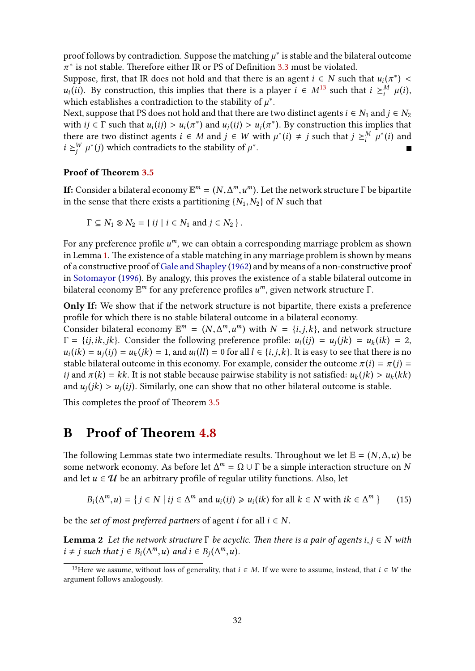proof follows by contradiction. Suppose the matching  $\mu^*$  is stable and the bilateral outcome  $\pi^*$  is not stable. Therefore either IR or PS of Definition 3.3 must be violated  $*$  is not stable. Therefore either IR or PS of Definition [3.3](#page-13-0) must be violated.

Suppose, first, that IR does not hold and that there is an agent  $i \in N$  such that  $u_i(\pi^*$ <br> $u_i(ii)$ . By construction, this implies that there is a player  $i \in M^{13}$  such that  $i > M_{13}$ (*ii*). By construction, this implies that there is a player  $i \in M^{13}$  $i \in M^{13}$  $i \in M^{13}$  such that  $i \geq_{i}^{M} \mu(i)$ , hich establishes a contradiction to the stability of  $\mu^{*}$ which establishes a contradiction to the stability of  $\mu^*$ .<br>Next, suppose that PS does not hold and that there are to  $\begin{cases} M \\ i \end{cases} \mu(i),$ 

Next, suppose that PS does not hold and that there are two distinct agents  $i \in N_1$  and  $j \in N_2$ with  $ij \in \Gamma$  such that  $u_i(ij) > u_i(\pi^*)$  and  $u_j(ij) > u_j(\pi^*)$ . By construction this implies that there are two distinct agents  $i \in M$  and  $i \in W$  with  $u^*(i) \neq i$  such that  $i > M$   $u^*(i)$  and there are two distinct agents  $i \in M$  and  $j \in W$  with  $\mu^*(i) \neq j$  such that  $j \geq i$ <br> $i > N$   $\mu^*(i)$  which contradicts to the stability of  $\mu^*$  $\mathbf{r}$  $*(i)$  and  $i \geq j^W \mu$ \*(*j*) which contradicts to the stability of  $\mu^*$ .

#### Proof of Theorem [3.5](#page-14-1)

 $\overline{a}$ 

If: Consider a bilateral economy  $\mathbb{E}^m = (N, \Delta^m, u^m)$ . Let the network structure Γ be bipartite<br>in the sense that there exists a partitioning  $\{N_{\alpha}, N_{\beta}\}$  of N such that **in:** Consider a bilateral economy  $E'' = (N, \Delta'', u'')$ . Let the network<br>in the sense that there exists a partitioning  $\{N_1, N_2\}$  of N such that

$$
\Gamma \subseteq N_1 \otimes N_2 = \{ ij \mid i \in N_1 \text{ and } j \in N_2 \}.
$$

For any preference profile  $u^m$ , we can obtain a corresponding marriage problem as shown<br>in Lemma 1. The existence of a stable matching in any marriage problem is shown by means in Lemma [1.](#page-31-0) The existence of a stable matching in any marriage problem is shown by means of a constructive proof of[Gale and Shapley](#page-28-16) [\(1962\)](#page-28-16) and by means of a non-constructive proof in [Sotomayor](#page-29-15) [\(1996\)](#page-29-15). By analogy, this proves the existence of a stable bilateral outcome in bilateral economy  $\mathbb{E}^m$  for any preference profiles  $u^m$ , given network structure Γ.

Only If: We show that if the network structure is not bipartite, there exists a preference profile for which there is no stable bilateral outcome in a bilateral economy.

Consider bilateral economy  $\mathbb{E}^m = (N, \Delta^m, u^m)$  with  $N = \{i, j, k\}$ , and network structure<br> $\Gamma = \{i, j, k\}$  Consider the following preference profile:  $u_j(i) = u_j(ik) = u_j(ik) = 2$ Consider bilateral economy  $E^* = (N, \Delta^*, u^*)$  with  $N = \{t, j, k\}$ , and network structure<br>  $\Gamma = \{ij, ik, jk\}$ . Consider the following preference profile:  $u_i(ij) = u_j(jk) = u_k(ik) = 2$ ,<br>  $u_i(ik) = u_i(ii) = u_i(ik) = 1$  and  $u_i(ll) = 0$  for all  $l \in$ stable bilateral outcome in this economy. For example, consider the outcome  $\pi(i) = \pi(j) =$ <br>ii and  $\pi(k) = kk$ . It is not stable because pairwise stability is not satisfied:  $\mu_i(ik) > \mu_i(kk)$  $(ik) = u_j(ij) = u_k(jk) = 1$ , and  $u_l(ll) = 0$  for all  $l \in \{i, j, k\}$ . It is easy to see that there is no<br>able bilateral outcome in this economy. For example, consider the outcome  $\pi(i) = \pi(i)$ ij and  $\pi(k) = kk$ . It is not stable because pairwise stability is not satisfied:  $u_k(jk) > u_k(kk)$ and  $u_j(jk) > u_j(ij)$ . Similarly, one can show that no other bilateral outcome is stable.

This completes the proof of Theorem [3.5](#page-14-1)

### B Proof of Theorem [4.8](#page-19-0)

The following Lemmas state two intermediate results. Throughout we let  $\mathbb{E} = (N, \Delta, u)$  be some network economy. As before let  $\Delta^m = \Omega \cup \Gamma$  be a simple interaction structure on N<br>and let  $u \in \mathcal{U}$  be an arbitrary profile of regular utility functions. Also, let and let  $u \in \mathcal{U}$  be an arbitrary profile of regular utility functions. Also, let

<span id="page-32-1"></span>
$$
B_i(\Delta^m, u) = \{ j \in N \mid ij \in \Delta^m \text{ and } u_i(ij) \geq u_i(ik) \text{ for all } k \in N \text{ with } ik \in \Delta^m \}
$$
 (15)

be the set of most preferred partners of agent *i* for all  $i \in N$ .

**Lemma 2** Let the network structure  $\Gamma$  be acyclic. Then there is a pair of agents i,  $j \in N$  with  $i \neq j$  such that  $j \in B_i(\Delta^m, u)$  and  $i \in B_j(\Delta^m, u)$ .

<span id="page-32-0"></span><sup>&</sup>lt;sup>13</sup>Here we assume, without loss of generality, that  $i \in M$ . If we were to assume, instead, that  $i \in W$  the argument follows analogously.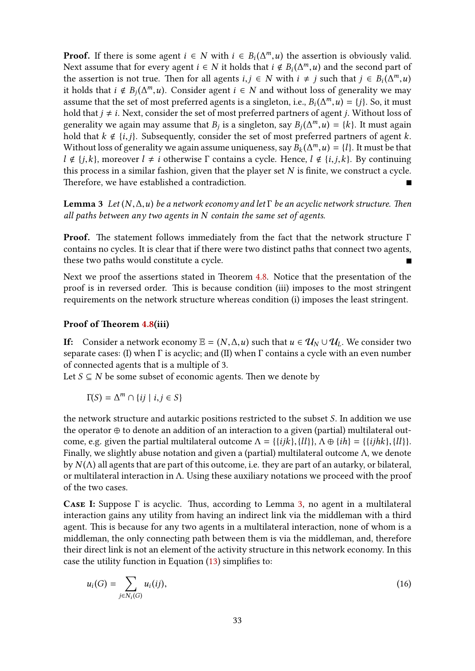**Proof.** If there is some agent *i* ∈ *N* with *i* ∈  $B_i(\Delta^m, u)$  the assertion is obviously valid.<br>Next assume that for every agent *i* ∈ *N* it holds that *i* ∉ *R*.( $\Delta^m, u$ ) and the second part of Next assume that for every agent  $i \in N$  it holds that  $i \notin B_i(\Delta^m, u)$  and the second part of the assertion is not true. Then for all agents  $i \in N$  with  $i \neq i$  such that  $i \in B_i(\Delta^m, u)$ the assertion is not true. Then for all agents  $i, j \in N$  with  $i \neq j$  such that  $j \in B_i$ <br>it holds that  $i \notin B_i(\Lambda^m u)$ . Consider agent  $i \in N$  and without loss of generality x the assertion is not true. Then for all agents  $i, j \in N$  with  $i \neq j$  such that  $j \in B_i(\Delta^n, u)$ <br>it holds that  $i \notin B_j(\Delta^m, u)$ . Consider agent  $i \in N$  and without loss of generality we may<br>assume that the set of most preferred assume that the set of most preferred agents is a singleton, i.e.,  $B_i(\Delta^m, u) = \{j\}$ . So, it must<br>hold that  $i \neq i$ . Next, consider the set of most preferred partners of agent i. Without loss of hold that  $j \neq i$ . Next, consider the set of most preferred partners of agent j. Without loss of generality we again may assume that  $B_j$  is a singleton, say  $B_j(\Delta^m, u) = \{k\}$ . It must again hold that  $k \notin \{i, j\}$ . Subsequently, consider the set of most preferred partners of agent k hold that  $k \notin \{i, j\}$ . Subsequently, consider the set of most preferred partners of agent k.<br>Without loss of generality we again assume uniqueness, say  $R_1(\Lambda^m u) = \{1\}$ . It must be that Without loss of generality we again assume uniqueness, say  $B_k(\Delta^m, u) = \{l\}$ . It must be that  $l \notin \{i, k\}$  moreover  $l \neq i$  otherwise  $\Gamma$  contains a cycle. Hence  $l \notin \{i, i, k\}$ . By continuing  $l \notin \{j,k\}$ , moreover  $l \neq i$  otherwise  $\Gamma$  contains a cycle. Hence,  $l \notin \{i,j,k\}$ . By continuing this process in a similar fashion, given that the player set  $N$  is finite, we construct a cycle. Therefore, we have established a contradiction.

<span id="page-33-0"></span>**Lemma 3** Let  $(N, \Delta, u)$  be a network economy and let  $\Gamma$  be an acyclic network structure. Then all paths between any two agents in N contain the same set of agents.

**Proof.** The statement follows immediately from the fact that the network structure  $\Gamma$ contains no cycles. It is clear that if there were two distinct paths that connect two agents, these two paths would constitute a cycle.

Next we proof the assertions stated in Theorem [4.8.](#page-19-0) Notice that the presentation of the proof is in reversed order. This is because condition (iii) imposes to the most stringent requirements on the network structure whereas condition (i) imposes the least stringent.

#### Proof of Theorem [4.8\(](#page-19-0)iii)

If: Consider a network economy  $\mathbb{E} = (N, \Delta, u)$  such that  $u \in \mathcal{U}_N \cup \mathcal{U}_L$ . We consider two separate cases: (I) when Γ is acyclic; and (II) when Γ contains a cycle with an even number of connected agents that is a multiple of 3.

Let  $S \subseteq N$  be some subset of economic agents. Then we denote by

$$
\Gamma(S) = \Delta^m \cap \{ij \mid i, j \in S\}
$$

the network structure and autarkic positions restricted to the subset S. In addition we use the operator  $\oplus$  to denote an addition of an interaction to a given (partial) multilateral outcome, e.g. given the partial multilateral outcome  $\Lambda = \{\{ijk\}, \{ll\}\}, \Lambda \oplus \{ih\} = \{\{ijhk\}, \{ll\}\}.$ Finally, we slightly abuse notation and given a (partial) multilateral outcome Λ, we denote by  $N(\Lambda)$  all agents that are part of this outcome, i.e. they are part of an autarky, or bilateral, or multilateral interaction in Λ. Using these auxiliary notations we proceed with the proof of the two cases.

**CASE I:** Suppose  $\Gamma$  is acyclic. Thus, according to Lemma [3,](#page-33-0) no agent in a multilateral interaction gains any utility from having an indirect link via the middleman with a third agent. This is because for any two agents in a multilateral interaction, none of whom is a middleman, the only connecting path between them is via the middleman, and, therefore their direct link is not an element of the activity structure in this network economy. In this case the utility function in Equation  $(13)$  simplifies to:

<span id="page-33-1"></span>
$$
u_i(G) = \sum_{j \in N_i(G)} u_i(ij), \qquad (16)
$$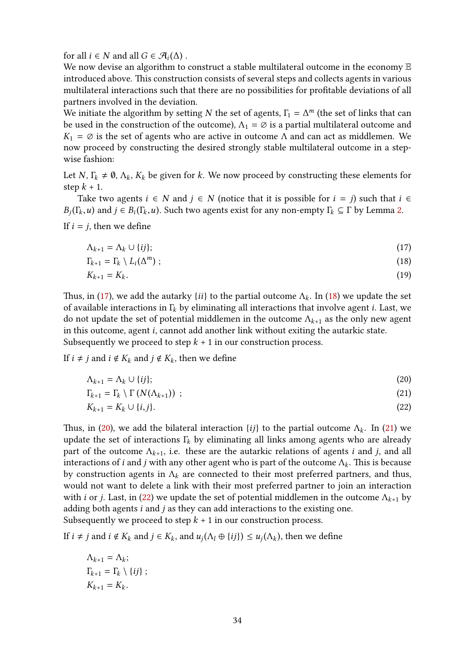for all  $i \in N$  and all  $G \in \mathcal{A}_i(\Delta)$ .<br>We now devise an algorithm to

We now devise an algorithm to construct a stable multilateral outcome in the economy  $E$ introduced above. This construction consists of several steps and collects agents in various multilateral interactions such that there are no possibilities for profitable deviations of all partners involved in the deviation.

We initiate the algorithm by setting N the set of agents,  $\Gamma_1 = \Delta^m$  (the set of links that can<br>be used in the construction of the outcome),  $\Delta_i = \emptyset$  is a partial multilateral outcome and be used in the construction of the outcome),  $\Lambda_1 = \emptyset$  is a partial multilateral outcome and  $K_1 = \emptyset$  is the set of agents who are active in outcome  $\Lambda$  and can act as middlemen. We now proceed by constructing the desired strongly stable multilateral outcome in a stepwise fashion:

Let N,  $\Gamma_k \neq \emptyset$ ,  $\Lambda_k$ ,  $K_k$  be given for k. We now proceed by constructing these elements for step  $k + 1$ .

Take two agents  $i \in N$  and  $j \in N$  (notice that it is possible for  $i = j$ ) such that  $i \in$  $B_j(\Gamma_k, u)$  and  $j \in B_i(\Gamma_k, u)$ . Such two agents exist for any non-empty  $\Gamma_k \subseteq \Gamma$  by Lemma [2.](#page-32-1)

If  $i = j$ , then we define

$$
\Lambda_{k+1} = \Lambda_k \cup \{ij\};\tag{17}
$$

<span id="page-34-1"></span><span id="page-34-0"></span>
$$
\Gamma_{k+1} = \Gamma_k \setminus L_i(\Delta^m) \tag{18}
$$

$$
K_{k+1} = K_k. \tag{19}
$$

Thus, in [\(17\)](#page-34-0), we add the autarky {*ii*} to the partial outcome  $\Lambda_k$ . In [\(18\)](#page-34-1) we update the set of available interactions in  $\Gamma_k$  by eliminating all interactions that involve agent *i*. Last, we do not update the set of potential middlemen in the outcome  $\Lambda_{k+1}$  as the only new agent in this outcome, agent i, cannot add another link without exiting the autarkic state. Subsequently we proceed to step  $k + 1$  in our construction process.

If  $i \neq j$  and  $i \notin K_k$  and  $j \notin K_k$ , then we define

$$
\Lambda_{k+1} = \Lambda_k \cup \{ij\};\tag{20}
$$

<span id="page-34-4"></span><span id="page-34-3"></span><span id="page-34-2"></span>
$$
\Gamma_{k+1} = \Gamma_k \setminus \Gamma \left( N(\Lambda_{k+1}) \right) ; \tag{21}
$$

$$
K_{k+1} = K_k \cup \{i, j\}.
$$
\n(22)

Thus, in [\(20\)](#page-34-2), we add the bilateral interaction {ij} to the partial outcome  $\Lambda_k$ . In [\(21\)](#page-34-3) we update the set of interactions  $\Gamma_k$  by eliminating all links among agents who are already part of the outcome  $\Lambda_{k+1}$ , i.e. these are the autarkic relations of agents i and j, and all interactions of *i* and *j* with any other agent who is part of the outcome  $\Lambda_k$ . This is because by construction agents in  $\Lambda_k$  are connected to their most preferred partners, and thus, would not want to delete a link with their most preferred partner to join an interaction with *i* or *j*. Last, in [\(22\)](#page-34-4) we update the set of potential middlemen in the outcome  $\Lambda_{k+1}$  by adding both agents *i* and *j* as they can add interactions to the existing one. Subsequently we proceed to step  $k + 1$  in our construction process.

If  $i \neq j$  and  $i \notin K_k$  and  $j \in K_k$ , and  $u_j(\Lambda_l \oplus \{ij\}) \leq u_j(\Lambda_k)$ , then we define

$$
\Lambda_{k+1} = \Lambda_k;
$$
  
\n
$$
\Gamma_{k+1} = \Gamma_k \setminus \{ij\} ;
$$
  
\n
$$
K_{k+1} = K_k.
$$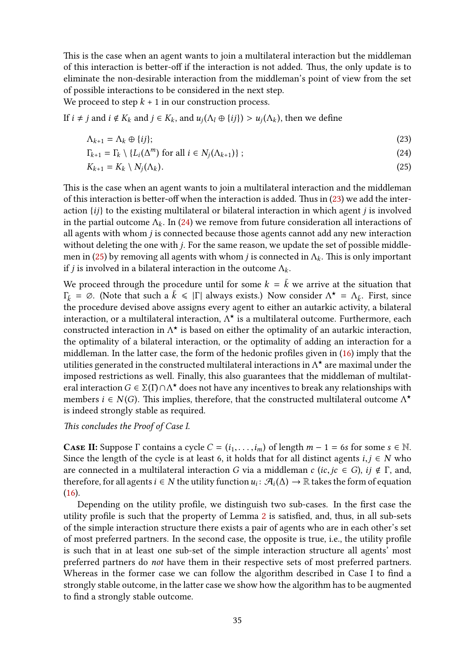This is the case when an agent wants to join a multilateral interaction but the middleman of this interaction is better-off if the interaction is not added. Thus, the only update is to eliminate the non-desirable interaction from the middleman's point of view from the set of possible interactions to be considered in the next step.

We proceed to step  $k + 1$  in our construction process.

If  $i \neq j$  and  $i \notin K_k$  and  $j \in K_k$ , and  $u_j(\Lambda_l \oplus \{ij\}) > u_j(\Lambda_k)$ , then we define

<span id="page-35-1"></span><span id="page-35-0"></span>
$$
\Lambda_{k+1} = \Lambda_k \oplus \{ij\};\tag{23}
$$

 $\Gamma_{k+1} = \Gamma_k \setminus \{L_i(\Delta^m) \text{ for all } i \in N_j\}$  $(\Lambda_{k+1})$  ; (24)

<span id="page-35-2"></span>
$$
K_{k+1} = K_k \setminus N_j(\Lambda_k). \tag{25}
$$

This is the case when an agent wants to join a multilateral interaction and the middleman of this interaction is better-off when the interaction is added. Thus in  $(23)$  we add the interaction  $\{ij\}$  to the existing multilateral or bilateral interaction in which agent j is involved in the partial outcome  $\Lambda_k$ . In [\(24\)](#page-35-1) we remove from future consideration all interactions of all agents with whom j is connected because those agents cannot add any new interaction without deleting the one with  $j$ . For the same reason, we update the set of possible middle-men in [\(25\)](#page-35-2) by removing all agents with whom *j* is connected in  $\Lambda_k$ . This is only important if *j* is involved in a bilateral interaction in the outcome  $\Lambda_k$ .

We proceed through the procedure until for some  $k = \overline{k}$  we arrive at the situation that  $\Gamma_{\bar{k}} = \emptyset$ . (Note that such a  $\bar{k} \leq |\Gamma|$  always exists.) Now consider  $\Lambda^* = \Lambda_{\bar{k}}$ . First, since the procedure devised above assigns every agent to either an autarkic activity a bilateral the procedure devised above assigns every agent to either an autarkic activity, a bilateral interaction, or a multilateral interaction,  $\Lambda^*$  is a multilateral outcome. Furthermore, each constructed interaction in  $\Lambda^*$  is based on either the optimality of an autarkic interaction constructed interaction in  $\Lambda^*$  is based on either the optimality of an autarkic interaction,<br>the optimality of a bilateral interaction, or the optimality of adding an interaction for a the optimality of a bilateral interaction, or the optimality of adding an interaction for a middleman. In the latter case, the form of the hedonic profiles given in  $(16)$  imply that the utilities generated in the constructed multilateral interactions in  $\Lambda^{\star}$  are maximal under the<br>imposed restrictions as well. Finally, this also guarantees that the middleman of multilatimposed restrictions as well. Finally, this also guarantees that the middleman of multilateral interaction  $G \in \Sigma(\Gamma) \cap \Lambda^*$  does not have any incentives to break any relationships with members  $i \in N(G)$ . This implies, therefore, that the constructed multilateral outcome  $\Lambda^*$ members  $i \in N(G)$ . This implies, therefore, that the constructed multilateral outcome  $\Lambda^*$ <br>is indeed strongly stable as required is indeed strongly stable as required.

This concludes the Proof of Case I.

**CASE II:** Suppose  $\Gamma$  contains a cycle  $C = (i_1, \ldots, i_m)$  of length  $m - 1 = 6s$  for some  $s \in \mathbb{N}$ . Since the length of the cycle is at least 6, it holds that for all distinct agents  $i, j \in N$  who are connected in a multilateral interaction G via a middleman  $c$  (ic, jc  $\in$  G), ij  $\notin$   $\Gamma$ , and, therefore, for all agents  $i \in N$  the utility function  $u_i \colon \mathcal{A}_i(\Delta) \to \mathbb{R}$  takes the form of equation (16) [\(16\)](#page-33-1).

Depending on the utility profile, we distinguish two sub-cases. In the first case the utility profile is such that the property of Lemma  $2$  is satisfied, and, thus, in all sub-sets of the simple interaction structure there exists a pair of agents who are in each other's set of most preferred partners. In the second case, the opposite is true, i.e., the utility profile is such that in at least one sub-set of the simple interaction structure all agents' most preferred partners do not have them in their respective sets of most preferred partners. Whereas in the former case we can follow the algorithm described in Case I to find a strongly stable outcome, in the latter case we show how the algorithm has to be augmented to find a strongly stable outcome.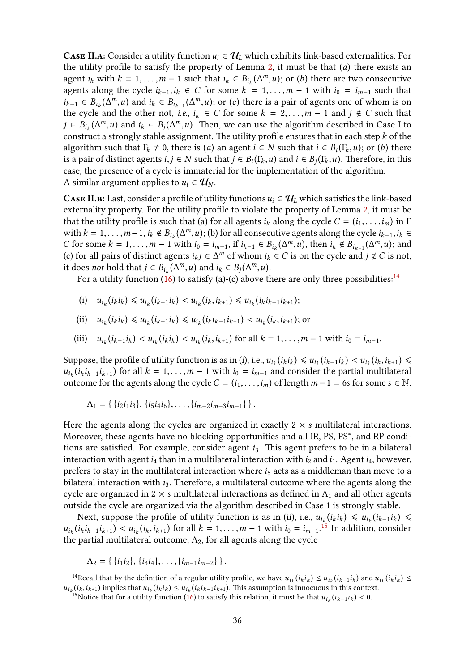**CASE II.A:** Consider a utility function  $u_i \in \mathcal{U}_L$  which exhibits link-based externalities. For the utility profile to satisfy the property of Lemma [2,](#page-32-1) it must be that  $(a)$  there exists an agent  $i_k$  with  $k = 1, ..., m - 1$  such that  $i_k \in B_{i_k}(\Delta^m, u)$ ; or (b) there are two consecutive<br>agents along the cycle  $i_k$ ,  $i_k \in C$  for some  $k = 1$ ,  $m = 1$  with  $i_k = i$ , such that agents along the cycle  $i_{k-1}, i_k \in C$  for some  $k = 1, ..., m-1$  with  $i_0 = i_{m-1}$  such that  $i_{m-k} \in B_1 \wedge \{0, m, u\}$  and  $i_k \in B_2 \wedge \{0, m, u\}$ ; or  $(c)$  there is a pair of agents one of whom is on  $i_{k-1}$  ∈  $B_{i_k}(\Delta^m, u)$  and  $i_k \in B_{i_{k-1}}(\Delta^m, u)$ ; or (c) there is a pair of agents one of whom is on<br>the cycle and the other not *i.e. i.* ∈ C for some  $k - 2$  and *i.e.* C such that the cycle and the other not, *i.e.*,  $i_k \in C$  for some  $k = 2, ..., m - 1$  and  $j \notin C$  such that  $i \in B$ .  $(\Lambda^m u)$  and  $i_k \in B$ .  $(\Lambda^m u)$ . Then we can use the algorithm described in Case I to j ∈  $B_{i_k}(\Delta^m, u)$  and  $i_k \in B_j(\Delta^m, u)$ . Then, we can use the algorithm described in Case I to construct a strongly stable assignment. The utility profile ensures that in each step k of the construct a strongly stable assignment. The utility profile ensures that in each step k of the algorithm such that  $\Gamma_1 \neq 0$ , there is (a) an agent  $i \in N$  such that  $i \in R(\Gamma_1, u)$ ; or (b) there algorithm such that  $\Gamma_k \neq 0$ , there is (*a*) an agent  $i \in N$  such that  $i \in B_i(\Gamma_k, u)$ ; or (*b*) there is a pair of distinct agents  $i \in N$  such that  $i \in B_i(\Gamma_i, u)$  and  $i \in B_i(\Gamma_i, u)$ . Therefore, in this is a pair of distinct agents  $i, j \in N$  such that  $j \in B_i(\Gamma_k, u)$  and  $i \in B_j(\Gamma_k, u)$ . Therefore, in this case the presence of a cycle is immaterial for the implementation of the algorithm case, the presence of a cycle is immaterial for the implementation of the algorithm. A similar argument applies to  $u_i \in \mathcal{U}_N$ .

**CASE II.B:** Last, consider a profile of utility functions  $u_i \in \mathcal{U}_L$  which satisfies the link-based externality property. For the utility profile to violate the property of Lemma [2,](#page-32-1) it must be that the utility profile is such that (a) for all agents  $i_k$  along the cycle  $C = (i_1, \ldots, i_m)$  in  $\Gamma$ with  $k = 1, ..., m-1$ ,  $i_k \notin B_{i_k}(\Delta^m, u)$ ; (b) for all consecutive agents along the cycle  $i_{k-1}, i_k \in C$  for some  $k-1$ ,  $m-1$  with  $i_0 = i_j$ , if  $i_j \in R$ .  $(\Delta^m, u)$  then  $i_j \notin R$ .  $(\Delta^m, u)$ ; and C for some  $k = 1, ..., m - 1$  with  $i_0 = i_{m-1}$ , if  $i_{k-1} \in B_{i_k}(\Delta^m, u)$ , then  $i_k \notin B_{i_{k-1}}(\Delta^m, u)$ ; and  $\Delta^m$  of some in  $i_k \in \Delta^m$  of whom  $i_k \in C$  is on the cycle and  $i \notin C$  is not (c) for all pairs of distinct agents  $i_k j \in \Delta^m$  of whom  $i_k \in C$  is on the cycle and  $j \notin C$  is not, it does not hold that  $i \in B$ .  $(\Delta^m u)$  and  $i_k \in B_1(\Delta^m u)$ it does *not* hold that *j* ∈  $B_{i_k}(\Delta^m, u)$  and  $i_k$  ∈  $B_j(\Delta^m, u)$ .<br>For a utility function (16) to satisfy (a)-(c) above the

For a utility function [\(16\)](#page-33-1) to satisfy (a)-(c) above there are only three possibilities:<sup>[14](#page-36-0)</sup>

(i) 
$$
u_{i_k}(i_k i_k) \leq u_{i_k}(i_{k-1} i_k) < u_{i_k}(i_k, i_{k+1}) \leq u_{i_k}(i_k i_{k-1} i_{k+1});
$$

(ii) 
$$
u_{i_k}(i_k i_k) \leq u_{i_k}(i_{k-1} i_k) \leq u_{i_k}(i_k i_{k-1} i_{k+1}) < u_{i_k}(i_k, i_{k+1});
$$
 or

(iii) 
$$
u_{i_k}(i_{k-1}i_k) < u_{i_k}(i_ki_k) < u_{i_k}(i_k,i_{k+1})
$$
 for all  $k = 1,...,m-1$  with  $i_0 = i_{m-1}$ .

Suppose, the profile of utility function is as in (i), i.e.,  $u_{i_k}(i_k i_k) \leq u_{i_k}(i_{k-1} i_k) < u_{i_k}(i_k, i_{k+1}) \leq$ <br>  $u_{i_k}(i_k, i_{k+1})$  for all  $k-1$  and some subset the partial multilateral outcome for the agents along the cycle  $C = (i_1, \ldots, i_m)$  of length  $m - 1 = 6s$  for some  $s \in \mathbb{N}$ .  $u_{i_k}(i_k i_{k-1} i_{k+1})$  for all  $k = 1, \ldots, m-1$  with  $i_0 = i_{m-1}$  and consider the partial multilateral

$$
\Lambda_1 = \{ \{i_2 i_1 i_3\}, \{i_5 i_4 i_6\}, \ldots, \{i_{m-2} i_{m-3} i_{m-1}\} \}.
$$

Here the agents along the cycles are organized in exactly  $2 \times s$  multilateral interactions. Moreover, these agents have no blocking opportunities and all IR, PS, PS<sup>\*</sup>, and RP conditions are satisfied. For example, consider agent  $i_3$ . This agent prefers to be in a bilateral interaction with agent  $i_4$  than in a multilateral interaction with  $i_2$  and  $i_1$ . Agent  $i_4$ , however, prefers to stay in the multilateral interaction where  $i<sub>5</sub>$  acts as a middleman than move to a bilateral interaction with  $i_3$ . Therefore, a multilateral outcome where the agents along the cycle are organized in 2  $\times$  s multilateral interactions as defined in  $\Lambda_1$  and all other agents outside the cycle are organized via the algorithm described in Case 1 is strongly stable.

Next, suppose the profile of utility function is as in (ii), i.e.,  $u_{i_k}(i_k i_k) \leq u_{i_k}(i_{k-1} i_k) \leq$ the partial multilateral outcome,  $\Lambda_2$ , for all agents along the cycle the partial multilateral outcome,  $\Lambda_2$ , for all agents along the cycle  $(i_k i_{k-1} i_{k+1}) < u_{i_k} (i_k, i_{k+1})$  for all  $k = 1, ..., m-1$  with  $i_0 = i_{m-1}$ .<sup>[15](#page-36-1)</sup> In addition, consider

 $\Lambda_2 = \{ \{i_1 i_2\}, \{i_3 i_4\}, \ldots, \{i_{m-1} i_{m-2}\} \}$ .

<span id="page-36-0"></span><sup>&</sup>lt;sup>14</sup>Recall that by the definition of a regular utility profile, we have  $u_{ik}(i_k i_k) \leq u_{ik}(i_{k-1} i_k)$  and  $u_{ik}(i_k i_k) \leq$ <br>(ii, ii, i) implies that  $u_{ik}(i_k i_k) \leq u_{ik}(i_k i_k)$ . This assumption is innocuous in this context  $u_{i_k}(i_k, i_{k+1})$  implies that  $u_{i_k}(i_k i_k) \le u_{i_k}(i_k i_{k-1} i_{k+1})$ . This assumption is innocuous in this context.

<span id="page-36-1"></span><sup>&</sup>lt;sup>15</sup>Notice that for a utility function [\(16\)](#page-33-1) to satisfy this relation, it must be that  $u_{i_k}(i_{k-1}i_k) < 0$ .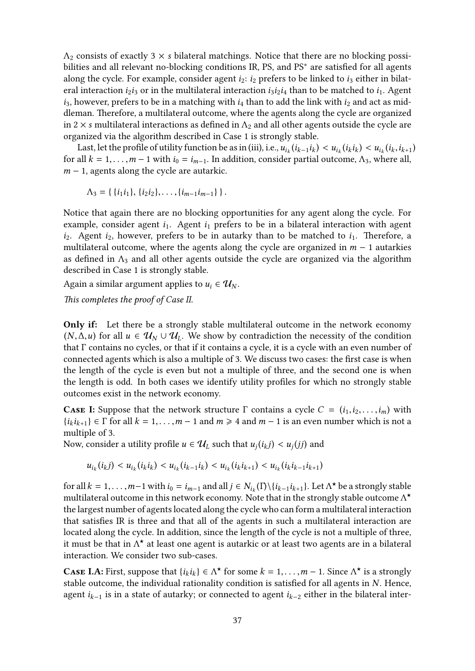$\Lambda_2$  consists of exactly 3  $\times$  s bilateral matchings. Notice that there are no blocking possibilities and all relevant no-blocking conditions IR, PS, and PS∗ are satised for all agents along the cycle. For example, consider agent  $i_2$ :  $i_2$  prefers to be linked to  $i_3$  either in bilateral interaction  $i_2i_3$  or in the multilateral interaction  $i_3i_2i_4$  than to be matched to  $i_1$ . Agent  $i_3$ , however, prefers to be in a matching with  $i_4$  than to add the link with  $i_2$  and act as middleman. Therefore, a multilateral outcome, where the agents along the cycle are organized in 2  $\times$  s multilateral interactions as defined in  $\Lambda_2$  and all other agents outside the cycle are organized via the algorithm described in Case 1 is strongly stable.

Last, let the profile of utility function be as in (iii), i.e.,  $u_{i_k}(i_{k-1}i_k) < u_{i_k}(i_k i_k) < u_{i_k}(i_k, i_{k+1})$ <br>all  $k - 1$  =  $m - 1$  with  $i_0 = i - 1$ . In addition, consider partial outcome,  $\Lambda_0$  where all for all  $k = 1, ..., m - 1$  with  $i_0 = i_{m-1}$ . In addition, consider partial outcome,  $\Lambda_3$ , where all,  $m - 1$  agents along the cycle are autarkic.  $m - 1$ , agents along the cycle are autarkic.

$$
\Lambda_3 = \{ \{i_1 i_1\}, \{i_2 i_2\}, \ldots, \{i_{m-1} i_{m-1}\} \}.
$$

Notice that again there are no blocking opportunities for any agent along the cycle. For example, consider agent  $i_1$ . Agent  $i_1$  prefers to be in a bilateral interaction with agent  $i_2$ . Agent  $i_2$ , however, prefers to be in autarky than to be matched to  $i_1$ . Therefore, a multilateral outcome, where the agents along the cycle are organized in  $m - 1$  autarkies as defined in  $\Lambda_3$  and all other agents outside the cycle are organized via the algorithm described in Case 1 is strongly stable.

Again a similar argument applies to  $u_i \in \mathcal{U}_N$ .

This completes the proof of Case II.

Only if: Let there be a strongly stable multilateral outcome in the network economy  $(N,\Delta,u)$  for all  $u \in \mathcal{U}_N \cup \mathcal{U}_L$ . We show by contradiction the necessity of the condition that Γ contains no cycles, or that if it contains a cycle, it is a cycle with an even number of connected agents which is also a multiple of 3. We discuss two cases: the first case is when the length of the cycle is even but not a multiple of three, and the second one is when the length is odd. In both cases we identify utility profiles for which no strongly stable outcomes exist in the network economy.

**CASE I:** Suppose that the network structure  $\Gamma$  contains a cycle  $C = (i_1, i_2, \ldots, i_m)$  with  ${i_k i_{k+1}} \in \Gamma$  for all  $k = 1, \ldots, m-1$  and  $m \ge 4$  and  $m-1$  is an even number which is not a multiple of 3.

Now, consider a utility profile  $u \in \mathcal{U}_L$  such that  $u_j(i_k j) < u_j(jj)$  and

$$
u_{i_k}(i_k j) < u_{i_k}(i_k i_k) < u_{i_k}(i_{k-1} i_k) < u_{i_k}(i_k i_{k+1}) < u_{i_k}(i_k i_{k-1} i_{k+1})
$$

for all  $k = 1, ..., m-1$  with  $i_0 = i_{m-1}$  and all  $j \in N_{i_k}(\Gamma) \setminus \{i_{k-1}i_{k+1}\}\)$ . Let  $\Lambda^{\star}$  be a strongly stable multilateral outcome in this network economy. Note that in the strongly stable outcome  $\Lambda^{\star}$ multilateral outcome in this network economy. Note that in the strongly stable outcome  $\Lambda^{\star}$ <br>the largest number of agents located along the cycle who can form a multilateral interaction the largest number of agents located along the cycle who can form a multilateral interaction that satisfies IR is three and that all of the agents in such a multilateral interaction are located along the cycle. In addition, since the length of the cycle is not a multiple of three, it must be that in  $\Lambda^*$  at least one agent is autarkic or at least two agents are in a bilateral<br>interaction. We consider two sub-cases interaction. We consider two sub-cases.

**CASE I.A:** First, suppose that  $\{i_k i_k\} \in \Lambda^*$  for some  $k = 1, ..., m - 1$ . Since  $\Lambda^*$  is a strongly stable outcome, the individual rationality condition is satisfied for all agents in N. Hence stable outcome, the individual rationality condition is satisfied for all agents in  $N$ . Hence, agent  $i_{k-1}$  is in a state of autarky; or connected to agent  $i_{k-2}$  either in the bilateral inter-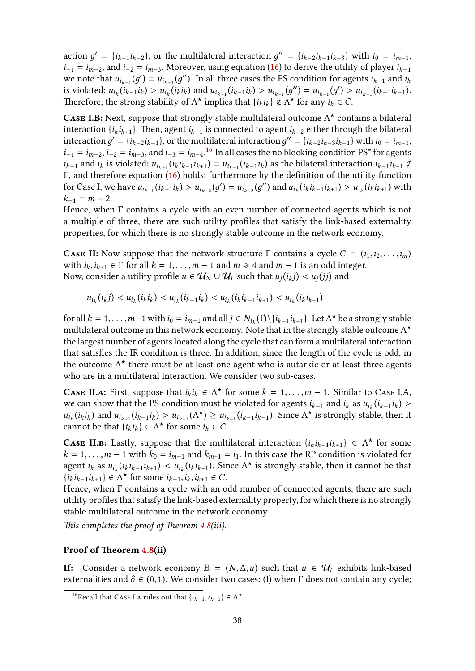action  $g' = \{i_{k-1}i_{k-2}\}\)$ , or the multilateral interaction  $g'' = \{i_{k-2}i_{k-1}i_{k-3}\}\$  with  $i_0 = i_{m-1}$ ,  $i_{k-1}i_{k-2}$  and  $i_{k-1}i_{k-1}$ , Moreover using equation (16) to derive the utility of player  $i_{k-1}$  $i_{-1} = i_{m-2}$ , and  $i_{-2} = i_{m-3}$ . Moreover, using equation [\(16\)](#page-33-1) to derive the utility of player  $i_{k-1}$ we note that  $u_{i_{k-1}}(g') = u_{i_{k-1}}(g'')$ . In all three cases the PS condition for agents  $i_{k-1}$  and  $i_k$  is violated:  $u_i$ ,  $(i_{k-1}i_k) \ge u_i$ ,  $(i_{k-1}i_k) \ge u_i$ ,  $(i_{k-1}i_k) \ge u_i$ ,  $(i_{k-1}i_{k-1})$ is violated:  $u_{i_k}(i_{k-1}i_k) > u_{i_k}(i_ki_k)$  and  $u_{i_{k-1}}(i_{k-1}i_k) > u_{i_{k-1}}(g'') = u_{i_{k-1}}(g'')$ <br>Therefore the strong stability of  $\Lambda^*$  implies that  $\{i_k, i_k\} \notin \Lambda^*$  for any  $i_k \notin \Lambda^*$ Therefore, the strong stability of  $\Lambda^*$  implies that  $\{i_k i_k\} \notin \Lambda^*$  for any  $i_k \in C$ . ) >  $u_{i_{k-1}}(i_{k-1}i_{k-1}).$ 

**CASE I.B:** Next, suppose that strongly stable multilateral outcome  $\Lambda^*$  contains a bilateral interaction  $\{i_1, i_2, \ldots\}$ . Then, agent  $i_1, i_2$  is connected to agent  $i_2, i_3$  either through the bilateral interaction  $\{i_k i_{k+1}\}\$ . Then, agent  $i_{k-1}$  is connected to agent  $i_{k-2}$  either through the bilateral interaction  $g' = \{i_{k-2}i_{k-1}\}\$ , or the multilateral interaction  $g'' = \{i_{k-2}i_{k-3}i_{k-1}\}\$  with  $i_0 = i_{m-1}$ ,<br> $i_{k-1} = i_{m-2}$ , and  $i_{k-1} = i_{m-1}$ ,  $i_{k-1} = i_{m-1}$  and  $i_{k-1} = i_{m-1}$ ,  $i_{k-1} = i_{m-1}$ ,  $i_{k-1} = i_{m-1}$ ,  $i_{-1} = i_{m-2}, i_{-2} = i_{m-3}$ , and  $i_{-3} = i_{m-4}$ .<sup>[16](#page-38-0)</sup> In all cases the no blocking condition PS\* for agents  $i_{m-1}$  and  $i_{m-1}$  is violated;  $u_{m-1}(i_{m-1}, i_{m-2}) = u_{m-1}(i_{m-1}, i_{m-1})$  as the bilateral interaction  $i_{m-1}$ ,  $i_{k-1}$  and  $i_k$  is violated:  $u_{i_{k-1}}(i_k i_{k-1} i_{k+1}) = u_{i_{k-1}}(i_{k-1} i_k)$  as the bilateral interaction  $i_{k-1} i_{k+1} \notin$ <br>  $\Gamma$  and therefore equation (16) holds: furthermore by the definition of the utility function Γ, and therefore equation  $(16)$  holds; furthermore by the definition of the utility function for Case I, we have  $u_{i_{k-1}}(i_{k-1}i_k) > u_{i_{k-2}}(g)$  $') = u_{i_{k-2}}(g)$ ") and  $u_{i_k}(i_k i_{k-1} i_{k+1}) > u_{i_k}(i_k i_{k+1})$  with  $k_{-1} = m - 2.$ 

Hence, when Γ contains a cycle with an even number of connected agents which is not a multiple of three, there are such utility profiles that satisfy the link-based externality properties, for which there is no strongly stable outcome in the network economy.

**CASE II:** Now suppose that the network structure  $\Gamma$  contains a cycle  $C = (i_1, i_2, \ldots, i_m)$ with  $i_k$ ,  $i_{k+1} \in \Gamma$  for all  $k = 1, \ldots, m - 1$  and  $m \geq 4$  and  $m - 1$  is an odd integer. Now, consider a utility profile  $u \in \mathcal{U}_N \cup \mathcal{U}_L$  such that  $u_j(i_k j) < u_j(jj)$  and

 $u_{i_k}(i_k j) < u_{i_k}(i_k i_k) < u_{i_k}(i_{k-1} i_k) < u_{i_k}(i_k i_{k-1} i_{k+1}) < u_{i_k}(i_k i_{k+1})$ 

for all  $k = 1, ..., m-1$  with  $i_0 = i_{m-1}$  and all  $j \in N_{i_k}(\Gamma) \setminus \{i_{k-1}i_{k+1}\}\)$ . Let  $\Lambda^{\star}$  be a strongly stable multilateral outcome in this network economy. Note that in the strongly stable outcome  $\Lambda^{\star}$ multilateral outcome in this network economy. Note that in the strongly stable outcome  $\Lambda^{\star}$ <br>the largest number of agents located along the cycle that can form a multilateral interaction the largest number of agents located along the cycle that can form a multilateral interaction that satisfies the IR condition is three. In addition, since the length of the cycle is odd, in the outcome  $\Lambda^*$  there must be at least one agent who is autarkic or at least three agents<br>who are in a multilateral interaction. We consider two sub-cases who are in a multilateral interaction. We consider two sub-cases.

**CASE II.A:** First, suppose that  $i_k i_k \in \Lambda^*$  for some  $k = 1, ..., m - 1$ . Similar to CASE I.A, we can show that the PS condition must be violated for agents  $i_k$ , and  $i_k$  as  $y_k$   $(i_k, i_k) >$ we can show that the PS condition must be violated for agents  $i_{k-1}$  and  $i_k$  as  $u_{i_k}(i_{k-1}i_k) >$ <br> $u_{i_k}(i_k,i_k)$  and  $u_{i_k}(i_{k-1}i_k) > u_{i_k}(i_k,i_k) > u_{i_k}(i_k,i_k)$ . Since  $\Lambda^*$  is strongly stable, then it cannot be that  $\{i_k i_k\} \in \Lambda^*$  for some  $i_k \in C$ .  $(i_k i_k)$  and  $u_{i_{k-1}}(i_{k-1} i_k) > u_{i_{k-1}}(\Lambda^{\star}) \ge u_{i_{k-1}}(i_{k-1} i_{k-1})$ . Since  $\Lambda^{\star}$  is strongly stable, then it

**CASE II.B:** Lastly, suppose that the multilateral interaction  $\{i_k i_{k-1} i_{k+1}\} \in \Lambda^*$  for some  $k-1$ ,  $m-1$  with  $k_0 = i$ , and  $k_0 = i$ . In this case the RP condition is violated for  $k = 1, \ldots, m - 1$  with  $k_0 = i_{m-1}$  and  $k_{m+1} = i_1$ . In this case the RP condition is violated for agent  $i_k$  as  $u_{i_k}(i_k i_{k-1} i_{k+1}) < u_{i_k}(i_k i_{k+1})$ . Since  $\Lambda^*$  is strongly stable, then it cannot be that  $\{i_k i_{k-1} i_{k+1}\} \in \Lambda^*$  for some  $i_{k-1}, i_k, i_{k+1} \in C$ .<br>Hence when  $\Gamma$  contains a cycle with an o

Hence, when Γ contains a cycle with an odd number of connected agents, there are such utility profiles that satisfy the link-based externality property, for which there is no strongly stable multilateral outcome in the network economy.

This completes the proof of Theorem  $4.8(iii)$  $4.8(iii)$ .

#### Proof of Theorem [4.8\(](#page-19-0)ii)

**If:** Consider a network economy  $E = (N, \Delta, u)$  such that  $u \in U_L$  exhibits link-based externalities and  $\delta \in (0,1)$ . We consider two cases: (I) when  $\Gamma$  does not contain any cycle;

<span id="page-38-0"></span><sup>&</sup>lt;sup>16</sup>Recall that CASE I.A rules out that  $\{i_{k-1}, i_{k-1}\} \in \Lambda^{\star}$ .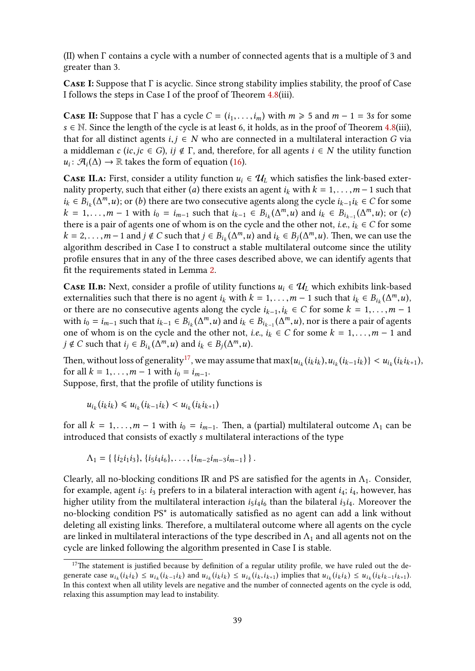(II) when Γ contains a cycle with a number of connected agents that is a multiple of 3 and greater than 3.

Case I: Suppose that Γ is acyclic. Since strong stability implies stability, the proof of Case I follows the steps in Case I of the proof of Theorem  $4.8$ (iii).

**CASE II:** Suppose that  $\Gamma$  has a cycle  $C = (i_1, \ldots, i_m)$  with  $m \geq 5$  and  $m - 1 = 3s$  for some  $s \in \mathbb{N}$ . Since the length of the cycle is at least 6, it holds, as in the proof of Theorem [4.8\(](#page-19-0)iii), that for all distinct agents  $i, j \in N$  who are connected in a multilateral interaction G via a middleman c (ic, jc ∈ G), ij ∉  $\Gamma$ , and, therefore, for all agents  $i \in N$  the utility function  $u_i: \mathcal{A}_i(\Delta) \to \mathbb{R}$  takes the form of equation [\(16\)](#page-33-1).

**CASE II.A:** First, consider a utility function  $u_i \in \mathcal{U}_L$  which satisfies the link-based externality property, such that either (a) there exists an agent  $i_k$  with  $k = 1, \ldots, m - 1$  such that  $i_k \in B_{i_k}(\Delta^m, u)$ ; or (b) there are two consecutive agents along the cycle  $i_{k-1}i_k \in C$  for some  $k-1$  and  $i_k = 1$  with  $i_k = i_k$  such that  $i_k \in B_k$ .  $(\Delta^m, u)$  and  $i_k \in B_k$ .  $(\Delta^m, u)$  or  $(c)$  $k = 1, \ldots, m - 1$  with  $i_0 = i_{m-1}$  such that  $i_{k-1} \in B_{i_k}(\Delta^m, u)$  and  $i_k \in B_{i_{k-1}}(\Delta^m, u)$ ; or (c) there is a pair of agents one of whom is on the cycle and the other not, i.e.,  $i_k \in C$  for some  $k-2$  and  $i \notin C$  such that  $i \in B$ .  $(\Lambda^m u)$  and  $i_k \in B$ . $(\Lambda^m u)$ . Then we can use the  $k = 2, \ldots, m-1$  and  $j \notin C$  such that  $j \in B_{i_k}(\Delta^m, u)$  and  $i_k \in B_j(\Delta^m, u)$ . Then, we can use the about the subsection of the subsection of the utility  $\frac{\partial}{\partial x}$  algorithm described in Case I to construct a stable multilateral outcome since the utility profile ensures that in any of the three cases described above, we can identify agents that fit the requirements stated in Lemma [2.](#page-32-1)

**CASE II.B:** Next, consider a profile of utility functions  $u_i \in \mathcal{U}_L$  which exhibits link-based externalities such that there is no agent  $i_k$  with  $k = 1, ..., m - 1$  such that  $i_k \in B_{i_k}(\Delta^m, u)$ ,<br>or there are no consecutive agents along the cycle  $i_k$ ,  $i_k \in C$  for some  $k - 1$ ,  $m - 1$ or there are no consecutive agents along the cycle  $i_{k-1}, i_k \in C$  for some  $k = 1, \ldots, m-1$ <br>with  $i_0 = i_{k-1}$  such that  $i_{k-1} \in B_1$ .  $(\Delta^m u)$  and  $i_k \in B_2$ .  $(\Delta^m u)$  por is there a pair of agents with  $i_0 = i_{m-1}$  such that  $i_{k-1} \in B_{i_k}(\Delta^m, u)$  and  $i_k \in B_{i_{k-1}}(\Delta^m, u)$ , nor is there a pair of agents one of whom is on the cycle and the other not  $i \in \Delta^m$ ,  $i \in \Delta^m$  for some  $k - 1$  and  $m - 1$  and ( $\lambda$  one of whom is on the cycle and the other not, *i.e.*,  $i_k \in C$  for some  $k = 1, ..., m - 1$  and  $i \notin C$  such that  $i \in B$ .  $(\lambda^m u)$  and  $i_k \in B$ .  $(\lambda^m u)$  $j \notin C$  such that  $i_j \in B_{i_k}(\Delta^m, u)$  and  $i_k \in B_j(\Delta^m, u)$ .

Then, without loss of generality<sup>[17](#page-39-0)</sup>, we may assume that  $\max\{u_{i_k}(i_k i_k), u_{i_k}(i_{k-1} i_k)\} < u_{i_k}(i_k i_{k+1}),$ <br>for all  $k-1$   $m-1$  with  $i_0 = i$ for all  $k = 1, ..., m - 1$  with  $i_0 = i_{m-1}$ .

Suppose, first, that the profile of utility functions is

$$
u_{i_k}(i_k i_k) \leq u_{i_k}(i_{k-1} i_k) < u_{i_k}(i_k i_{k+1})
$$

for all  $k = 1, \ldots, m - 1$  with  $i_0 = i_{m-1}$ . Then, a (partial) multilateral outcome  $\Lambda_1$  can be introduced that consists of exactly s multilateral interactions of the type

$$
\Lambda_1 = \{ \{i_2 i_1 i_3\}, \{i_5 i_4 i_6\}, \ldots, \{i_{m-2} i_{m-3} i_{m-1}\} \}.
$$

Clearly, all no-blocking conditions IR and PS are satisfied for the agents in  $\Lambda_1$ . Consider, for example, agent  $i_3: i_3$  prefers to in a bilateral interaction with agent  $i_4: i_4$ , however, has higher utility from the multilateral interaction  $i_5i_4i_6$  than the bilateral  $i_3i_4$ . Moreover the no-blocking condition PS<sup>\*</sup> is automatically satisfied as no agent can add a link without deleting all existing links. Therefore, a multilateral outcome where all agents on the cycle are linked in multilateral interactions of the type described in  $\Lambda_1$  and all agents not on the cycle are linked following the algorithm presented in Case I is stable.

<span id="page-39-0"></span> $17$ The statement is justified because by definition of a regular utility profile, we have ruled out the degenerate case  $u_{i_k}(i_k i_k) \leq u_{i_k}(i_{k-1} i_k)$  and  $u_{i_k}(i_k i_k) \leq u_{i_k}(i_k, i_{k+1})$  implies that  $u_{i_k}(i_k i_k) \leq u_{i_k}(i_k i_{k-1} i_{k+1})$ .<br>In this context when all utility levels are negative and the number of connected agents on the In this context when all utility levels are negative and the number of connected agents on the cycle is odd, relaxing this assumption may lead to instability.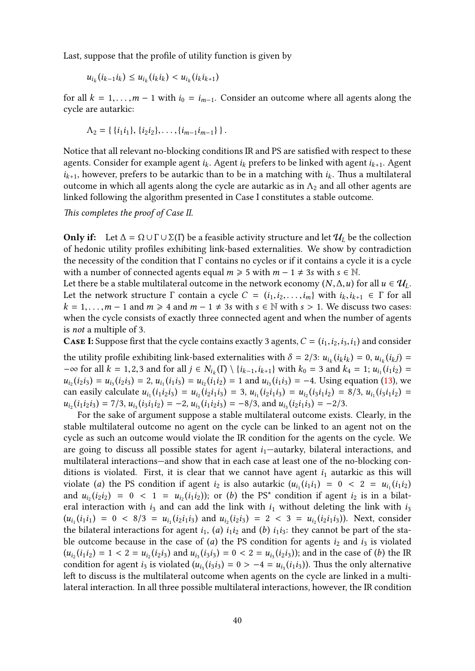Last, suppose that the profile of utility function is given by

$$
u_{i_k}(i_{k-1}i_k) \leq u_{i_k}(i_ki_k) < u_{i_k}(i_ki_{k+1})
$$

for all  $k = 1, \ldots, m - 1$  with  $i_0 = i_{m-1}$ . Consider an outcome where all agents along the cycle are autarkic:

$$
\Lambda_2 = \{ \{i_1 i_1\}, \{i_2 i_2\}, \ldots, \{i_{m-1} i_{m-1}\} \}.
$$

Notice that all relevant no-blocking conditions IR and PS are satisfied with respect to these agents. Consider for example agent  $i_k$ . Agent  $i_k$  prefers to be linked with agent  $i_{k+1}$ . Agent  $i_{k+1}$ , however, prefers to be autarkic than to be in a matching with  $i_k$ . Thus a multilateral outcome in which all agents along the cycle are autarkic as in  $\Lambda_2$  and all other agents are linked following the algorithm presented in Case I constitutes a stable outcome.

This completes the proof of Case II.

**Only if:** Let  $\Delta = \Omega \cup \Gamma \cup \Sigma(\Gamma)$  be a feasible activity structure and let  $\mathcal{U}_L$  be the collection of hedonic utility profiles exhibiting link-based externalities. We show by contradiction the necessity of the condition that  $\Gamma$  contains no cycles or if it contains a cycle it is a cycle with a number of connected agents equal  $m \geq 5$  with  $m - 1 \neq 3s$  with  $s \in \mathbb{N}$ .

Let there be a stable multilateral outcome in the network economy  $(N, \Delta, u)$  for all  $u \in U_L$ . Let the network structure  $\Gamma$  contain a cycle  $C = (i_1, i_2, \ldots, i_m)$  with  $i_k, i_{k+1} \in \Gamma$  for all  $k = 1, \ldots, m - 1$  and  $m \geq 4$  and  $m - 1 \neq 3s$  with  $s \in \mathbb{N}$  with  $s > 1$ . We discuss two cases: when the cycle consists of exactly three connected agent and when the number of agents is not a multiple of 3.

**CASE I:** Suppose first that the cycle contains exactly 3 agents,  $C = (i_1, i_2, i_3, i_1)$  and consider

the utility profile exhibiting link-based externalities with  $\delta = 2/3$ :  $u_{i_k}(i_k i_k) = 0$ ,  $u_{i_k}(i_k j) =$ <br> $-\infty$  for all  $k = 1, 2, 3$  and for all  $i \in N$ . (D)  $\{i_k, i_k, j_k, \}$  with  $k_0 = 3$  and  $k_1 = 1$ ;  $u_k(i_k j) =$  $-\infty$  for all  $k = 1, 2, 3$  and for all  $j \in N_{i_k}(\Gamma) \setminus \{i_{k-1}, i_{k+1}\}$  with  $k_0 = 3$  and  $k_4 = 1$ ;  $u_{i_1}(i_1 i_2) =$ <br> $u_{i_1}(i_2 i_2) = u_{i_2}(i_2 i_2) = u_{i_1}(i_2 i_2) = 1$  and  $u_{i_1}(i_2 i_2) = -4$ . Using equation (13), we  $u_{i_2}(i_2i_3) - u_{i_3}(i_2i_3) - 2$ ,  $u_{i_1}(i_1i_3) - u_{i_2}(i_1i_2) - 1$  and  $u_{i_3}(i_1i_3) - 4$ . Osing equation (15), we<br>can easily calculate  $u_{i_1}(i_1i_2i_3) = u_{i_2}(i_2i_1i_3) = 3$ ,  $u_{i_1}(i_2i_1i_3) = u_{i_2}(i_3i_1i_2) = 8/3$ ,  $u_{$  $(i_2i_3) = u_{i_3}(i_2i_3) = 2, u_{i_1}(i_1i_3) = u_{i_2}(i_1i_2) = 1$  and  $u_{i_3}(i_1i_3) = -4$ . Using equation [\(13\)](#page-18-0), we  $u_{i_2}(i_1 i_2 i_3) = 7/3, u_{i_3}(i_3 i_1 i_2) = -2, u_{i_3}(i_1 i_2 i_3) = -8/3, \text{ and } u_{i_3}(i_2 i_1 i_3) = -2/3.$ <br>For the sake of argument suppose a stable multilateral outcome exist

For the sake of argument suppose a stable multilateral outcome exists. Clearly, in the stable multilateral outcome no agent on the cycle can be linked to an agent not on the cycle as such an outcome would violate the IR condition for the agents on the cycle. We are going to discuss all possible states for agent  $i_1$ —autarky, bilateral interactions, and multilateral interactions—and show that in each case at least one of the no-blocking conditions is violated. First, it is clear that we cannot have agent  $i_1$  autarkic as this will violate (a) the PS condition if agent  $i_2$  is also autarkic  $(u_{i_1}(i_1i_1) = 0 < 2 = u_{i_1}(i_1i_2)$ <br>and  $u_i(i_2i_2) = 0 < 1 = u_i(i_2i_2)$ ; or (b) the PS\* condition if agent is is in a bilatand  $u_{i_2}(i_2i_2) = 0 < 1 = u_{i_2}(i_1i_2)$ ; or (b) the PS<sup>\*</sup> condition if agent  $i_2$  is in a bilat-<br>eral interaction with is and can add the link with is without deleting the link with is eral interaction with  $i_3$  and can add the link with  $i_1$  without deleting the link with  $i_3$  $(u_{i_1}(i_1i_1) = 0 < 8/3 = u_{i_1}(i_2i_1i_3)$  and  $u_{i_2}(i_2i_3) = 2 < 3 = u_{i_2}(i_2i_1i_3)$ . Next, consider the bilateral interactions for agent  $i_1$ , (a) i.i.e. and (b) i.i.e. they cannot be part of the stathe bilateral interactions for agent  $i_1$ , (a)  $i_1i_2$  and (b)  $i_1i_3$ : they cannot be part of the stable outcome because in the case of (*a*) the PS condition for agents  $i_2$  and  $i_3$  is violated  $(u_{i_2}(i_1 i_2) = 1 < 2 = u_{i_2}(i_2 i_3)$  and  $u_{i_3}(i_3 i_3) = 0 < 2 = u_{i_3}(i_2 i_3)$ ; and in the case of (b) the IR condition for agent is is violated  $(u_i, (i_2 i_3) = 0 > -4 = u_i (i_1 i_2))$ . Thus the only alternative condition for agent *i*<sub>3</sub> is violated  $(u_{i_3}(i_3i_3) = 0 > -4 = u_{i_3}(i_1i_3))$ . Thus the only alternative left to discuss is the multilateral outcome when agents on the cycle are linked in a multileft to discuss is the multilateral outcome when agents on the cycle are linked in a multilateral interaction. In all three possible multilateral interactions, however, the IR condition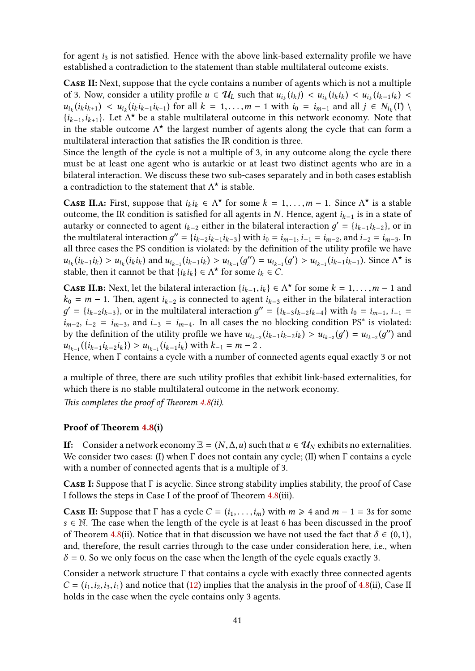for agent  $i_3$  is not satisfied. Hence with the above link-based externality profile we have established a contradiction to the statement than stable multilateral outcome exists.

Case II: Next, suppose that the cycle contains a number of agents which is not a multiple of 3. Now, consider a utility profile  $u \in \mathcal{U}_L$  such that  $u_{i_k}(i_k j) < u_{i_k}(i_k i_k) < u_{i_k}(i_{k-1} i_k) <$ <br> $u_{i_k}(i_k i_k) < u_{i_k}(i_k i_k j)$  for all  $k-1$ ,  $m-1$  with  $i_k - i$  and all  $i \in N$ . (D)  $\begin{cases} (ik) < u_{l_k} (ik) < u_{l_k} \\ i < n \end{cases}$  $\{i_{k-1}, i_{k+1}\}\$ . Let  $\Lambda^*$  be a stable multilateral outcome in this network economy. Note that in the stable outcome  $\Lambda^*$  the largest number of agents along the cycle that can form a  $(i_k i_{k+1}) \leq u_{i_k} (i_k i_{k-1} i_{k+1})$  for all  $k = 1, ..., m-1$  with  $i_0 = i_{m-1}$  and all  $j \in N_{i_k}(\Gamma) \setminus i_{i_k}$ . in the stable outcome  $\Lambda^*$  the largest number of agents along the cycle that can form a<br>multilateral interaction that satisfies the IR condition is three multilateral interaction that satisfies the IR condition is three.

Since the length of the cycle is not a multiple of 3, in any outcome along the cycle there must be at least one agent who is autarkic or at least two distinct agents who are in a bilateral interaction. We discuss these two sub-cases separately and in both cases establish a contradiction to the statement that  $\Lambda^{\star}$  is stable.

**CASE II.A:** First, suppose that  $i_k i_k \in \Lambda^*$  for some  $k = 1, ..., m - 1$ . Since  $\Lambda^*$  is a stable outcome the IR condition is satisfied for all agents in M. Hence agent  $i_k$ , is in a state of outcome, the IR condition is satisfied for all agents in N. Hence, agent  $i_{k-1}$  is in a state of autarky or connected to agent  $i_{k-2}$  either in the bilateral interaction  $g' = \{i_{k-1}i_{k-2}\}$ , or in<br>the multilateral interaction  $g'' = \{i_1, i_2, \ldots, i_{k-1}, \ldots, i_{k-1}, \ldots, i_{k-1}, \ldots, i_{k-1}, \ldots, i_{k-1}, \ldots, i_{k-1}, \ldots, i_{k-1}, \ldots, i$ the multilateral interaction  $g'' = \{i_{k-2}i_{k-1}i_{k-3}\}\$  with  $i_0 = i_{m-1}, i_{-1} = i_{m-2}$ , and  $i_{-2} = i_{m-3}$ . In all three cases the PS condition is violated; by the definition of the utility profile we have all three cases the PS condition is violated: by the definition of the utility profile we have stable, then it cannot be that  $\{i_k i_k\} \in \Lambda^*$  for some  $i_k \in C$ .  $(i_{k-1}i_k) > u_{i_k}(i_ki_k)$  and  $u_{i_{k-1}}(i_{k-1}i_k) > u_{i_{k-1}}(g'') = u_{i_{k-1}}(g)$ <br>ble then it cannot be that  $i_k, i_k \in \Lambda^*$  for some  $i_k \in C$  $\overline{\phantom{0}}$ ) >  $u_{i_{k-1}}(i_{k-1}i_{k-1})$ . Since  $\Lambda^{\star}$  is

**CASE II.B:** Next, let the bilateral interaction  $\{i_{k-1}, i_k\} \in \Lambda^*$  for some  $k = 1, ..., m - 1$  and  $k_0 = m - 1$ . Then agent  $i_{k-1}$  is connected to agent  $i_{k-2}$  either in the bilateral interaction  $k_0 = m - 1$ . Then, agent  $i_{k-2}$  is connected to agent  $i_{k-3}$  either in the bilateral interaction  $i_{m-2}, i_{-2} = i_{m-3}$ , and  $i_{-3} = i_{m-4}$ . In all cases the no blocking condition PS<sup>∗</sup> is violated:<br>by the definition of the utility profile we have  $u_i$ .  $(i_{i-1}i_{i-2}i_i) \ge u_i$ .  $(a') = u_i$ .  $(a'')$  and  $0 = \{i_{k-2}i_{k-3}\}\)$ , or in the multilateral interaction  $g'' = \{i_{k-3}i_{k-2}i_{k-4}\}\$  with  $i_0 = i_{m-1}, i_{-1} = i_{m-1}$ ,  $i_{-1} = i_{m-1}$ ,  $i_{-1} = i_{m-1}$ ,  $i_{-1} = i_{m-1}$ ,  $i_{-1} = i_{m-1}$ ,  $i_{-1} = i_{m-1}$ ,  $i_{-1} = i_{m-1}$ ,  $i_{-1} = i_{m$ by the definition of the utility profile we have  $u_{i_{k-2}}(i_{k-1}i_{k-2}i_k) > u_{i_{k-2}}(g)$ <br> $u_{i_{k-1}}(i_{k-1}i_k) > u_{i_{k-1}}(i_{k-1}i_k)$  with  $k = m-2$  $') = u_{i_{k-2}}(g)$  $^{\prime\prime}$ ) and  $(i_{k-1}i_{k-2}i_k) > u_{i_{k-1}}(i_{k-1}i_k)$  with  $k_{-1} = m - 2$ .

 $u_{i_{k-1}}(u_{k-1}u_{i-2}u_{k}) > u_{i_{k-1}}(u_{k-1}u_{k})$  with  $\lambda_{-1} = m - \lambda$ .<br>Hence, when  $\Gamma$  contains a cycle with a number of connected agents equal exactly 3 or not

a multiple of three, there are such utility profiles that exhibit link-based externalities, for which there is no stable multilateral outcome in the network economy.

This completes the proof of Theorem  $4.8(ii)$  $4.8(ii)$ .

#### Proof of Theorem [4.8\(](#page-19-0)i)

If: Consider a network economy  $\mathbb{E} = (N, \Delta, u)$  such that  $u \in \mathcal{U}_N$  exhibits no externalities. We consider two cases: (I) when Γ does not contain any cycle; (II) when Γ contains a cycle with a number of connected agents that is a multiple of 3.

Case I: Suppose that Γ is acyclic. Since strong stability implies stability, the proof of Case I follows the steps in Case I of the proof of Theorem  $4.8$ (iii).

**CASE II:** Suppose that  $\Gamma$  has a cycle  $C = (i_1, \ldots, i_m)$  with  $m \geq 4$  and  $m - 1 = 3s$  for some  $s \in \mathbb{N}$ . The case when the length of the cycle is at least 6 has been discussed in the proof of Theorem [4.8\(](#page-19-0)ii). Notice that in that discussion we have not used the fact that  $\delta \in (0,1)$ , and, therefore, the result carries through to the case under consideration here, i.e., when  $\delta$  = 0. So we only focus on the case when the length of the cycle equals exactly 3.

Consider a network structure Γ that contains a cycle with exactly three connected agents  $C = (i_1, i_2, i_3, i_1)$  and notice that [\(12\)](#page-18-1) implies that the analysis in the proof of [4.8\(](#page-19-0)ii), Case II holds in the case when the cycle contains only 3 agents.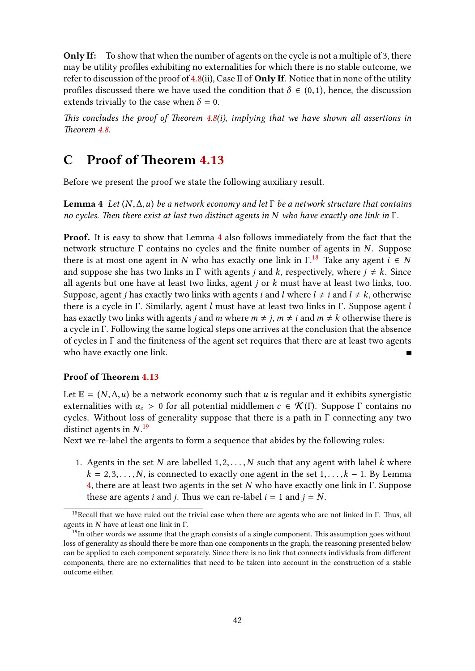**Only If:** To show that when the number of agents on the cycle is not a multiple of 3, there may be utility profiles exhibiting no externalities for which there is no stable outcome, we refer to discussion of the proof of [4.8\(](#page-19-0)ii), Case II of **Only If**. Notice that in none of the utility profiles discussed there we have used the condition that  $\delta \in (0,1)$ , hence, the discussion extends trivially to the case when  $\delta = 0$ .

This concludes the proof of Theorem  $4.8(i)$  $4.8(i)$ , implying that we have shown all assertions in Theorem [4.8.](#page-19-0)

### C Proof of Theorem [4.13](#page-21-0)

<span id="page-42-0"></span>Before we present the proof we state the following auxiliary result.

**Lemma 4** Let  $(N, \Delta, u)$  be a network economy and let  $\Gamma$  be a network structure that contains no cycles. Then there exist at last two distinct agents in N who have exactly one link in  $\Gamma$ .

Proof. It is easy to show that Lemma [4](#page-42-0) also follows immediately from the fact that the network structure  $\Gamma$  contains no cycles and the finite number of agents in N. Suppose there is at most one agent in N who has exactly one link in  $\Gamma$ <sup>[18](#page-42-1)</sup>. Take any agent  $i \in N$ <br>and suppose she has two links in  $\Gamma$  with agents *i* and *k* respectively where  $i \neq k$ . Since and suppose she has two links in  $\Gamma$  with agents j and k, respectively, where  $j \neq k$ . Since all agents but one have at least two links, agent  $j$  or  $k$  must have at least two links, too. Suppose, agent *j* has exactly two links with agents *i* and *l* where  $l \neq i$  and  $l \neq k$ , otherwise there is a cycle in Γ. Similarly, agent  $l$  must have at least two links in Γ. Suppose agent  $l$ has exactly two links with agents *j* and *m* where  $m \neq j$ ,  $m \neq i$  and  $m \neq k$  otherwise there is a cycle in Γ. Following the same logical steps one arrives at the conclusion that the absence of cycles in  $\Gamma$  and the finiteness of the agent set requires that there are at least two agents who have exactly one link.

#### Proof of Theorem [4.13](#page-21-0)

Let  $\mathbb{E} = (N, \Delta, u)$  be a network economy such that u is regular and it exhibits synergistic externalities with  $\alpha_c > 0$  for all potential middlemen  $c \in \mathcal{K}(\Gamma)$ . Suppose Γ contains no cycles. Without loss of generality suppose that there is a path in  $\Gamma$  connecting any two distinct agents in  $N^{19}$  $N^{19}$  $N^{19}$ .

Next we re-label the argents to form a sequence that abides by the following rules:

1. Agents in the set N are labelled  $1, 2, \ldots, N$  such that any agent with label k where  $k = 2, 3, \ldots, N$ , is connected to exactly one agent in the set  $1, \ldots, k-1$ . By Lemma [4,](#page-42-0) there are at least two agents in the set N who have exactly one link in  $\Gamma$ . Suppose these are agents *i* and *j*. Thus we can re-label  $i = 1$  and  $j = N$ .

<span id="page-42-1"></span><sup>&</sup>lt;sup>18</sup>Recall that we have ruled out the trivial case when there are agents who are not linked in Γ. Thus, all agents in  $N$  have at least one link in  $\Gamma$ .

<span id="page-42-2"></span> $19$ In other words we assume that the graph consists of a single component. This assumption goes without loss of generality as should there be more than one components in the graph, the reasoning presented below can be applied to each component separately. Since there is no link that connects individuals from different components, there are no externalities that need to be taken into account in the construction of a stable outcome either.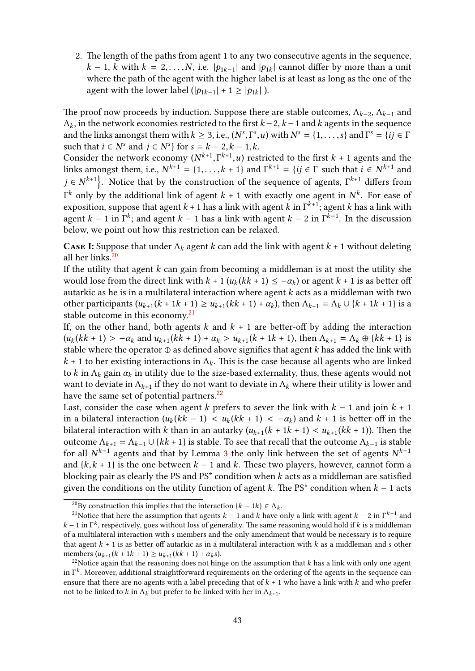2. The length of the paths from agent 1 to any two consecutive agents in the sequence,  $k-1$ , k with  $k = 2,...,N$ , i.e.  $|p_{1k-1}|$  and  $|p_{1k}|$  cannot differ by more than a unit where the path of the agent with the higher label is at least as long as the one of the agent with the lower label  $(|p_{1k-1}| + 1 \geq |p_{1k}|)$ .

The proof now proceeds by induction. Suppose there are stable outcomes,  $\Lambda_{k-2}$ ,  $\Lambda_{k-1}$  and  $\Lambda_k$ , in the network economies restricted to the first  $k-2$ ,  $k-1$  and k agents in the sequence and the links amongst them with  $k \ge 3$ , i.e.,  $(N^s, \Gamma^s, u)$  with  $N^s = \{1, \ldots, s\}$  and  $\Gamma^s = \{ij \in \Gamma\}$ <br>such that  $i \in N^s$  and  $i \in N^s$  for  $s = k - 2, k - 1, k$ such that  $i \in N^s$  and  $j \in N^s$  for  $s = k - 2, k - 1, k$ .<br>Consider the network economy  $(N^{k+1} \Gamma^{k+1} \nu)$  res

Consider the network economy  $(N^{k+1}, \Gamma^{k+1}, u)$  restricted to the first  $k + 1$  agents and the links amongst them i.e.  $N^{k+1} - 11 = k + 1$  and  $\Gamma^{k+1} - 1$  i.e.  $\Gamma$  such that  $i \in N^{k+1}$  and links amongst them, i.e.,  $N^{k+1} = \{1, ..., k+1\}$  and  $\Gamma^{k+1} = \{ij \in \Gamma \text{ such that } i \in N^{k+1} \text{ and }$ <br>i.e.  $N^{k+1}$ . Notice that by the construction of the sequence of grants.  $\Gamma^{k+1}$  differs from  $j \in N^{k+1}$ . Notice that by the construction of the sequence of agents,  $\Gamma^{k+1}$  differs from<br> $\Gamma^k$  subside the additional link of spant  $l_{k+1}$  arith suspituous spant in  $N^k$ . For sex of exposition, suppose that agent  $k + 1$  has a link with agent k in  $\Gamma^{k+1}$ ; agent k has a link with k only by the additional link of agent  $k + 1$  with exactly one agent in  $N^k$ . For ease of volver that agent  $k + 1$  has a link with agent k in  $\Gamma^{k+1}$ , agent k has a link with agent  $k - 1$  in  $\Gamma^k$ ; and agent  $k - 1$  has a link with agent  $k - 2$  in  $\Gamma^{k-1}$ . In the discussion below, we point out how this restriction can be relaxed.

**CASE I:** Suppose that under  $\Lambda_k$  agent k can add the link with agent  $k + 1$  without deleting all her links.<sup>[20](#page-43-0)</sup>

If the utility that agent  $k$  can gain from becoming a middleman is at most the utility she would lose from the direct link with  $k + 1$  ( $u_k (kk + 1) \le -\alpha_k$ ) or agent  $k + 1$  is as better off autarkic as he is in a multilateral interaction where agent  $k$  acts as a middleman with two other participants  $(u_{k+1}(k+1) \ge u_{k+1}(kk+1) + \alpha_k)$ , then  $\Lambda_{k+1} = \Lambda_k \cup \{k+1k+1\}$  is a stable outcome in this economy. $21$ 

If, on the other hand, both agents  $k$  and  $k + 1$  are better-off by adding the interaction  $(u_k(kk + 1) > -\alpha_k$  and  $u_{k+1}(kk + 1) + \alpha_k > u_{k+1}(k + 1k + 1)$ , then  $\Lambda_{k+1} = \Lambda_k \oplus \{kk + 1\}$  is stable where the operator  $\oplus$  as defined above signifies that agent k has added the link with  $k + 1$  to her existing interactions in  $\Lambda_k$ . This is the case because all agents who are linked to k in  $\Lambda_k$  gain  $\alpha_k$  in utility due to the size-based externality, thus, these agents would not want to deviate in  $\Lambda_{k+1}$  if they do not want to deviate in  $\Lambda_k$  where their utility is lower and have the same set of potential partners. $^{22}$  $^{22}$  $^{22}$ 

Last, consider the case when agent k prefers to sever the link with  $k - 1$  and join  $k + 1$ in a bilateral interaction  $(u_k (kk - 1) < u_k (kk + 1) < -\alpha_k)$  and  $k + 1$  is better off in the bilateral interaction with k than in an autarky  $(u_{k+1}(k + 1k + 1) < u_{k+1}(kk + 1))$ . Then the outcome  $Λ_{k+1} = Λ_{k-1} ∪ {kk + 1}$  is stable. To see that recall that the outcome  $Λ_{k-1}$  is stable for all  $N^{k-1}$  agents and that by Lemma [3](#page-33-0) the only link between the set of agents  $N^{k-1}$ <br>and  $\{k, k+1\}$  is the one between  $k-1$  and  $k$ . These two players however, cannot form a and  $\{k, k + 1\}$  is the one between  $k - 1$  and k. These two players, however, cannot form a blocking pair as clearly the PS and  $PS^*$  condition when k acts as a middleman are satisfied given the conditions on the utility function of agent k. The PS<sup>\*</sup> condition when  $k - 1$  acts

<span id="page-43-1"></span><span id="page-43-0"></span><sup>&</sup>lt;sup>20</sup>By construction this implies that the interaction  ${k - 1k} \in \Lambda_k$ .

<sup>&</sup>lt;sup>21</sup>Notice that here the assumption that agents  $k - 1$  and k have only a link with agent  $k - 2$  in  $\Gamma^{k-1}$  and  $\Gamma^{k-1}$  and  $\Gamma^{k-1}$  and  $\Gamma^{k-1}$  and  $\Gamma^{k-1}$  and  $\Gamma^{k-1}$  and  $\Gamma^{k-1}$  and  $\Gamma^{k-1}$  and  $\Gamma^{k-1}$   $k - 1$  in  $\Gamma^k$ , respectively, goes without loss of generality. The same reasoning would hold if k is a middleman of a multilateral interaction with a members and the only amendment that would be necessary is to require of a multilateral interaction with s members and the only amendment that would be necessary is to require that agent  $k + 1$  is as better off autarkic as in a multilateral interaction with k as a middleman and s other members  $(u_{k+1}(k + 1k + 1) \ge u_{k+1}(kk + 1) + \alpha_k s)$ .

<span id="page-43-2"></span><sup>&</sup>lt;sup>22</sup>Notice again that the reasoning does not hinge on the assumption that k has a link with only one agent in  $\Gamma^k$ . Moreover, additional straightforward requirements on the ordering of the agents in the sequence can<br>ensure that there are no agents with a label preceding that of  $k + 1$  who have a link with k and who prefer ensure that there are no agents with a label preceding that of  $k + 1$  who have a link with k and who prefer not to be linked to k in  $\Lambda_k$  but prefer to be linked with her in  $\Lambda_{k+1}$ .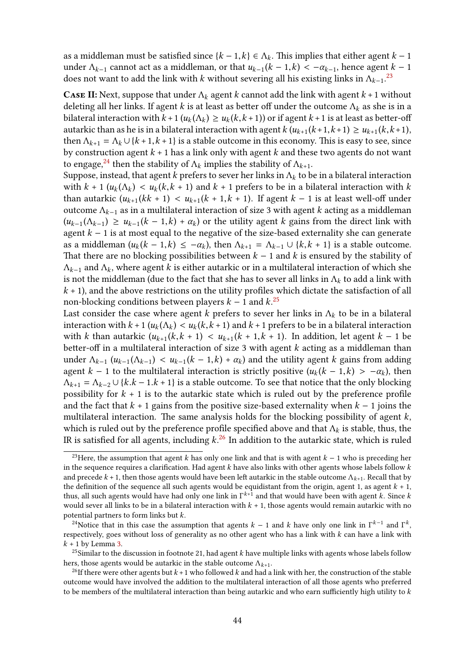as a middleman must be satisfied since  $\{k - 1, k\} \in \Lambda_k$ . This implies that either agent  $k - 1$ under  $\Lambda_{k-1}$  cannot act as a middleman, or that  $u_{k-1}(k-1,k) < -\alpha_{k-1}$ , hence agent  $k-1$ does not want to add the link with k without severing all his existing links in  $\Lambda_{k-1}$ .<sup>[23](#page-44-0)</sup>

**CASE II:** Next, suppose that under  $\Lambda_k$  agent k cannot add the link with agent  $k + 1$  without deleting all her links. If agent k is at least as better off under the outcome  $\Lambda_k$  as she is in a bilateral interaction with  $k + 1$  ( $u_k(\Lambda_k) \ge u_k(k, k+1)$ ) or if agent  $k + 1$  is at least as better-off autarkic than as he is in a bilateral interaction with agent  $k (u_{k+1}(k+1, k+1) \ge u_{k+1}(k, k+1))$ , then  $\Lambda_{k+1} = \Lambda_k \cup \{k+1, k+1\}$  is a stable outcome in this economy. This is easy to see, since by construction agent  $k + 1$  has a link only with agent k and these two agents do not want to engage,<sup>[24](#page-44-1)</sup> then the stability of  $\Lambda_k$  implies the stability of  $\Lambda_{k+1}$ .

Suppose, instead, that agent k prefers to sever her links in  $\Lambda_k$  to be in a bilateral interaction with  $k + 1$  ( $u_k(\Lambda_k) < u_k(k, k + 1)$  and  $k + 1$  prefers to be in a bilateral interaction with k than autarkic  $(u_{k+1}(kk + 1) < u_{k+1}(k + 1, k + 1)$ . If agent  $k - 1$  is at least well-off under outcome  $\Lambda_{k-1}$  as in a multilateral interaction of size 3 with agent k acting as a middleman  $(u_{k-1}(\Lambda_{k-1}) \geq u_{k-1}(k-1,k) + \alpha_k)$  or the utility agent k gains from the direct link with agent  $k - 1$  is at most equal to the negative of the size-based externality she can generate as a middleman  $(u_k(k-1,k) \leq -\alpha_k)$ , then  $\Lambda_{k+1} = \Lambda_{k-1} \cup \{k, k+1\}$  is a stable outcome. That there are no blocking possibilities between  $k - 1$  and k is ensured by the stability of  $\Lambda_{k-1}$  and  $\Lambda_k$ , where agent k is either autarkic or in a multilateral interaction of which she is not the middleman (due to the fact that she has to sever all links in  $\Lambda_k$  to add a link with  $k + 1$ ), and the above restrictions on the utility profiles which dictate the satisfaction of all non-blocking conditions between players  $k - 1$  and  $k$ .<sup>[25](#page-44-2)</sup><br>Last consider the case where agent k prefers to sever k

Last consider the case where agent k prefers to sever her links in  $\Lambda_k$  to be in a bilateral interaction with  $k + 1$  ( $u_k(\Lambda_k) < u_k(k, k + 1)$  and  $k + 1$  prefers to be in a bilateral interaction with k than autarkic  $(u_{k+1}(k, k+1) < u_{k+1}(k+1, k+1)$ . In addition, let agent  $k-1$  be better-off in a multilateral interaction of size 3 with agent  $k$  acting as a middleman than under  $\Lambda_{k-1}$  ( $u_{k-1}(\Lambda_{k-1}) < u_{k-1}(k-1,k) + \alpha_k$ ) and the utility agent k gains from adding agent k – 1 to the multilateral interaction is strictly positive  $(u_k(k-1,k) > -\alpha_k)$ , then  $\Lambda_{k+1} = \Lambda_{k-2} \cup \{k \cdot k - 1 \cdot k + 1\}$  is a stable outcome. To see that notice that the only blocking possibility for  $k + 1$  is to the autarkic state which is ruled out by the preference profile and the fact that  $k + 1$  gains from the positive size-based externality when  $k - 1$  joins the multilateral interaction. The same analysis holds for the blocking possibility of agent  $k$ , which is ruled out by the preference profile specified above and that  $\Lambda_k$  is stable, thus, the IR is satisfied for all agents, including  $k^{26}$  $k^{26}$  $k^{26}$  In addition to the autarkic state, which is ruled

<span id="page-44-0"></span><sup>&</sup>lt;sup>23</sup>Here, the assumption that agent k has only one link and that is with agent k – 1 who is preceding her in the sequence requires a clarification. Had agent  $k$  have also links with other agents whose labels follow  $k$ and precede  $k + 1$ , then those agents would have been left autarkic in the stable outcome  $\Lambda_{k+1}$ . Recall that by the definition of the sequence all such agents would be equidistant from the origin, agent 1, as agent  $k + 1$ , thus, all such agents would have had only one link in  $\Gamma^{k+1}$  and that would have been with agent k. Since k<br>would sever all links to be in a bilateral interaction with  $k + 1$  those agents would remain autarkic with no would sever all links to be in a bilateral interaction with  $k + 1$ , those agents would remain autarkic with no potential partners to form links but k.

<span id="page-44-1"></span><sup>&</sup>lt;sup>24</sup>Notice that in this case the assumption that agents  $k - 1$  and k have only one link in  $\Gamma^{k-1}$  and  $\Gamma^k$ , there is no other agent who has a link with k can have a link with respectively, goes without loss of generality as no other agent who has a link with  $k$  can have a link with  $k + 1$  by Lemma [3.](#page-33-0)

<span id="page-44-2"></span><sup>&</sup>lt;sup>25</sup>Similar to the discussion in footnote 21, had agent k have multiple links with agents whose labels follow hers, those agents would be autarkic in the stable outcome  $\Lambda_{k+1}$ .

<span id="page-44-3"></span><sup>&</sup>lt;sup>26</sup>If there were other agents but  $k + 1$  who followed k and had a link with her, the construction of the stable outcome would have involved the addition to the multilateral interaction of all those agents who preferred to be members of the multilateral interaction than being autarkic and who earn sufficiently high utility to  $k$